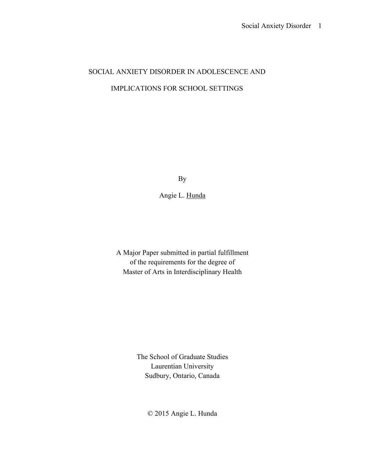# SOCIAL ANXIETY DISORDER IN ADOLESCENCE AND IMPLICATIONS FOR SCHOOL SETTINGS

By

Angie L. Hunda

A Major Paper submitted in partial fulfillment of the requirements for the degree of Master of Arts in Interdisciplinary Health

> The School of Graduate Studies Laurentian University Sudbury, Ontario, Canada

> > © 2015 Angie L. Hunda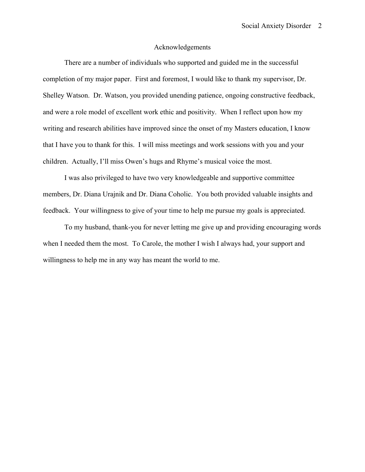# Acknowledgements

There are a number of individuals who supported and guided me in the successful completion of my major paper. First and foremost, I would like to thank my supervisor, Dr. Shelley Watson. Dr. Watson, you provided unending patience, ongoing constructive feedback, and were a role model of excellent work ethic and positivity. When I reflect upon how my writing and research abilities have improved since the onset of my Masters education, I know that I have you to thank for this. I will miss meetings and work sessions with you and your children. Actually, I'll miss Owen's hugs and Rhyme's musical voice the most.

I was also privileged to have two very knowledgeable and supportive committee members, Dr. Diana Urajnik and Dr. Diana Coholic. You both provided valuable insights and feedback. Your willingness to give of your time to help me pursue my goals is appreciated.

To my husband, thank-you for never letting me give up and providing encouraging words when I needed them the most. To Carole, the mother I wish I always had, your support and willingness to help me in any way has meant the world to me.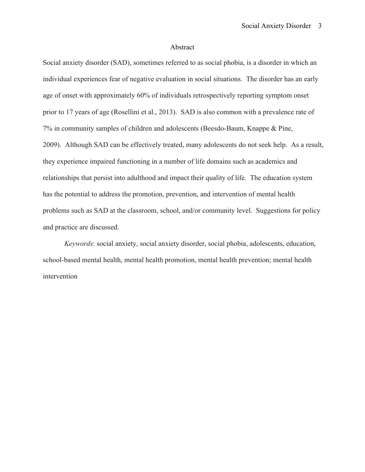# Abstract

Social anxiety disorder (SAD), sometimes referred to as social phobia, is a disorder in which an individual experiences fear of negative evaluation in social situations. The disorder has an early age of onset with approximately 60% of individuals retrospectively reporting symptom onset prior to 17 years of age (Rosellini et al., 2013). SAD is also common with a prevalence rate of 7% in community samples of children and adolescents (Beesdo-Baum, Knappe & Pine, 2009). Although SAD can be effectively treated, many adolescents do not seek help. As a result, they experience impaired functioning in a number of life domains such as academics and relationships that persist into adulthood and impact their quality of life. The education system has the potential to address the promotion, prevention, and intervention of mental health problems such as SAD at the classroom, school, and/or community level. Suggestions for policy and practice are discussed.

*Keywords*: social anxiety, social anxiety disorder, social phobia, adolescents, education, school-based mental health, mental health promotion, mental health prevention; mental health intervention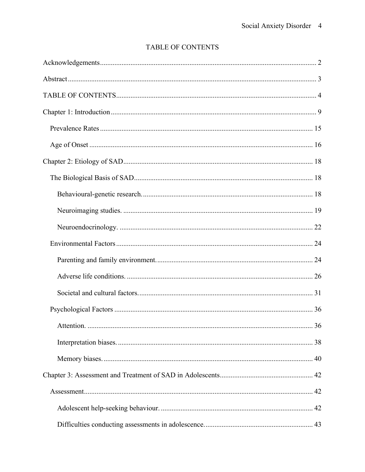# TABLE OF CONTENTS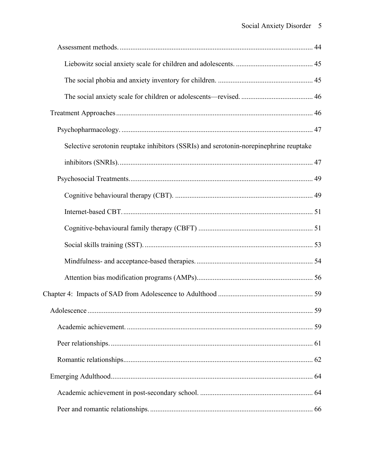| Selective serotonin reuptake inhibitors (SSRIs) and serotonin-norepinephrine reuptake |  |
|---------------------------------------------------------------------------------------|--|
|                                                                                       |  |
|                                                                                       |  |
|                                                                                       |  |
|                                                                                       |  |
|                                                                                       |  |
|                                                                                       |  |
|                                                                                       |  |
|                                                                                       |  |
|                                                                                       |  |
|                                                                                       |  |
|                                                                                       |  |
|                                                                                       |  |
|                                                                                       |  |
|                                                                                       |  |
|                                                                                       |  |
|                                                                                       |  |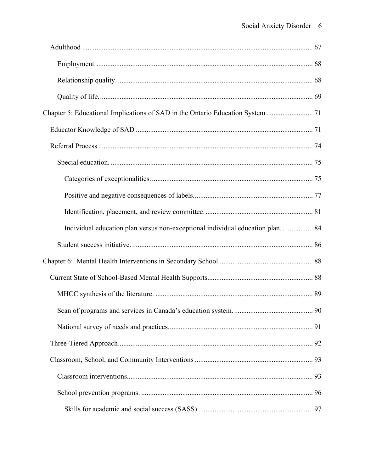| Individual education plan versus non-exceptional individual education plan 84 |  |
|-------------------------------------------------------------------------------|--|
|                                                                               |  |
|                                                                               |  |
|                                                                               |  |
|                                                                               |  |
|                                                                               |  |
|                                                                               |  |
|                                                                               |  |
|                                                                               |  |
|                                                                               |  |
|                                                                               |  |
|                                                                               |  |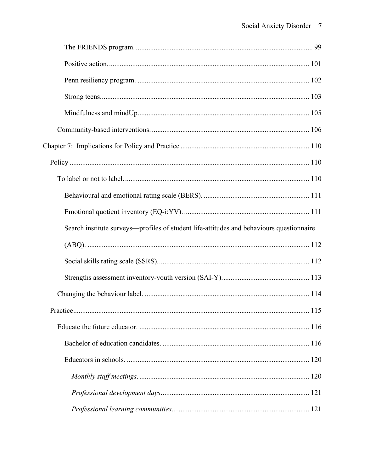| Search institute surveys—profiles of student life-attitudes and behaviours questionnaire |  |
|------------------------------------------------------------------------------------------|--|
|                                                                                          |  |
|                                                                                          |  |
|                                                                                          |  |
|                                                                                          |  |
|                                                                                          |  |
|                                                                                          |  |
|                                                                                          |  |
|                                                                                          |  |
|                                                                                          |  |
|                                                                                          |  |
|                                                                                          |  |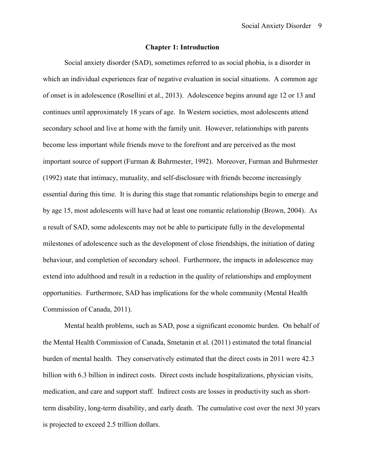# **Chapter 1: Introduction**

Social anxiety disorder (SAD), sometimes referred to as social phobia, is a disorder in which an individual experiences fear of negative evaluation in social situations. A common age of onset is in adolescence (Rosellini et al., 2013). Adolescence begins around age 12 or 13 and continues until approximately 18 years of age. In Western societies, most adolescents attend secondary school and live at home with the family unit. However, relationships with parents become less important while friends move to the forefront and are perceived as the most important source of support (Furman & Buhrmester, 1992). Moreover, Furman and Buhrmester (1992) state that intimacy, mutuality, and self-disclosure with friends become increasingly essential during this time. It is during this stage that romantic relationships begin to emerge and by age 15, most adolescents will have had at least one romantic relationship (Brown, 2004). As a result of SAD, some adolescents may not be able to participate fully in the developmental milestones of adolescence such as the development of close friendships, the initiation of dating behaviour, and completion of secondary school. Furthermore, the impacts in adolescence may extend into adulthood and result in a reduction in the quality of relationships and employment opportunities. Furthermore, SAD has implications for the whole community (Mental Health Commission of Canada, 2011).

Mental health problems, such as SAD, pose a significant economic burden. On behalf of the Mental Health Commission of Canada, Smetanin et al. (2011) estimated the total financial burden of mental health. They conservatively estimated that the direct costs in 2011 were 42.3 billion with 6.3 billion in indirect costs. Direct costs include hospitalizations, physician visits, medication, and care and support staff. Indirect costs are losses in productivity such as shortterm disability, long-term disability, and early death. The cumulative cost over the next 30 years is projected to exceed 2.5 trillion dollars.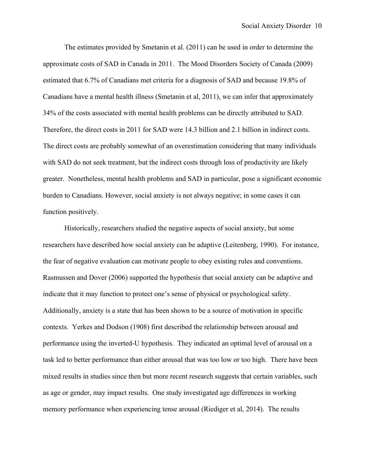The estimates provided by Smetanin et al. (2011) can be used in order to determine the approximate costs of SAD in Canada in 2011. The Mood Disorders Society of Canada (2009) estimated that 6.7% of Canadians met criteria for a diagnosis of SAD and because 19.8% of Canadians have a mental health illness (Smetanin et al, 2011), we can infer that approximately 34% of the costs associated with mental health problems can be directly attributed to SAD. Therefore, the direct costs in 2011 for SAD were 14.3 billion and 2.1 billion in indirect costs. The direct costs are probably somewhat of an overestimation considering that many individuals with SAD do not seek treatment, but the indirect costs through loss of productivity are likely greater. Nonetheless, mental health problems and SAD in particular, pose a significant economic burden to Canadians. However, social anxiety is not always negative; in some cases it can function positively.

Historically, researchers studied the negative aspects of social anxiety, but some researchers have described how social anxiety can be adaptive (Leitenberg, 1990). For instance, the fear of negative evaluation can motivate people to obey existing rules and conventions. Rasmussen and Dover (2006) supported the hypothesis that social anxiety can be adaptive and indicate that it may function to protect one's sense of physical or psychological safety. Additionally, anxiety is a state that has been shown to be a source of motivation in specific contexts. Yerkes and Dodson (1908) first described the relationship between arousal and performance using the inverted-U hypothesis. They indicated an optimal level of arousal on a task led to better performance than either arousal that was too low or too high. There have been mixed results in studies since then but more recent research suggests that certain variables, such as age or gender, may impact results. One study investigated age differences in working memory performance when experiencing tense arousal (Riediger et al, 2014). The results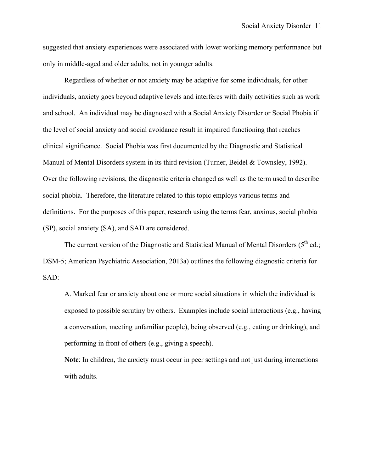suggested that anxiety experiences were associated with lower working memory performance but only in middle-aged and older adults, not in younger adults.

Regardless of whether or not anxiety may be adaptive for some individuals, for other individuals, anxiety goes beyond adaptive levels and interferes with daily activities such as work and school. An individual may be diagnosed with a Social Anxiety Disorder or Social Phobia if the level of social anxiety and social avoidance result in impaired functioning that reaches clinical significance. Social Phobia was first documented by the Diagnostic and Statistical Manual of Mental Disorders system in its third revision (Turner, Beidel & Townsley, 1992). Over the following revisions, the diagnostic criteria changed as well as the term used to describe social phobia. Therefore, the literature related to this topic employs various terms and definitions. For the purposes of this paper, research using the terms fear, anxious, social phobia (SP), social anxiety (SA), and SAD are considered.

The current version of the Diagnostic and Statistical Manual of Mental Disorders  $(5<sup>th</sup>$  ed.; DSM-5; American Psychiatric Association, 2013a) outlines the following diagnostic criteria for SAD:

A. Marked fear or anxiety about one or more social situations in which the individual is exposed to possible scrutiny by others. Examples include social interactions (e.g., having a conversation, meeting unfamiliar people), being observed (e.g., eating or drinking), and performing in front of others (e.g., giving a speech).

**Note**: In children, the anxiety must occur in peer settings and not just during interactions with adults.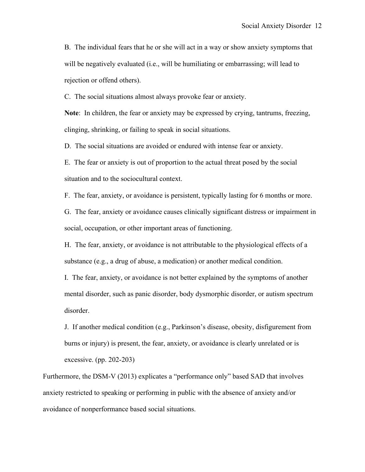B. The individual fears that he or she will act in a way or show anxiety symptoms that will be negatively evaluated (i.e., will be humiliating or embarrassing; will lead to rejection or offend others).

C. The social situations almost always provoke fear or anxiety.

**Note**: In children, the fear or anxiety may be expressed by crying, tantrums, freezing, clinging, shrinking, or failing to speak in social situations.

D. The social situations are avoided or endured with intense fear or anxiety.

E. The fear or anxiety is out of proportion to the actual threat posed by the social situation and to the sociocultural context.

F. The fear, anxiety, or avoidance is persistent, typically lasting for 6 months or more.

G. The fear, anxiety or avoidance causes clinically significant distress or impairment in social, occupation, or other important areas of functioning.

H. The fear, anxiety, or avoidance is not attributable to the physiological effects of a substance (e.g., a drug of abuse, a medication) or another medical condition.

I. The fear, anxiety, or avoidance is not better explained by the symptoms of another mental disorder, such as panic disorder, body dysmorphic disorder, or autism spectrum disorder.

J. If another medical condition (e.g., Parkinson's disease, obesity, disfigurement from burns or injury) is present, the fear, anxiety, or avoidance is clearly unrelated or is excessive. (pp. 202-203)

Furthermore, the DSM-V (2013) explicates a "performance only" based SAD that involves anxiety restricted to speaking or performing in public with the absence of anxiety and/or avoidance of nonperformance based social situations.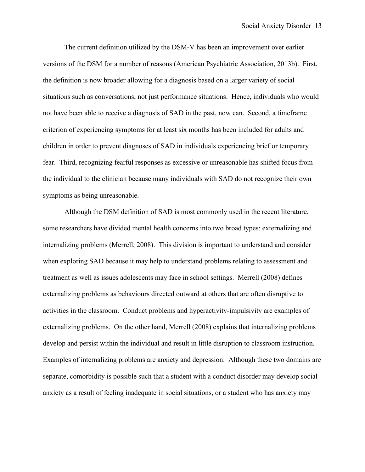The current definition utilized by the DSM-V has been an improvement over earlier versions of the DSM for a number of reasons (American Psychiatric Association, 2013b). First, the definition is now broader allowing for a diagnosis based on a larger variety of social situations such as conversations, not just performance situations. Hence, individuals who would not have been able to receive a diagnosis of SAD in the past, now can. Second, a timeframe criterion of experiencing symptoms for at least six months has been included for adults and children in order to prevent diagnoses of SAD in individuals experiencing brief or temporary fear. Third, recognizing fearful responses as excessive or unreasonable has shifted focus from the individual to the clinician because many individuals with SAD do not recognize their own symptoms as being unreasonable.

Although the DSM definition of SAD is most commonly used in the recent literature, some researchers have divided mental health concerns into two broad types: externalizing and internalizing problems (Merrell, 2008). This division is important to understand and consider when exploring SAD because it may help to understand problems relating to assessment and treatment as well as issues adolescents may face in school settings. Merrell (2008) defines externalizing problems as behaviours directed outward at others that are often disruptive to activities in the classroom. Conduct problems and hyperactivity-impulsivity are examples of externalizing problems. On the other hand, Merrell (2008) explains that internalizing problems develop and persist within the individual and result in little disruption to classroom instruction. Examples of internalizing problems are anxiety and depression. Although these two domains are separate, comorbidity is possible such that a student with a conduct disorder may develop social anxiety as a result of feeling inadequate in social situations, or a student who has anxiety may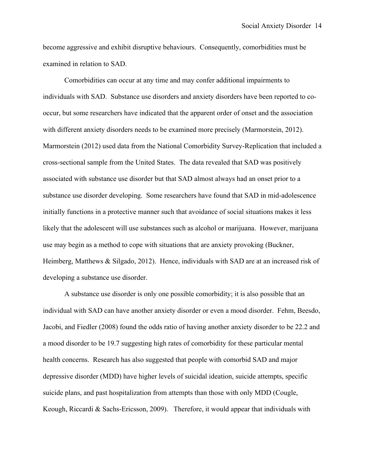become aggressive and exhibit disruptive behaviours. Consequently, comorbidities must be examined in relation to SAD.

Comorbidities can occur at any time and may confer additional impairments to individuals with SAD. Substance use disorders and anxiety disorders have been reported to cooccur, but some researchers have indicated that the apparent order of onset and the association with different anxiety disorders needs to be examined more precisely (Marmorstein, 2012). Marmorstein (2012) used data from the National Comorbidity Survey-Replication that included a cross-sectional sample from the United States. The data revealed that SAD was positively associated with substance use disorder but that SAD almost always had an onset prior to a substance use disorder developing. Some researchers have found that SAD in mid-adolescence initially functions in a protective manner such that avoidance of social situations makes it less likely that the adolescent will use substances such as alcohol or marijuana. However, marijuana use may begin as a method to cope with situations that are anxiety provoking (Buckner, Heimberg, Matthews & Silgado, 2012). Hence, individuals with SAD are at an increased risk of developing a substance use disorder.

A substance use disorder is only one possible comorbidity; it is also possible that an individual with SAD can have another anxiety disorder or even a mood disorder. Fehm, Beesdo, Jacobi, and Fiedler (2008) found the odds ratio of having another anxiety disorder to be 22.2 and a mood disorder to be 19.7 suggesting high rates of comorbidity for these particular mental health concerns. Research has also suggested that people with comorbid SAD and major depressive disorder (MDD) have higher levels of suicidal ideation, suicide attempts, specific suicide plans, and past hospitalization from attempts than those with only MDD (Cougle, Keough, Riccardi & Sachs-Ericsson, 2009). Therefore, it would appear that individuals with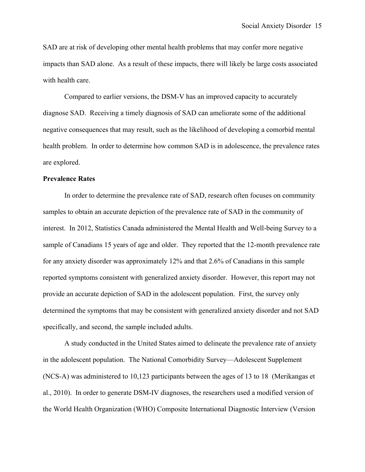SAD are at risk of developing other mental health problems that may confer more negative impacts than SAD alone. As a result of these impacts, there will likely be large costs associated with health care.

Compared to earlier versions, the DSM-V has an improved capacity to accurately diagnose SAD. Receiving a timely diagnosis of SAD can ameliorate some of the additional negative consequences that may result, such as the likelihood of developing a comorbid mental health problem. In order to determine how common SAD is in adolescence, the prevalence rates are explored.

# **Prevalence Rates**

In order to determine the prevalence rate of SAD, research often focuses on community samples to obtain an accurate depiction of the prevalence rate of SAD in the community of interest. In 2012, Statistics Canada administered the Mental Health and Well-being Survey to a sample of Canadians 15 years of age and older. They reported that the 12-month prevalence rate for any anxiety disorder was approximately 12% and that 2.6% of Canadians in this sample reported symptoms consistent with generalized anxiety disorder. However, this report may not provide an accurate depiction of SAD in the adolescent population. First, the survey only determined the symptoms that may be consistent with generalized anxiety disorder and not SAD specifically, and second, the sample included adults.

A study conducted in the United States aimed to delineate the prevalence rate of anxiety in the adolescent population. The National Comorbidity Survey—Adolescent Supplement (NCS-A) was administered to 10,123 participants between the ages of 13 to 18 (Merikangas et al., 2010). In order to generate DSM-IV diagnoses, the researchers used a modified version of the World Health Organization (WHO) Composite International Diagnostic Interview (Version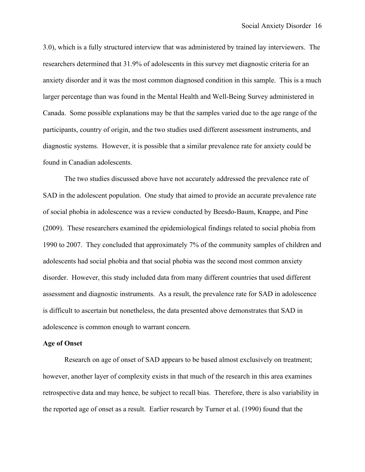3.0), which is a fully structured interview that was administered by trained lay interviewers. The researchers determined that 31.9% of adolescents in this survey met diagnostic criteria for an anxiety disorder and it was the most common diagnosed condition in this sample. This is a much larger percentage than was found in the Mental Health and Well-Being Survey administered in Canada. Some possible explanations may be that the samples varied due to the age range of the participants, country of origin, and the two studies used different assessment instruments, and diagnostic systems. However, it is possible that a similar prevalence rate for anxiety could be found in Canadian adolescents.

The two studies discussed above have not accurately addressed the prevalence rate of SAD in the adolescent population. One study that aimed to provide an accurate prevalence rate of social phobia in adolescence was a review conducted by Beesdo-Baum, Knappe, and Pine (2009). These researchers examined the epidemiological findings related to social phobia from 1990 to 2007. They concluded that approximately 7% of the community samples of children and adolescents had social phobia and that social phobia was the second most common anxiety disorder. However, this study included data from many different countries that used different assessment and diagnostic instruments. As a result, the prevalence rate for SAD in adolescence is difficult to ascertain but nonetheless, the data presented above demonstrates that SAD in adolescence is common enough to warrant concern.

#### **Age of Onset**

Research on age of onset of SAD appears to be based almost exclusively on treatment; however, another layer of complexity exists in that much of the research in this area examines retrospective data and may hence, be subject to recall bias. Therefore, there is also variability in the reported age of onset as a result. Earlier research by Turner et al. (1990) found that the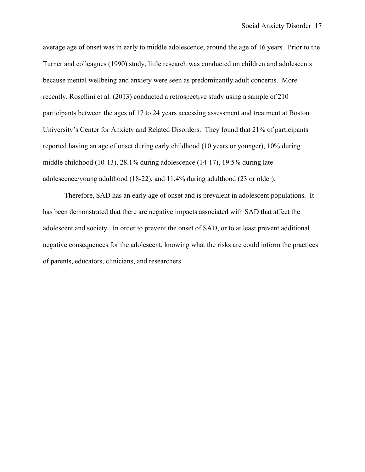average age of onset was in early to middle adolescence, around the age of 16 years. Prior to the Turner and colleagues (1990) study, little research was conducted on children and adolescents because mental wellbeing and anxiety were seen as predominantly adult concerns. More recently, Rosellini et al. (2013) conducted a retrospective study using a sample of 210 participants between the ages of 17 to 24 years accessing assessment and treatment at Boston University's Center for Anxiety and Related Disorders. They found that 21% of participants reported having an age of onset during early childhood (10 years or younger), 10% during middle childhood (10-13), 28.1% during adolescence (14-17), 19.5% during late adolescence/young adulthood (18-22), and 11.4% during adulthood (23 or older).

Therefore, SAD has an early age of onset and is prevalent in adolescent populations. It has been demonstrated that there are negative impacts associated with SAD that affect the adolescent and society. In order to prevent the onset of SAD, or to at least prevent additional negative consequences for the adolescent, knowing what the risks are could inform the practices of parents, educators, clinicians, and researchers.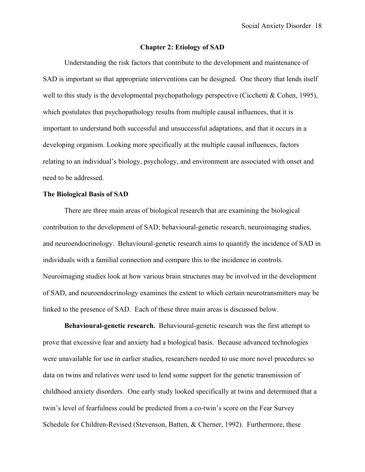### **Chapter 2: Etiology of SAD**

Understanding the risk factors that contribute to the development and maintenance of SAD is important so that appropriate interventions can be designed. One theory that lends itself well to this study is the developmental psychopathology perspective (Cicchetti & Cohen, 1995), which postulates that psychopathology results from multiple causal influences, that it is important to understand both successful and unsuccessful adaptations, and that it occurs in a developing organism. Looking more specifically at the multiple causal influences, factors relating to an individual's biology, psychology, and environment are associated with onset and need to be addressed.

# **The Biological Basis of SAD**

There are three main areas of biological research that are examining the biological contribution to the development of SAD; behavioural-genetic research, neuroimaging studies, and neuroendocrinology. Behavioural-genetic research aims to quantify the incidence of SAD in individuals with a familial connection and compare this to the incidence in controls. Neuroimaging studies look at how various brain structures may be involved in the development of SAD, and neuroendocrinology examines the extent to which certain neurotransmitters may be linked to the presence of SAD. Each of these three main areas is discussed below.

**Behavioural-genetic research.** Behavioural-genetic research was the first attempt to prove that excessive fear and anxiety had a biological basis. Because advanced technologies were unavailable for use in earlier studies, researchers needed to use more novel procedures so data on twins and relatives were used to lend some support for the genetic transmission of childhood anxiety disorders. One early study looked specifically at twins and determined that a twin's level of fearfulness could be predicted from a co-twin's score on the Fear Survey Schedule for Children-Revised (Stevenson, Batten, & Cherner, 1992). Furthermore, these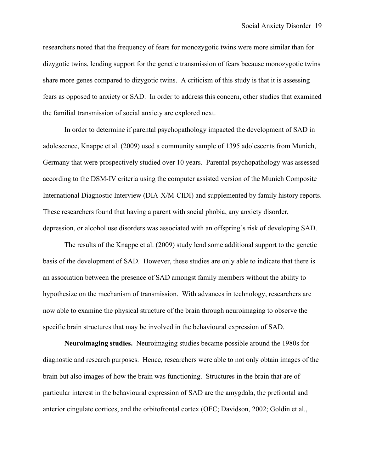researchers noted that the frequency of fears for monozygotic twins were more similar than for dizygotic twins, lending support for the genetic transmission of fears because monozygotic twins share more genes compared to dizygotic twins. A criticism of this study is that it is assessing fears as opposed to anxiety or SAD. In order to address this concern, other studies that examined the familial transmission of social anxiety are explored next.

In order to determine if parental psychopathology impacted the development of SAD in adolescence, Knappe et al. (2009) used a community sample of 1395 adolescents from Munich, Germany that were prospectively studied over 10 years. Parental psychopathology was assessed according to the DSM-IV criteria using the computer assisted version of the Munich Composite International Diagnostic Interview (DIA-X/M-CIDI) and supplemented by family history reports. These researchers found that having a parent with social phobia, any anxiety disorder, depression, or alcohol use disorders was associated with an offspring's risk of developing SAD.

The results of the Knappe et al. (2009) study lend some additional support to the genetic basis of the development of SAD. However, these studies are only able to indicate that there is an association between the presence of SAD amongst family members without the ability to hypothesize on the mechanism of transmission. With advances in technology, researchers are now able to examine the physical structure of the brain through neuroimaging to observe the specific brain structures that may be involved in the behavioural expression of SAD.

**Neuroimaging studies.**Neuroimaging studies became possible around the 1980s for diagnostic and research purposes. Hence, researchers were able to not only obtain images of the brain but also images of how the brain was functioning. Structures in the brain that are of particular interest in the behavioural expression of SAD are the amygdala, the prefrontal and anterior cingulate cortices, and the orbitofrontal cortex (OFC; Davidson, 2002; Goldin et al.,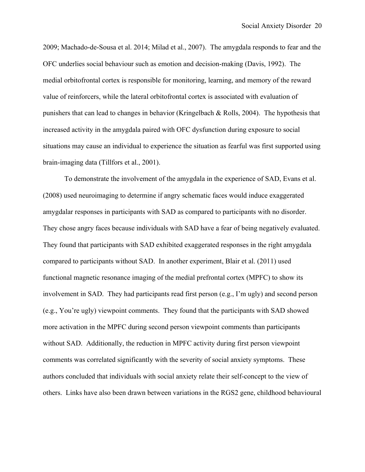2009; Machado-de-Sousa et al. 2014; Milad et al., 2007). The amygdala responds to fear and the OFC underlies social behaviour such as emotion and decision-making (Davis, 1992). The medial orbitofrontal cortex is responsible for monitoring, learning, and memory of the reward value of reinforcers, while the lateral orbitofrontal cortex is associated with evaluation of punishers that can lead to changes in behavior (Kringelbach & Rolls, 2004). The hypothesis that increased activity in the amygdala paired with OFC dysfunction during exposure to social situations may cause an individual to experience the situation as fearful was first supported using brain-imaging data (Tillfors et al., 2001).

To demonstrate the involvement of the amygdala in the experience of SAD, Evans et al. (2008) used neuroimaging to determine if angry schematic faces would induce exaggerated amygdalar responses in participants with SAD as compared to participants with no disorder. They chose angry faces because individuals with SAD have a fear of being negatively evaluated. They found that participants with SAD exhibited exaggerated responses in the right amygdala compared to participants without SAD. In another experiment, Blair et al. (2011) used functional magnetic resonance imaging of the medial prefrontal cortex (MPFC) to show its involvement in SAD. They had participants read first person (e.g., I'm ugly) and second person (e.g., You're ugly) viewpoint comments. They found that the participants with SAD showed more activation in the MPFC during second person viewpoint comments than participants without SAD. Additionally, the reduction in MPFC activity during first person viewpoint comments was correlated significantly with the severity of social anxiety symptoms. These authors concluded that individuals with social anxiety relate their self-concept to the view of others. Links have also been drawn between variations in the RGS2 gene, childhood behavioural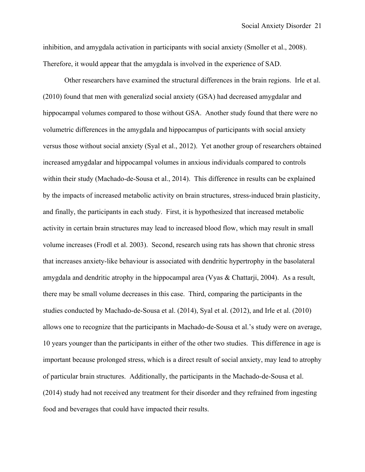inhibition, and amygdala activation in participants with social anxiety (Smoller et al., 2008). Therefore, it would appear that the amygdala is involved in the experience of SAD.

Other researchers have examined the structural differences in the brain regions. Irle et al. (2010) found that men with generalizd social anxiety (GSA) had decreased amygdalar and hippocampal volumes compared to those without GSA. Another study found that there were no volumetric differences in the amygdala and hippocampus of participants with social anxiety versus those without social anxiety (Syal et al., 2012). Yet another group of researchers obtained increased amygdalar and hippocampal volumes in anxious individuals compared to controls within their study (Machado-de-Sousa et al., 2014). This difference in results can be explained by the impacts of increased metabolic activity on brain structures, stress-induced brain plasticity, and finally, the participants in each study. First, it is hypothesized that increased metabolic activity in certain brain structures may lead to increased blood flow, which may result in small volume increases (Frodl et al. 2003). Second, research using rats has shown that chronic stress that increases anxiety-like behaviour is associated with dendritic hypertrophy in the basolateral amygdala and dendritic atrophy in the hippocampal area (Vyas & Chattarji, 2004). As a result, there may be small volume decreases in this case. Third, comparing the participants in the studies conducted by Machado-de-Sousa et al. (2014), Syal et al. (2012), and Irle et al. (2010) allows one to recognize that the participants in Machado-de-Sousa et al.'s study were on average, 10 years younger than the participants in either of the other two studies. This difference in age is important because prolonged stress, which is a direct result of social anxiety, may lead to atrophy of particular brain structures. Additionally, the participants in the Machado-de-Sousa et al. (2014) study had not received any treatment for their disorder and they refrained from ingesting food and beverages that could have impacted their results.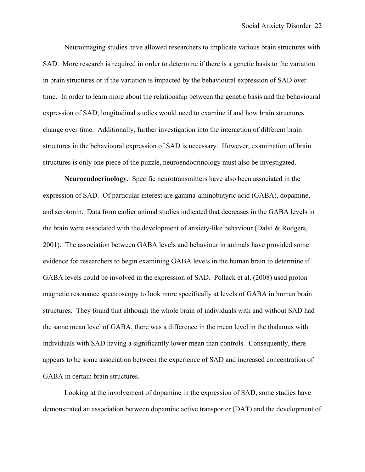Neuroimaging studies have allowed researchers to implicate various brain structures with SAD. More research is required in order to determine if there is a genetic basis to the variation in brain structures or if the variation is impacted by the behavioural expression of SAD over time. In order to learn more about the relationship between the genetic basis and the behavioural expression of SAD, longitudinal studies would need to examine if and how brain structures change over time. Additionally, further investigation into the interaction of different brain structures in the behavioural expression of SAD is necessary. However, examination of brain structures is only one piece of the puzzle, neuroendocrinology must also be investigated.

**Neuroendocrinology.**Specific neurotransmitters have also been associated in the expression of SAD. Of particular interest are gamma-aminobutyric acid (GABA), dopamine, and serotonin. Data from earlier animal studies indicated that decreases in the GABA levels in the brain were associated with the development of anxiety-like behaviour (Dalvi & Rodgers, 2001). The association between GABA levels and behaviour in animals have provided some evidence for researchers to begin examining GABA levels in the human brain to determine if GABA levels could be involved in the expression of SAD. Pollack et al. (2008) used proton magnetic resonance spectroscopy to look more specifically at levels of GABA in human brain structures. They found that although the whole brain of individuals with and without SAD had the same mean level of GABA, there was a difference in the mean level in the thalamus with individuals with SAD having a significantly lower mean than controls. Consequently, there appears to be some association between the experience of SAD and increased concentration of GABA in certain brain structures.

Looking at the involvement of dopamine in the expression of SAD, some studies have demonstrated an association between dopamine active transporter (DAT) and the development of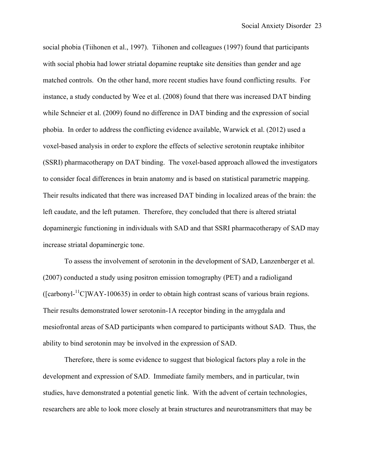social phobia (Tiihonen et al., 1997). Tiihonen and colleagues (1997) found that participants with social phobia had lower striatal dopamine reuptake site densities than gender and age matched controls. On the other hand, more recent studies have found conflicting results. For instance, a study conducted by Wee et al. (2008) found that there was increased DAT binding while Schneier et al. (2009) found no difference in DAT binding and the expression of social phobia. In order to address the conflicting evidence available, Warwick et al. (2012) used a voxel-based analysis in order to explore the effects of selective serotonin reuptake inhibitor (SSRI) pharmacotherapy on DAT binding. The voxel-based approach allowed the investigators to consider focal differences in brain anatomy and is based on statistical parametric mapping. Their results indicated that there was increased DAT binding in localized areas of the brain: the left caudate, and the left putamen. Therefore, they concluded that there is altered striatal dopaminergic functioning in individuals with SAD and that SSRI pharmacotherapy of SAD may increase striatal dopaminergic tone.

To assess the involvement of serotonin in the development of SAD, Lanzenberger et al. (2007) conducted a study using positron emission tomography (PET) and a radioligand ([carbonyl-<sup>11</sup>C]WAY-100635) in order to obtain high contrast scans of various brain regions. Their results demonstrated lower serotonin-1A receptor binding in the amygdala and mesiofrontal areas of SAD participants when compared to participants without SAD. Thus, the ability to bind serotonin may be involved in the expression of SAD.

Therefore, there is some evidence to suggest that biological factors play a role in the development and expression of SAD. Immediate family members, and in particular, twin studies, have demonstrated a potential genetic link. With the advent of certain technologies, researchers are able to look more closely at brain structures and neurotransmitters that may be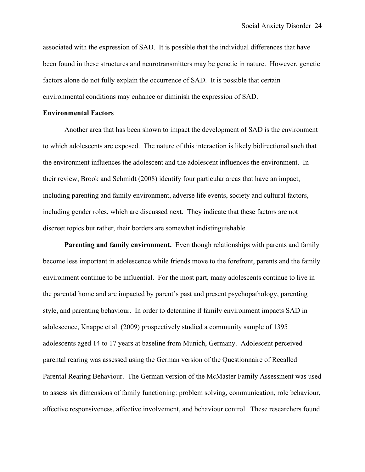associated with the expression of SAD. It is possible that the individual differences that have been found in these structures and neurotransmitters may be genetic in nature. However, genetic factors alone do not fully explain the occurrence of SAD. It is possible that certain environmental conditions may enhance or diminish the expression of SAD.

# **Environmental Factors**

Another area that has been shown to impact the development of SAD is the environment to which adolescents are exposed. The nature of this interaction is likely bidirectional such that the environment influences the adolescent and the adolescent influences the environment. In their review, Brook and Schmidt (2008) identify four particular areas that have an impact, including parenting and family environment, adverse life events, society and cultural factors, including gender roles, which are discussed next. They indicate that these factors are not discreet topics but rather, their borders are somewhat indistinguishable.

**Parenting and family environment.** Even though relationships with parents and family become less important in adolescence while friends move to the forefront, parents and the family environment continue to be influential. For the most part, many adolescents continue to live in the parental home and are impacted by parent's past and present psychopathology, parenting style, and parenting behaviour. In order to determine if family environment impacts SAD in adolescence, Knappe et al. (2009) prospectively studied a community sample of 1395 adolescents aged 14 to 17 years at baseline from Munich, Germany. Adolescent perceived parental rearing was assessed using the German version of the Questionnaire of Recalled Parental Rearing Behaviour. The German version of the McMaster Family Assessment was used to assess six dimensions of family functioning: problem solving, communication, role behaviour, affective responsiveness, affective involvement, and behaviour control. These researchers found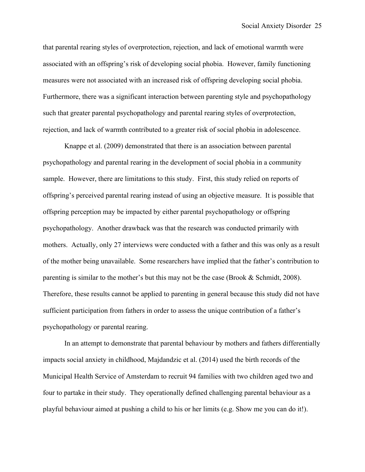that parental rearing styles of overprotection, rejection, and lack of emotional warmth were associated with an offspring's risk of developing social phobia. However, family functioning measures were not associated with an increased risk of offspring developing social phobia. Furthermore, there was a significant interaction between parenting style and psychopathology such that greater parental psychopathology and parental rearing styles of overprotection, rejection, and lack of warmth contributed to a greater risk of social phobia in adolescence.

Knappe et al. (2009) demonstrated that there is an association between parental psychopathology and parental rearing in the development of social phobia in a community sample. However, there are limitations to this study. First, this study relied on reports of offspring's perceived parental rearing instead of using an objective measure. It is possible that offspring perception may be impacted by either parental psychopathology or offspring psychopathology. Another drawback was that the research was conducted primarily with mothers. Actually, only 27 interviews were conducted with a father and this was only as a result of the mother being unavailable. Some researchers have implied that the father's contribution to parenting is similar to the mother's but this may not be the case (Brook & Schmidt, 2008). Therefore, these results cannot be applied to parenting in general because this study did not have sufficient participation from fathers in order to assess the unique contribution of a father's psychopathology or parental rearing.

In an attempt to demonstrate that parental behaviour by mothers and fathers differentially impacts social anxiety in childhood, Majdandzic et al. (2014) used the birth records of the Municipal Health Service of Amsterdam to recruit 94 families with two children aged two and four to partake in their study. They operationally defined challenging parental behaviour as a playful behaviour aimed at pushing a child to his or her limits (e.g. Show me you can do it!).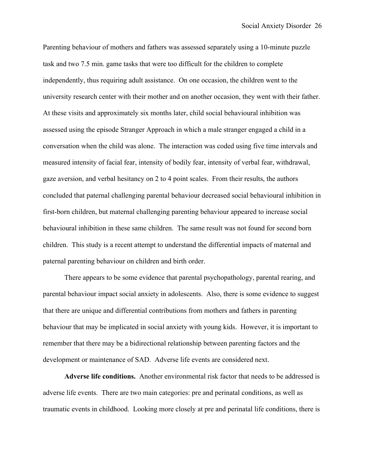Parenting behaviour of mothers and fathers was assessed separately using a 10-minute puzzle task and two 7.5 min. game tasks that were too difficult for the children to complete independently, thus requiring adult assistance. On one occasion, the children went to the university research center with their mother and on another occasion, they went with their father. At these visits and approximately six months later, child social behavioural inhibition was assessed using the episode Stranger Approach in which a male stranger engaged a child in a conversation when the child was alone. The interaction was coded using five time intervals and measured intensity of facial fear, intensity of bodily fear, intensity of verbal fear, withdrawal, gaze aversion, and verbal hesitancy on 2 to 4 point scales. From their results, the authors concluded that paternal challenging parental behaviour decreased social behavioural inhibition in first-born children, but maternal challenging parenting behaviour appeared to increase social behavioural inhibition in these same children. The same result was not found for second born children. This study is a recent attempt to understand the differential impacts of maternal and paternal parenting behaviour on children and birth order.

There appears to be some evidence that parental psychopathology, parental rearing, and parental behaviour impact social anxiety in adolescents. Also, there is some evidence to suggest that there are unique and differential contributions from mothers and fathers in parenting behaviour that may be implicated in social anxiety with young kids. However, it is important to remember that there may be a bidirectional relationship between parenting factors and the development or maintenance of SAD. Adverse life events are considered next.

**Adverse life conditions.** Another environmental risk factor that needs to be addressed is adverse life events. There are two main categories: pre and perinatal conditions, as well as traumatic events in childhood. Looking more closely at pre and perinatal life conditions, there is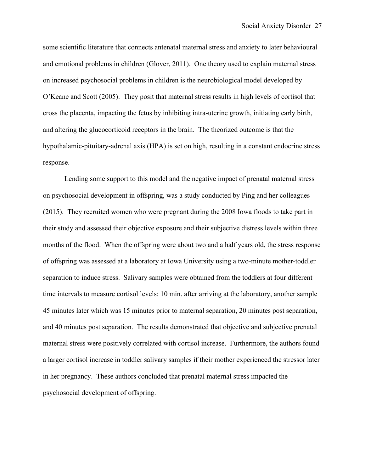some scientific literature that connects antenatal maternal stress and anxiety to later behavioural and emotional problems in children (Glover, 2011). One theory used to explain maternal stress on increased psychosocial problems in children is the neurobiological model developed by O'Keane and Scott (2005). They posit that maternal stress results in high levels of cortisol that cross the placenta, impacting the fetus by inhibiting intra-uterine growth, initiating early birth, and altering the glucocorticoid receptors in the brain. The theorized outcome is that the hypothalamic-pituitary-adrenal axis (HPA) is set on high, resulting in a constant endocrine stress response.

Lending some support to this model and the negative impact of prenatal maternal stress on psychosocial development in offspring, was a study conducted by Ping and her colleagues (2015). They recruited women who were pregnant during the 2008 Iowa floods to take part in their study and assessed their objective exposure and their subjective distress levels within three months of the flood. When the offspring were about two and a half years old, the stress response of offspring was assessed at a laboratory at Iowa University using a two-minute mother-toddler separation to induce stress. Salivary samples were obtained from the toddlers at four different time intervals to measure cortisol levels: 10 min. after arriving at the laboratory, another sample 45 minutes later which was 15 minutes prior to maternal separation, 20 minutes post separation, and 40 minutes post separation. The results demonstrated that objective and subjective prenatal maternal stress were positively correlated with cortisol increase. Furthermore, the authors found a larger cortisol increase in toddler salivary samples if their mother experienced the stressor later in her pregnancy. These authors concluded that prenatal maternal stress impacted the psychosocial development of offspring.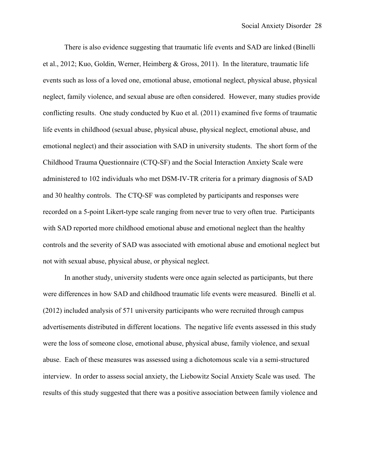There is also evidence suggesting that traumatic life events and SAD are linked (Binelli et al., 2012; Kuo, Goldin, Werner, Heimberg & Gross, 2011). In the literature, traumatic life events such as loss of a loved one, emotional abuse, emotional neglect, physical abuse, physical neglect, family violence, and sexual abuse are often considered. However, many studies provide conflicting results. One study conducted by Kuo et al. (2011) examined five forms of traumatic life events in childhood (sexual abuse, physical abuse, physical neglect, emotional abuse, and emotional neglect) and their association with SAD in university students. The short form of the Childhood Trauma Questionnaire (CTQ-SF) and the Social Interaction Anxiety Scale were administered to 102 individuals who met DSM-IV-TR criteria for a primary diagnosis of SAD and 30 healthy controls. The CTQ-SF was completed by participants and responses were recorded on a 5-point Likert-type scale ranging from never true to very often true. Participants with SAD reported more childhood emotional abuse and emotional neglect than the healthy controls and the severity of SAD was associated with emotional abuse and emotional neglect but not with sexual abuse, physical abuse, or physical neglect.

In another study, university students were once again selected as participants, but there were differences in how SAD and childhood traumatic life events were measured. Binelli et al. (2012) included analysis of 571 university participants who were recruited through campus advertisements distributed in different locations. The negative life events assessed in this study were the loss of someone close, emotional abuse, physical abuse, family violence, and sexual abuse. Each of these measures was assessed using a dichotomous scale via a semi-structured interview. In order to assess social anxiety, the Liebowitz Social Anxiety Scale was used. The results of this study suggested that there was a positive association between family violence and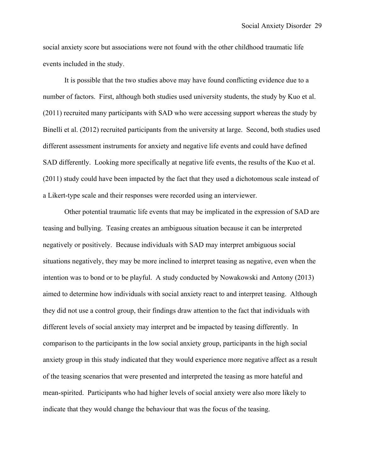social anxiety score but associations were not found with the other childhood traumatic life events included in the study.

It is possible that the two studies above may have found conflicting evidence due to a number of factors. First, although both studies used university students, the study by Kuo et al. (2011) recruited many participants with SAD who were accessing support whereas the study by Binelli et al. (2012) recruited participants from the university at large. Second, both studies used different assessment instruments for anxiety and negative life events and could have defined SAD differently. Looking more specifically at negative life events, the results of the Kuo et al. (2011) study could have been impacted by the fact that they used a dichotomous scale instead of a Likert-type scale and their responses were recorded using an interviewer.

Other potential traumatic life events that may be implicated in the expression of SAD are teasing and bullying. Teasing creates an ambiguous situation because it can be interpreted negatively or positively. Because individuals with SAD may interpret ambiguous social situations negatively, they may be more inclined to interpret teasing as negative, even when the intention was to bond or to be playful. A study conducted by Nowakowski and Antony (2013) aimed to determine how individuals with social anxiety react to and interpret teasing. Although they did not use a control group, their findings draw attention to the fact that individuals with different levels of social anxiety may interpret and be impacted by teasing differently. In comparison to the participants in the low social anxiety group, participants in the high social anxiety group in this study indicated that they would experience more negative affect as a result of the teasing scenarios that were presented and interpreted the teasing as more hateful and mean-spirited. Participants who had higher levels of social anxiety were also more likely to indicate that they would change the behaviour that was the focus of the teasing.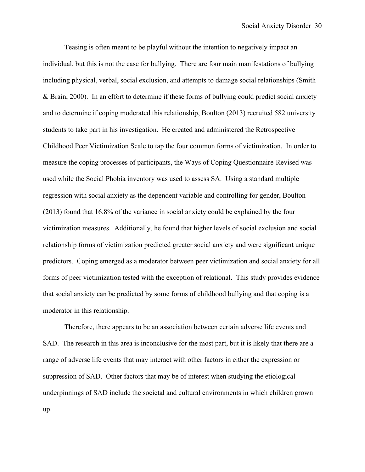Teasing is often meant to be playful without the intention to negatively impact an individual, but this is not the case for bullying. There are four main manifestations of bullying including physical, verbal, social exclusion, and attempts to damage social relationships (Smith & Brain, 2000). In an effort to determine if these forms of bullying could predict social anxiety and to determine if coping moderated this relationship, Boulton (2013) recruited 582 university students to take part in his investigation. He created and administered the Retrospective Childhood Peer Victimization Scale to tap the four common forms of victimization. In order to measure the coping processes of participants, the Ways of Coping Questionnaire-Revised was used while the Social Phobia inventory was used to assess SA. Using a standard multiple regression with social anxiety as the dependent variable and controlling for gender, Boulton (2013) found that 16.8% of the variance in social anxiety could be explained by the four victimization measures. Additionally, he found that higher levels of social exclusion and social relationship forms of victimization predicted greater social anxiety and were significant unique predictors. Coping emerged as a moderator between peer victimization and social anxiety for all forms of peer victimization tested with the exception of relational. This study provides evidence that social anxiety can be predicted by some forms of childhood bullying and that coping is a moderator in this relationship.

Therefore, there appears to be an association between certain adverse life events and SAD. The research in this area is inconclusive for the most part, but it is likely that there are a range of adverse life events that may interact with other factors in either the expression or suppression of SAD. Other factors that may be of interest when studying the etiological underpinnings of SAD include the societal and cultural environments in which children grown up.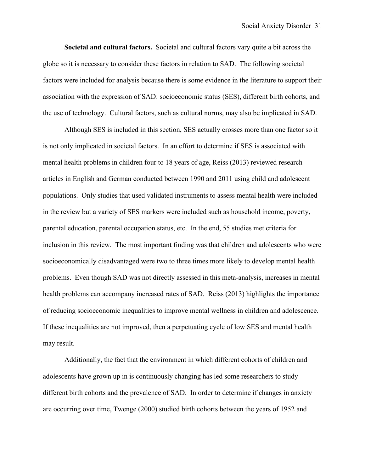**Societal and cultural factors.** Societal and cultural factors vary quite a bit across the globe so it is necessary to consider these factors in relation to SAD. The following societal factors were included for analysis because there is some evidence in the literature to support their association with the expression of SAD: socioeconomic status (SES), different birth cohorts, and the use of technology. Cultural factors, such as cultural norms, may also be implicated in SAD.

Although SES is included in this section, SES actually crosses more than one factor so it is not only implicated in societal factors. In an effort to determine if SES is associated with mental health problems in children four to 18 years of age, Reiss (2013) reviewed research articles in English and German conducted between 1990 and 2011 using child and adolescent populations. Only studies that used validated instruments to assess mental health were included in the review but a variety of SES markers were included such as household income, poverty, parental education, parental occupation status, etc. In the end, 55 studies met criteria for inclusion in this review. The most important finding was that children and adolescents who were socioeconomically disadvantaged were two to three times more likely to develop mental health problems. Even though SAD was not directly assessed in this meta-analysis, increases in mental health problems can accompany increased rates of SAD. Reiss (2013) highlights the importance of reducing socioeconomic inequalities to improve mental wellness in children and adolescence. If these inequalities are not improved, then a perpetuating cycle of low SES and mental health may result.

Additionally, the fact that the environment in which different cohorts of children and adolescents have grown up in is continuously changing has led some researchers to study different birth cohorts and the prevalence of SAD. In order to determine if changes in anxiety are occurring over time, Twenge (2000) studied birth cohorts between the years of 1952 and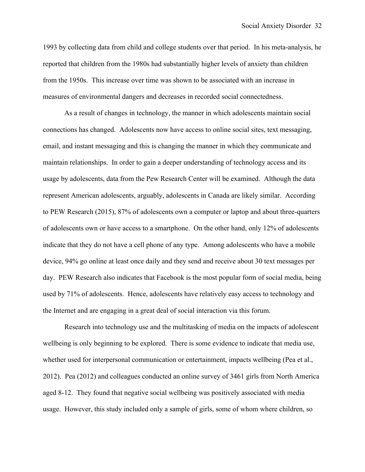1993 by collecting data from child and college students over that period. In his meta-analysis, he reported that children from the 1980s had substantially higher levels of anxiety than children from the 1950s. This increase over time was shown to be associated with an increase in measures of environmental dangers and decreases in recorded social connectedness.

As a result of changes in technology, the manner in which adolescents maintain social connections has changed. Adolescents now have access to online social sites, text messaging, email, and instant messaging and this is changing the manner in which they communicate and maintain relationships. In order to gain a deeper understanding of technology access and its usage by adolescents, data from the Pew Research Center will be examined. Although the data represent American adolescents, arguably, adolescents in Canada are likely similar. According to PEW Research (2015), 87% of adolescents own a computer or laptop and about three-quarters of adolescents own or have access to a smartphone. On the other hand, only 12% of adolescents indicate that they do not have a cell phone of any type. Among adolescents who have a mobile device, 94% go online at least once daily and they send and receive about 30 text messages per day. PEW Research also indicates that Facebook is the most popular form of social media, being used by 71% of adolescents. Hence, adolescents have relatively easy access to technology and the Internet and are engaging in a great deal of social interaction via this forum.

Research into technology use and the multitasking of media on the impacts of adolescent wellbeing is only beginning to be explored. There is some evidence to indicate that media use, whether used for interpersonal communication or entertainment, impacts wellbeing (Pea et al., 2012). Pea (2012) and colleagues conducted an online survey of 3461 girls from North America aged 8-12. They found that negative social wellbeing was positively associated with media usage. However, this study included only a sample of girls, some of whom where children, so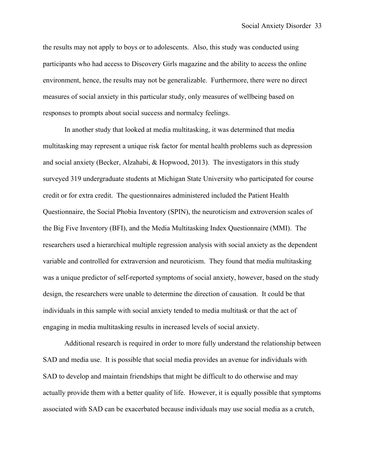the results may not apply to boys or to adolescents. Also, this study was conducted using participants who had access to Discovery Girls magazine and the ability to access the online environment, hence, the results may not be generalizable. Furthermore, there were no direct measures of social anxiety in this particular study, only measures of wellbeing based on responses to prompts about social success and normalcy feelings.

In another study that looked at media multitasking, it was determined that media multitasking may represent a unique risk factor for mental health problems such as depression and social anxiety (Becker, Alzahabi, & Hopwood, 2013). The investigators in this study surveyed 319 undergraduate students at Michigan State University who participated for course credit or for extra credit. The questionnaires administered included the Patient Health Questionnaire, the Social Phobia Inventory (SPIN), the neuroticism and extroversion scales of the Big Five Inventory (BFI), and the Media Multitasking Index Questionnaire (MMI). The researchers used a hierarchical multiple regression analysis with social anxiety as the dependent variable and controlled for extraversion and neuroticism. They found that media multitasking was a unique predictor of self-reported symptoms of social anxiety, however, based on the study design, the researchers were unable to determine the direction of causation. It could be that individuals in this sample with social anxiety tended to media multitask or that the act of engaging in media multitasking results in increased levels of social anxiety.

Additional research is required in order to more fully understand the relationship between SAD and media use. It is possible that social media provides an avenue for individuals with SAD to develop and maintain friendships that might be difficult to do otherwise and may actually provide them with a better quality of life. However, it is equally possible that symptoms associated with SAD can be exacerbated because individuals may use social media as a crutch,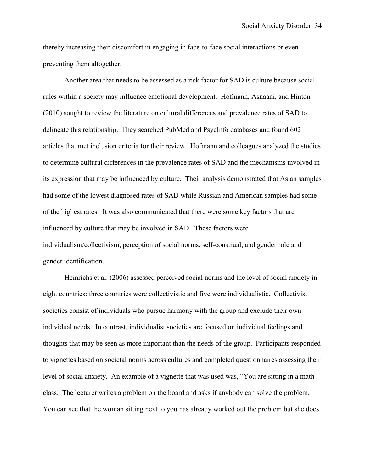thereby increasing their discomfort in engaging in face-to-face social interactions or even preventing them altogether.

Another area that needs to be assessed as a risk factor for SAD is culture because social rules within a society may influence emotional development. Hofmann, Asnaani, and Hinton (2010) sought to review the literature on cultural differences and prevalence rates of SAD to delineate this relationship. They searched PubMed and PsycInfo databases and found 602 articles that met inclusion criteria for their review. Hofmann and colleagues analyzed the studies to determine cultural differences in the prevalence rates of SAD and the mechanisms involved in its expression that may be influenced by culture. Their analysis demonstrated that Asian samples had some of the lowest diagnosed rates of SAD while Russian and American samples had some of the highest rates. It was also communicated that there were some key factors that are influenced by culture that may be involved in SAD. These factors were individualism/collectivism, perception of social norms, self-construal, and gender role and gender identification.

Heinrichs et al. (2006) assessed perceived social norms and the level of social anxiety in eight countries: three countries were collectivistic and five were individualistic. Collectivist societies consist of individuals who pursue harmony with the group and exclude their own individual needs. In contrast, individualist societies are focused on individual feelings and thoughts that may be seen as more important than the needs of the group. Participants responded to vignettes based on societal norms across cultures and completed questionnaires assessing their level of social anxiety. An example of a vignette that was used was, "You are sitting in a math class. The lecturer writes a problem on the board and asks if anybody can solve the problem. You can see that the woman sitting next to you has already worked out the problem but she does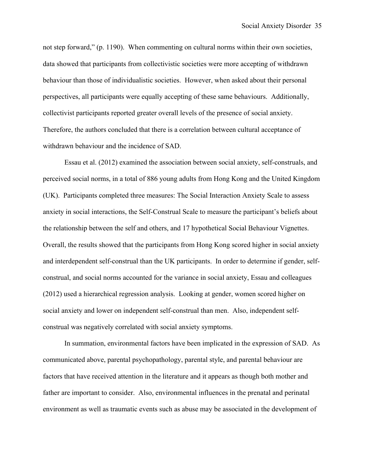not step forward," (p. 1190). When commenting on cultural norms within their own societies, data showed that participants from collectivistic societies were more accepting of withdrawn behaviour than those of individualistic societies. However, when asked about their personal perspectives, all participants were equally accepting of these same behaviours. Additionally, collectivist participants reported greater overall levels of the presence of social anxiety. Therefore, the authors concluded that there is a correlation between cultural acceptance of withdrawn behaviour and the incidence of SAD.

Essau et al. (2012) examined the association between social anxiety, self-construals, and perceived social norms, in a total of 886 young adults from Hong Kong and the United Kingdom (UK). Participants completed three measures: The Social Interaction Anxiety Scale to assess anxiety in social interactions, the Self-Construal Scale to measure the participant's beliefs about the relationship between the self and others, and 17 hypothetical Social Behaviour Vignettes. Overall, the results showed that the participants from Hong Kong scored higher in social anxiety and interdependent self-construal than the UK participants. In order to determine if gender, selfconstrual, and social norms accounted for the variance in social anxiety, Essau and colleagues (2012) used a hierarchical regression analysis. Looking at gender, women scored higher on social anxiety and lower on independent self-construal than men. Also, independent selfconstrual was negatively correlated with social anxiety symptoms.

In summation, environmental factors have been implicated in the expression of SAD. As communicated above, parental psychopathology, parental style, and parental behaviour are factors that have received attention in the literature and it appears as though both mother and father are important to consider. Also, environmental influences in the prenatal and perinatal environment as well as traumatic events such as abuse may be associated in the development of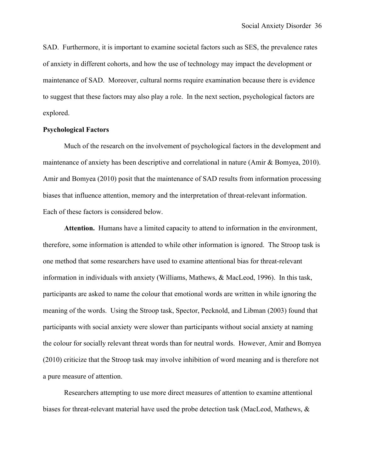SAD. Furthermore, it is important to examine societal factors such as SES, the prevalence rates of anxiety in different cohorts, and how the use of technology may impact the development or maintenance of SAD. Moreover, cultural norms require examination because there is evidence to suggest that these factors may also play a role. In the next section, psychological factors are explored.

# **Psychological Factors**

Much of the research on the involvement of psychological factors in the development and maintenance of anxiety has been descriptive and correlational in nature (Amir & Bomyea, 2010). Amir and Bomyea (2010) posit that the maintenance of SAD results from information processing biases that influence attention, memory and the interpretation of threat-relevant information. Each of these factors is considered below.

**Attention.** Humans have a limited capacity to attend to information in the environment, therefore, some information is attended to while other information is ignored. The Stroop task is one method that some researchers have used to examine attentional bias for threat-relevant information in individuals with anxiety (Williams, Mathews, & MacLeod, 1996). In this task, participants are asked to name the colour that emotional words are written in while ignoring the meaning of the words. Using the Stroop task, Spector, Pecknold, and Libman (2003) found that participants with social anxiety were slower than participants without social anxiety at naming the colour for socially relevant threat words than for neutral words. However, Amir and Bomyea (2010) criticize that the Stroop task may involve inhibition of word meaning and is therefore not a pure measure of attention.

Researchers attempting to use more direct measures of attention to examine attentional biases for threat-relevant material have used the probe detection task (MacLeod, Mathews, &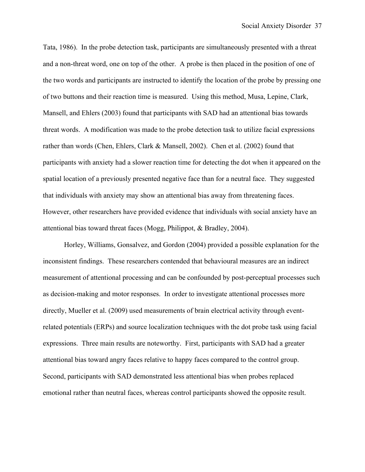Tata, 1986). In the probe detection task, participants are simultaneously presented with a threat and a non-threat word, one on top of the other. A probe is then placed in the position of one of the two words and participants are instructed to identify the location of the probe by pressing one of two buttons and their reaction time is measured. Using this method, Musa, Lepine, Clark, Mansell, and Ehlers (2003) found that participants with SAD had an attentional bias towards threat words. A modification was made to the probe detection task to utilize facial expressions rather than words (Chen, Ehlers, Clark & Mansell, 2002). Chen et al. (2002) found that participants with anxiety had a slower reaction time for detecting the dot when it appeared on the spatial location of a previously presented negative face than for a neutral face. They suggested that individuals with anxiety may show an attentional bias away from threatening faces. However, other researchers have provided evidence that individuals with social anxiety have an attentional bias toward threat faces (Mogg, Philippot, & Bradley, 2004).

Horley, Williams, Gonsalvez, and Gordon (2004) provided a possible explanation for the inconsistent findings. These researchers contended that behavioural measures are an indirect measurement of attentional processing and can be confounded by post-perceptual processes such as decision-making and motor responses. In order to investigate attentional processes more directly, Mueller et al. (2009) used measurements of brain electrical activity through eventrelated potentials (ERPs) and source localization techniques with the dot probe task using facial expressions. Three main results are noteworthy. First, participants with SAD had a greater attentional bias toward angry faces relative to happy faces compared to the control group. Second, participants with SAD demonstrated less attentional bias when probes replaced emotional rather than neutral faces, whereas control participants showed the opposite result.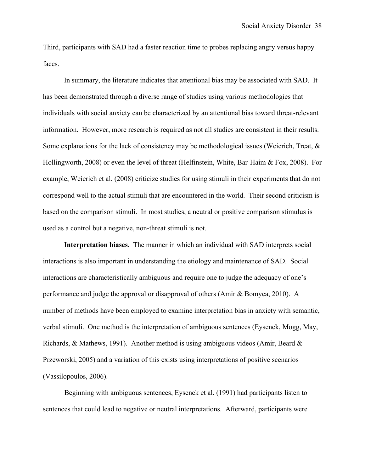Third, participants with SAD had a faster reaction time to probes replacing angry versus happy faces.

In summary, the literature indicates that attentional bias may be associated with SAD. It has been demonstrated through a diverse range of studies using various methodologies that individuals with social anxiety can be characterized by an attentional bias toward threat-relevant information. However, more research is required as not all studies are consistent in their results. Some explanations for the lack of consistency may be methodological issues (Weierich, Treat,  $\&$ Hollingworth, 2008) or even the level of threat (Helfinstein, White, Bar-Haim & Fox, 2008). For example, Weierich et al. (2008) criticize studies for using stimuli in their experiments that do not correspond well to the actual stimuli that are encountered in the world. Their second criticism is based on the comparison stimuli. In most studies, a neutral or positive comparison stimulus is used as a control but a negative, non-threat stimuli is not.

**Interpretation biases.** The manner in which an individual with SAD interprets social interactions is also important in understanding the etiology and maintenance of SAD. Social interactions are characteristically ambiguous and require one to judge the adequacy of one's performance and judge the approval or disapproval of others (Amir & Bomyea, 2010). A number of methods have been employed to examine interpretation bias in anxiety with semantic, verbal stimuli. One method is the interpretation of ambiguous sentences (Eysenck, Mogg, May, Richards, & Mathews, 1991). Another method is using ambiguous videos (Amir, Beard  $\&$ Przeworski, 2005) and a variation of this exists using interpretations of positive scenarios (Vassilopoulos, 2006).

Beginning with ambiguous sentences, Eysenck et al. (1991) had participants listen to sentences that could lead to negative or neutral interpretations. Afterward, participants were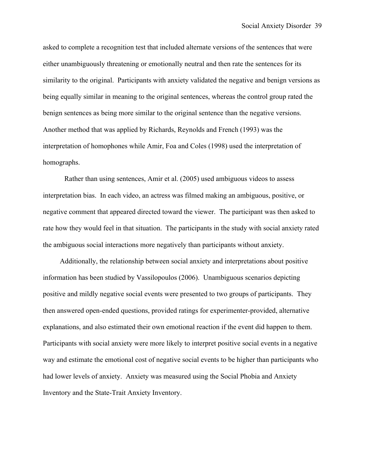asked to complete a recognition test that included alternate versions of the sentences that were either unambiguously threatening or emotionally neutral and then rate the sentences for its similarity to the original. Participants with anxiety validated the negative and benign versions as being equally similar in meaning to the original sentences, whereas the control group rated the benign sentences as being more similar to the original sentence than the negative versions. Another method that was applied by Richards, Reynolds and French (1993) was the interpretation of homophones while Amir, Foa and Coles (1998) used the interpretation of homographs.

Rather than using sentences, Amir et al. (2005) used ambiguous videos to assess interpretation bias. In each video, an actress was filmed making an ambiguous, positive, or negative comment that appeared directed toward the viewer. The participant was then asked to rate how they would feel in that situation. The participants in the study with social anxiety rated the ambiguous social interactions more negatively than participants without anxiety.

Additionally, the relationship between social anxiety and interpretations about positive information has been studied by Vassilopoulos (2006). Unambiguous scenarios depicting positive and mildly negative social events were presented to two groups of participants. They then answered open-ended questions, provided ratings for experimenter-provided, alternative explanations, and also estimated their own emotional reaction if the event did happen to them. Participants with social anxiety were more likely to interpret positive social events in a negative way and estimate the emotional cost of negative social events to be higher than participants who had lower levels of anxiety. Anxiety was measured using the Social Phobia and Anxiety Inventory and the State-Trait Anxiety Inventory.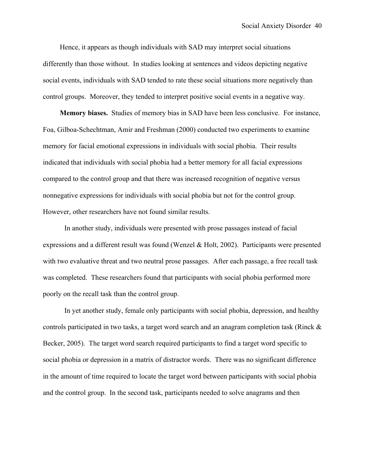Hence, it appears as though individuals with SAD may interpret social situations differently than those without. In studies looking at sentences and videos depicting negative social events, individuals with SAD tended to rate these social situations more negatively than control groups. Moreover, they tended to interpret positive social events in a negative way.

**Memory biases.** Studies of memory bias in SAD have been less conclusive. For instance, Foa, Gilboa-Schechtman, Amir and Freshman (2000) conducted two experiments to examine memory for facial emotional expressions in individuals with social phobia. Their results indicated that individuals with social phobia had a better memory for all facial expressions compared to the control group and that there was increased recognition of negative versus nonnegative expressions for individuals with social phobia but not for the control group. However, other researchers have not found similar results.

In another study, individuals were presented with prose passages instead of facial expressions and a different result was found (Wenzel & Holt, 2002). Participants were presented with two evaluative threat and two neutral prose passages. After each passage, a free recall task was completed. These researchers found that participants with social phobia performed more poorly on the recall task than the control group.

In yet another study, female only participants with social phobia, depression, and healthy controls participated in two tasks, a target word search and an anagram completion task (Rinck & Becker, 2005). The target word search required participants to find a target word specific to social phobia or depression in a matrix of distractor words. There was no significant difference in the amount of time required to locate the target word between participants with social phobia and the control group. In the second task, participants needed to solve anagrams and then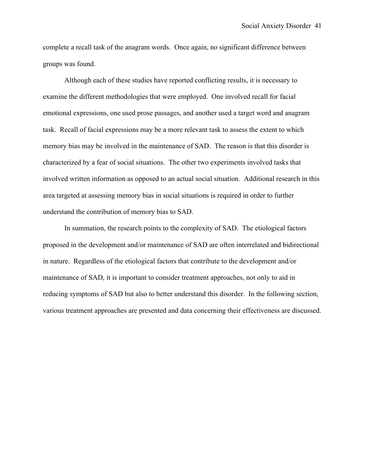complete a recall task of the anagram words. Once again, no significant difference between groups was found.

Although each of these studies have reported conflicting results, it is necessary to examine the different methodologies that were employed. One involved recall for facial emotional expressions, one used prose passages, and another used a target word and anagram task. Recall of facial expressions may be a more relevant task to assess the extent to which memory bias may be involved in the maintenance of SAD. The reason is that this disorder is characterized by a fear of social situations. The other two experiments involved tasks that involved written information as opposed to an actual social situation. Additional research in this area targeted at assessing memory bias in social situations is required in order to further understand the contribution of memory bias to SAD.

In summation, the research points to the complexity of SAD. The etiological factors proposed in the development and/or maintenance of SAD are often interrelated and bidirectional in nature. Regardless of the etiological factors that contribute to the development and/or maintenance of SAD, it is important to consider treatment approaches, not only to aid in reducing symptoms of SAD but also to better understand this disorder. In the following section, various treatment approaches are presented and data concerning their effectiveness are discussed.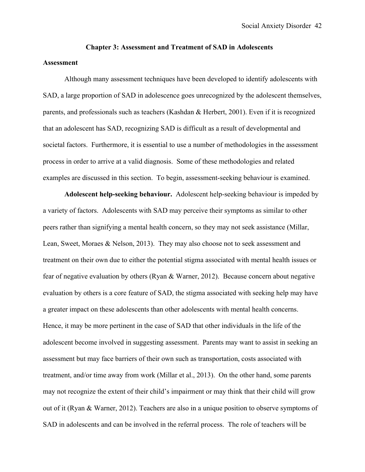# **Chapter 3: Assessment and Treatment of SAD in Adolescents**

## **Assessment**

Although many assessment techniques have been developed to identify adolescents with SAD, a large proportion of SAD in adolescence goes unrecognized by the adolescent themselves, parents, and professionals such as teachers (Kashdan & Herbert, 2001). Even if it is recognized that an adolescent has SAD, recognizing SAD is difficult as a result of developmental and societal factors. Furthermore, it is essential to use a number of methodologies in the assessment process in order to arrive at a valid diagnosis. Some of these methodologies and related examples are discussed in this section. To begin, assessment-seeking behaviour is examined.

**Adolescent help-seeking behaviour.** Adolescent help-seeking behaviour is impeded by a variety of factors. Adolescents with SAD may perceive their symptoms as similar to other peers rather than signifying a mental health concern, so they may not seek assistance (Millar, Lean, Sweet, Moraes & Nelson, 2013). They may also choose not to seek assessment and treatment on their own due to either the potential stigma associated with mental health issues or fear of negative evaluation by others (Ryan & Warner, 2012). Because concern about negative evaluation by others is a core feature of SAD, the stigma associated with seeking help may have a greater impact on these adolescents than other adolescents with mental health concerns. Hence, it may be more pertinent in the case of SAD that other individuals in the life of the adolescent become involved in suggesting assessment. Parents may want to assist in seeking an assessment but may face barriers of their own such as transportation, costs associated with treatment, and/or time away from work (Millar et al., 2013). On the other hand, some parents may not recognize the extent of their child's impairment or may think that their child will grow out of it (Ryan & Warner, 2012). Teachers are also in a unique position to observe symptoms of SAD in adolescents and can be involved in the referral process. The role of teachers will be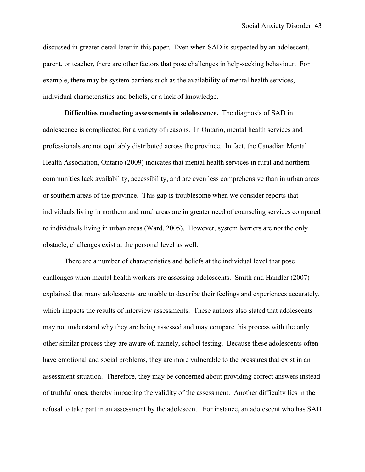discussed in greater detail later in this paper. Even when SAD is suspected by an adolescent, parent, or teacher, there are other factors that pose challenges in help-seeking behaviour. For example, there may be system barriers such as the availability of mental health services, individual characteristics and beliefs, or a lack of knowledge.

**Difficulties conducting assessments in adolescence.** The diagnosis of SAD in adolescence is complicated for a variety of reasons. In Ontario, mental health services and professionals are not equitably distributed across the province. In fact, the Canadian Mental Health Association, Ontario (2009) indicates that mental health services in rural and northern communities lack availability, accessibility, and are even less comprehensive than in urban areas or southern areas of the province. This gap is troublesome when we consider reports that individuals living in northern and rural areas are in greater need of counseling services compared to individuals living in urban areas (Ward, 2005). However, system barriers are not the only obstacle, challenges exist at the personal level as well.

There are a number of characteristics and beliefs at the individual level that pose challenges when mental health workers are assessing adolescents. Smith and Handler (2007) explained that many adolescents are unable to describe their feelings and experiences accurately, which impacts the results of interview assessments. These authors also stated that adolescents may not understand why they are being assessed and may compare this process with the only other similar process they are aware of, namely, school testing. Because these adolescents often have emotional and social problems, they are more vulnerable to the pressures that exist in an assessment situation. Therefore, they may be concerned about providing correct answers instead of truthful ones, thereby impacting the validity of the assessment. Another difficulty lies in the refusal to take part in an assessment by the adolescent. For instance, an adolescent who has SAD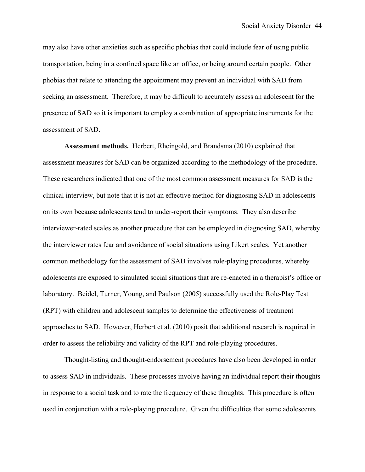may also have other anxieties such as specific phobias that could include fear of using public transportation, being in a confined space like an office, or being around certain people. Other phobias that relate to attending the appointment may prevent an individual with SAD from seeking an assessment. Therefore, it may be difficult to accurately assess an adolescent for the presence of SAD so it is important to employ a combination of appropriate instruments for the assessment of SAD.

**Assessment methods.** Herbert, Rheingold, and Brandsma (2010) explained that assessment measures for SAD can be organized according to the methodology of the procedure. These researchers indicated that one of the most common assessment measures for SAD is the clinical interview, but note that it is not an effective method for diagnosing SAD in adolescents on its own because adolescents tend to under-report their symptoms. They also describe interviewer-rated scales as another procedure that can be employed in diagnosing SAD, whereby the interviewer rates fear and avoidance of social situations using Likert scales. Yet another common methodology for the assessment of SAD involves role-playing procedures, whereby adolescents are exposed to simulated social situations that are re-enacted in a therapist's office or laboratory. Beidel, Turner, Young, and Paulson (2005) successfully used the Role-Play Test (RPT) with children and adolescent samples to determine the effectiveness of treatment approaches to SAD. However, Herbert et al. (2010) posit that additional research is required in order to assess the reliability and validity of the RPT and role-playing procedures.

Thought-listing and thought-endorsement procedures have also been developed in order to assess SAD in individuals. These processes involve having an individual report their thoughts in response to a social task and to rate the frequency of these thoughts. This procedure is often used in conjunction with a role-playing procedure. Given the difficulties that some adolescents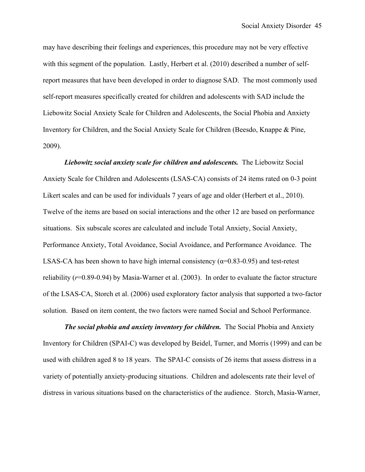may have describing their feelings and experiences, this procedure may not be very effective with this segment of the population. Lastly, Herbert et al. (2010) described a number of selfreport measures that have been developed in order to diagnose SAD. The most commonly used self-report measures specifically created for children and adolescents with SAD include the Liebowitz Social Anxiety Scale for Children and Adolescents, the Social Phobia and Anxiety Inventory for Children, and the Social Anxiety Scale for Children (Beesdo, Knappe & Pine, 2009).

*Liebowitz social anxiety scale for children and adolescents.* The Liebowitz Social Anxiety Scale for Children and Adolescents (LSAS-CA) consists of 24 items rated on 0-3 point Likert scales and can be used for individuals 7 years of age and older (Herbert et al., 2010). Twelve of the items are based on social interactions and the other 12 are based on performance situations. Six subscale scores are calculated and include Total Anxiety, Social Anxiety, Performance Anxiety, Total Avoidance, Social Avoidance, and Performance Avoidance. The LSAS-CA has been shown to have high internal consistency ( $\alpha$ =0.83-0.95) and test-retest reliability (*r*=0.89-0.94) by Masia-Warner et al. (2003). In order to evaluate the factor structure of the LSAS-CA, Storch et al. (2006) used exploratory factor analysis that supported a two-factor solution. Based on item content, the two factors were named Social and School Performance.

*The social phobia and anxiety inventory for children.* The Social Phobia and Anxiety Inventory for Children (SPAI-C) was developed by Beidel, Turner, and Morris (1999) and can be used with children aged 8 to 18 years. The SPAI-C consists of 26 items that assess distress in a variety of potentially anxiety-producing situations. Children and adolescents rate their level of distress in various situations based on the characteristics of the audience. Storch, Masia-Warner,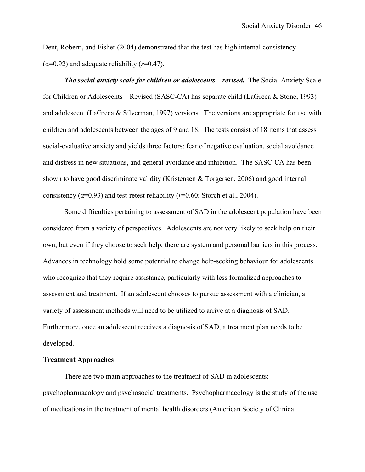Dent, Roberti, and Fisher (2004) demonstrated that the test has high internal consistency  $(\alpha=0.92)$  and adequate reliability  $(r=0.47)$ .

*The social anxiety scale for children or adolescents—revised.* The Social Anxiety Scale for Children or Adolescents—Revised (SASC-CA) has separate child (LaGreca & Stone, 1993) and adolescent (LaGreca & Silverman, 1997) versions. The versions are appropriate for use with children and adolescents between the ages of 9 and 18. The tests consist of 18 items that assess social-evaluative anxiety and yields three factors: fear of negative evaluation, social avoidance and distress in new situations, and general avoidance and inhibition. The SASC-CA has been shown to have good discriminate validity (Kristensen & Torgersen, 2006) and good internal consistency ( $\alpha$ =0.93) and test-retest reliability ( $r$ =0.60; Storch et al., 2004).

Some difficulties pertaining to assessment of SAD in the adolescent population have been considered from a variety of perspectives. Adolescents are not very likely to seek help on their own, but even if they choose to seek help, there are system and personal barriers in this process. Advances in technology hold some potential to change help-seeking behaviour for adolescents who recognize that they require assistance, particularly with less formalized approaches to assessment and treatment. If an adolescent chooses to pursue assessment with a clinician, a variety of assessment methods will need to be utilized to arrive at a diagnosis of SAD. Furthermore, once an adolescent receives a diagnosis of SAD, a treatment plan needs to be developed.

## **Treatment Approaches**

There are two main approaches to the treatment of SAD in adolescents: psychopharmacology and psychosocial treatments. Psychopharmacology is the study of the use of medications in the treatment of mental health disorders (American Society of Clinical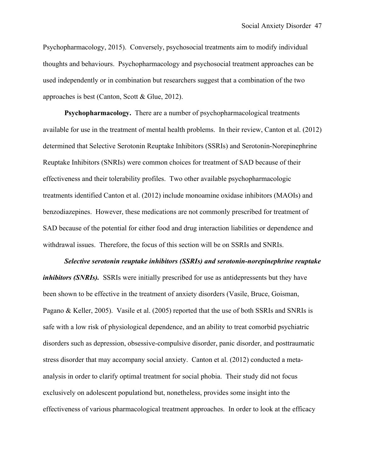Psychopharmacology, 2015). Conversely, psychosocial treatments aim to modify individual thoughts and behaviours. Psychopharmacology and psychosocial treatment approaches can be used independently or in combination but researchers suggest that a combination of the two approaches is best (Canton, Scott & Glue, 2012).

**Psychopharmacology.** There are a number of psychopharmacological treatments available for use in the treatment of mental health problems. In their review, Canton et al. (2012) determined that Selective Serotonin Reuptake Inhibitors (SSRIs) and Serotonin-Norepinephrine Reuptake Inhibitors (SNRIs) were common choices for treatment of SAD because of their effectiveness and their tolerability profiles. Two other available psychopharmacologic treatments identified Canton et al. (2012) include monoamine oxidase inhibitors (MAOIs) and benzodiazepines. However, these medications are not commonly prescribed for treatment of SAD because of the potential for either food and drug interaction liabilities or dependence and withdrawal issues. Therefore, the focus of this section will be on SSRIs and SNRIs.

*Selective serotonin reuptake inhibitors (SSRIs) and serotonin-norepinephrine reuptake inhibitors (SNRIs).* SSRIs were initially prescribed for use as antidepressents but they have been shown to be effective in the treatment of anxiety disorders (Vasile, Bruce, Goisman, Pagano & Keller, 2005). Vasile et al. (2005) reported that the use of both SSRIs and SNRIs is safe with a low risk of physiological dependence, and an ability to treat comorbid psychiatric disorders such as depression, obsessive-compulsive disorder, panic disorder, and posttraumatic stress disorder that may accompany social anxiety. Canton et al. (2012) conducted a metaanalysis in order to clarify optimal treatment for social phobia. Their study did not focus exclusively on adolescent populationd but, nonetheless, provides some insight into the effectiveness of various pharmacological treatment approaches. In order to look at the efficacy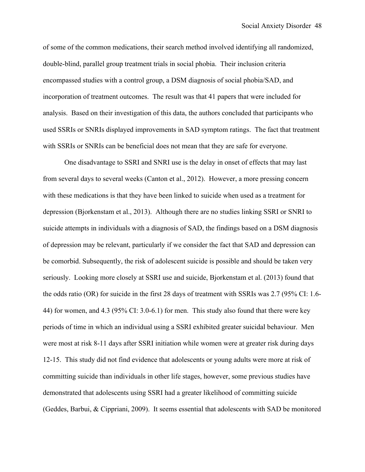of some of the common medications, their search method involved identifying all randomized, double-blind, parallel group treatment trials in social phobia. Their inclusion criteria encompassed studies with a control group, a DSM diagnosis of social phobia/SAD, and incorporation of treatment outcomes. The result was that 41 papers that were included for analysis. Based on their investigation of this data, the authors concluded that participants who used SSRIs or SNRIs displayed improvements in SAD symptom ratings. The fact that treatment with SSRIs or SNRIs can be beneficial does not mean that they are safe for everyone.

One disadvantage to SSRI and SNRI use is the delay in onset of effects that may last from several days to several weeks (Canton et al., 2012). However, a more pressing concern with these medications is that they have been linked to suicide when used as a treatment for depression (Bjorkenstam et al., 2013). Although there are no studies linking SSRI or SNRI to suicide attempts in individuals with a diagnosis of SAD, the findings based on a DSM diagnosis of depression may be relevant, particularly if we consider the fact that SAD and depression can be comorbid. Subsequently, the risk of adolescent suicide is possible and should be taken very seriously. Looking more closely at SSRI use and suicide, Bjorkenstam et al. (2013) found that the odds ratio (OR) for suicide in the first 28 days of treatment with SSRIs was 2.7 (95% CI: 1.6- 44) for women, and 4.3 (95% CI: 3.0-6.1) for men. This study also found that there were key periods of time in which an individual using a SSRI exhibited greater suicidal behaviour. Men were most at risk 8-11 days after SSRI initiation while women were at greater risk during days 12-15. This study did not find evidence that adolescents or young adults were more at risk of committing suicide than individuals in other life stages, however, some previous studies have demonstrated that adolescents using SSRI had a greater likelihood of committing suicide (Geddes, Barbui, & Cippriani, 2009). It seems essential that adolescents with SAD be monitored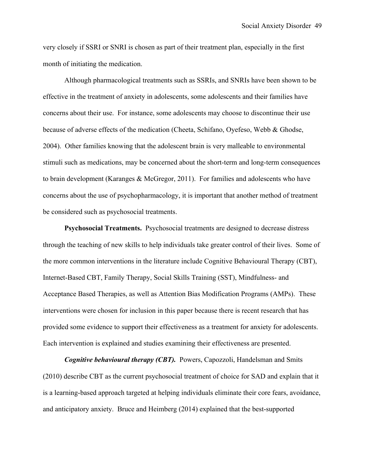very closely if SSRI or SNRI is chosen as part of their treatment plan, especially in the first month of initiating the medication.

Although pharmacological treatments such as SSRIs, and SNRIs have been shown to be effective in the treatment of anxiety in adolescents, some adolescents and their families have concerns about their use. For instance, some adolescents may choose to discontinue their use because of adverse effects of the medication (Cheeta, Schifano, Oyefeso, Webb & Ghodse, 2004). Other families knowing that the adolescent brain is very malleable to environmental stimuli such as medications, may be concerned about the short-term and long-term consequences to brain development (Karanges & McGregor, 2011). For families and adolescents who have concerns about the use of psychopharmacology, it is important that another method of treatment be considered such as psychosocial treatments.

**Psychosocial Treatments.** Psychosocial treatments are designed to decrease distress through the teaching of new skills to help individuals take greater control of their lives. Some of the more common interventions in the literature include Cognitive Behavioural Therapy (CBT), Internet-Based CBT, Family Therapy, Social Skills Training (SST), Mindfulness- and Acceptance Based Therapies, as well as Attention Bias Modification Programs (AMPs). These interventions were chosen for inclusion in this paper because there is recent research that has provided some evidence to support their effectiveness as a treatment for anxiety for adolescents. Each intervention is explained and studies examining their effectiveness are presented.

*Cognitive behavioural therapy (CBT).* Powers, Capozzoli, Handelsman and Smits (2010) describe CBT as the current psychosocial treatment of choice for SAD and explain that it is a learning-based approach targeted at helping individuals eliminate their core fears, avoidance, and anticipatory anxiety. Bruce and Heimberg (2014) explained that the best-supported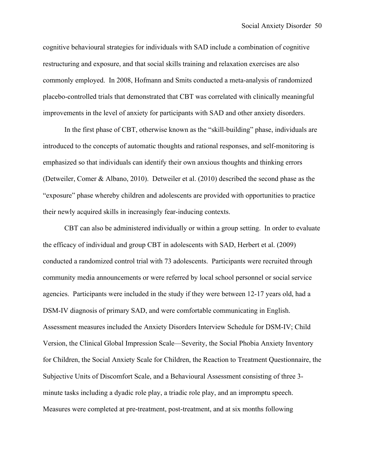cognitive behavioural strategies for individuals with SAD include a combination of cognitive restructuring and exposure, and that social skills training and relaxation exercises are also commonly employed. In 2008, Hofmann and Smits conducted a meta-analysis of randomized placebo-controlled trials that demonstrated that CBT was correlated with clinically meaningful improvements in the level of anxiety for participants with SAD and other anxiety disorders.

In the first phase of CBT, otherwise known as the "skill-building" phase, individuals are introduced to the concepts of automatic thoughts and rational responses, and self-monitoring is emphasized so that individuals can identify their own anxious thoughts and thinking errors (Detweiler, Comer & Albano, 2010). Detweiler et al. (2010) described the second phase as the "exposure" phase whereby children and adolescents are provided with opportunities to practice their newly acquired skills in increasingly fear-inducing contexts.

CBT can also be administered individually or within a group setting. In order to evaluate the efficacy of individual and group CBT in adolescents with SAD, Herbert et al. (2009) conducted a randomized control trial with 73 adolescents. Participants were recruited through community media announcements or were referred by local school personnel or social service agencies. Participants were included in the study if they were between 12-17 years old, had a DSM-IV diagnosis of primary SAD, and were comfortable communicating in English. Assessment measures included the Anxiety Disorders Interview Schedule for DSM-IV; Child Version, the Clinical Global Impression Scale—Severity, the Social Phobia Anxiety Inventory for Children, the Social Anxiety Scale for Children, the Reaction to Treatment Questionnaire, the Subjective Units of Discomfort Scale, and a Behavioural Assessment consisting of three 3 minute tasks including a dyadic role play, a triadic role play, and an impromptu speech. Measures were completed at pre-treatment, post-treatment, and at six months following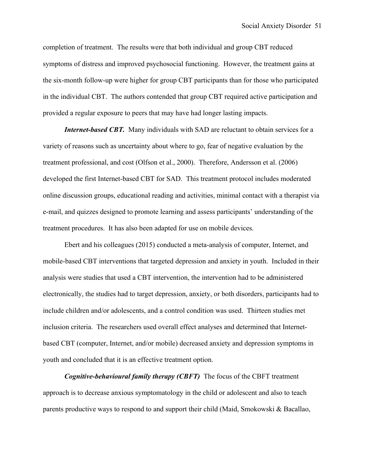completion of treatment. The results were that both individual and group CBT reduced symptoms of distress and improved psychosocial functioning. However, the treatment gains at the six-month follow-up were higher for group CBT participants than for those who participated in the individual CBT. The authors contended that group CBT required active participation and provided a regular exposure to peers that may have had longer lasting impacts.

*Internet-based CBT.* Many individuals with SAD are reluctant to obtain services for a variety of reasons such as uncertainty about where to go, fear of negative evaluation by the treatment professional, and cost (Olfson et al., 2000). Therefore, Andersson et al. (2006) developed the first Internet-based CBT for SAD. This treatment protocol includes moderated online discussion groups, educational reading and activities, minimal contact with a therapist via e-mail, and quizzes designed to promote learning and assess participants' understanding of the treatment procedures. It has also been adapted for use on mobile devices.

Ebert and his colleagues (2015) conducted a meta-analysis of computer, Internet, and mobile-based CBT interventions that targeted depression and anxiety in youth. Included in their analysis were studies that used a CBT intervention, the intervention had to be administered electronically, the studies had to target depression, anxiety, or both disorders, participants had to include children and/or adolescents, and a control condition was used. Thirteen studies met inclusion criteria. The researchers used overall effect analyses and determined that Internetbased CBT (computer, Internet, and/or mobile) decreased anxiety and depression symptoms in youth and concluded that it is an effective treatment option.

*Cognitive-behavioural family therapy (CBFT)*The focus of the CBFT treatment approach is to decrease anxious symptomatology in the child or adolescent and also to teach parents productive ways to respond to and support their child (Maid, Smokowski & Bacallao,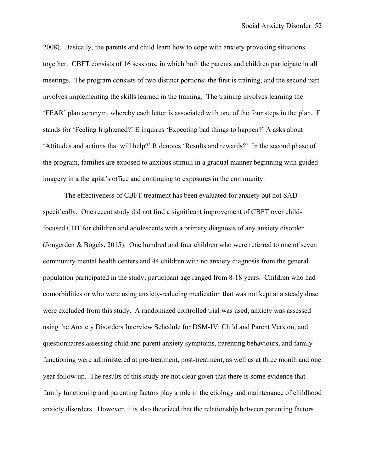2008). Basically, the parents and child learn how to cope with anxiety provoking situations together. CBFT consists of 16 sessions, in which both the parents and children participate in all meetings. The program consists of two distinct portions: the first is training, and the second part involves implementing the skills learned in the training. The training involves learning the 'FEAR' plan acronym, whereby each letter is associated with one of the four steps in the plan. F stands for 'Feeling frightened?' E inquires 'Expecting bad things to happen?' A asks about 'Attitudes and actions that will help?' R denotes 'Results and rewards?' In the second phase of the program, families are exposed to anxious stimuli in a gradual manner beginning with guided imagery in a therapist's office and continuing to exposures in the community.

The effectiveness of CBFT treatment has been evaluated for anxiety but not SAD specifically. One recent study did not find a significant improvement of CBFT over childfocused CBT for children and adolescents with a primary diagnosis of any anxiety disorder (Jongerden & Bogels, 2015). One hundred and four children who were referred to one of seven community mental health centers and 44 children with no anxiety diagnosis from the general population participated in the study; participant age ranged from 8-18 years. Children who had comorbidities or who were using anxiety-reducing medication that was not kept at a steady dose were excluded from this study. A randomized controlled trial was used, anxiety was assessed using the Anxiety Disorders Interview Schedule for DSM-IV: Child and Parent Version, and questionnaires assessing child and parent anxiety symptoms, parenting behaviours, and family functioning were administered at pre-treatment, post-treatment, as well as at three month and one year follow up. The results of this study are not clear given that there is some evidence that family functioning and parenting factors play a role in the etiology and maintenance of childhood anxiety disorders. However, it is also theorized that the relationship between parenting factors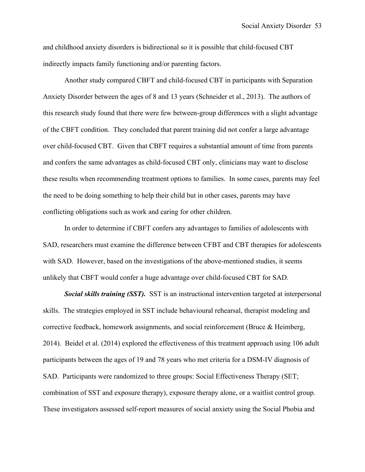and childhood anxiety disorders is bidirectional so it is possible that child-focused CBT indirectly impacts family functioning and/or parenting factors.

Another study compared CBFT and child-focused CBT in participants with Separation Anxiety Disorder between the ages of 8 and 13 years (Schneider et al., 2013). The authors of this research study found that there were few between-group differences with a slight advantage of the CBFT condition. They concluded that parent training did not confer a large advantage over child-focused CBT. Given that CBFT requires a substantial amount of time from parents and confers the same advantages as child-focused CBT only, clinicians may want to disclose these results when recommending treatment options to families. In some cases, parents may feel the need to be doing something to help their child but in other cases, parents may have conflicting obligations such as work and caring for other children.

In order to determine if CBFT confers any advantages to families of adolescents with SAD, researchers must examine the difference between CFBT and CBT therapies for adolescents with SAD. However, based on the investigations of the above-mentioned studies, it seems unlikely that CBFT would confer a huge advantage over child-focused CBT for SAD.

*Social skills training (SST).* SST is an instructional intervention targeted at interpersonal skills. The strategies employed in SST include behavioural rehearsal, therapist modeling and corrective feedback, homework assignments, and social reinforcement (Bruce & Heimberg, 2014). Beidel et al. (2014) explored the effectiveness of this treatment approach using 106 adult participants between the ages of 19 and 78 years who met criteria for a DSM-IV diagnosis of SAD. Participants were randomized to three groups: Social Effectiveness Therapy (SET; combination of SST and exposure therapy), exposure therapy alone, or a waitlist control group. These investigators assessed self-report measures of social anxiety using the Social Phobia and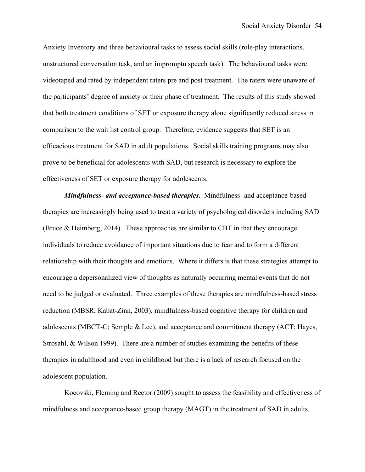Anxiety Inventory and three behavioural tasks to assess social skills (role-play interactions, unstructured conversation task, and an impromptu speech task). The behavioural tasks were videotaped and rated by independent raters pre and post treatment. The raters were unaware of the participants' degree of anxiety or their phase of treatment. The results of this study showed that both treatment conditions of SET or exposure therapy alone significantly reduced stress in comparison to the wait list control group. Therefore, evidence suggests that SET is an efficacious treatment for SAD in adult populations. Social skills training programs may also prove to be beneficial for adolescents with SAD, but research is necessary to explore the effectiveness of SET or exposure therapy for adolescents.

*Mindfulness- and acceptance-based therapies.*Mindfulness- and acceptance-based therapies are increasingly being used to treat a variety of psychological disorders including SAD (Bruce & Heimberg, 2014). These approaches are similar to CBT in that they encourage individuals to reduce avoidance of important situations due to fear and to form a different relationship with their thoughts and emotions. Where it differs is that these strategies attempt to encourage a depersonalized view of thoughts as naturally occurring mental events that do not need to be judged or evaluated. Three examples of these therapies are mindfulness-based stress reduction (MBSR; Kabat-Zinn, 2003), mindfulness-based cognitive therapy for children and adolescents (MBCT-C; Semple & Lee), and acceptance and commitment therapy (ACT; Hayes, Strosahl, & Wilson 1999). There are a number of studies examining the benefits of these therapies in adulthood and even in childhood but there is a lack of research focused on the adolescent population.

Kocovski, Fleming and Rector (2009) sought to assess the feasibility and effectiveness of mindfulness and acceptance-based group therapy (MAGT) in the treatment of SAD in adults.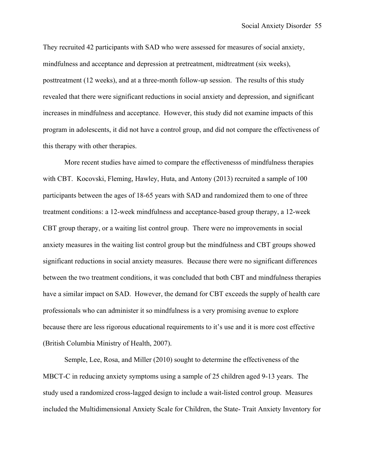They recruited 42 participants with SAD who were assessed for measures of social anxiety, mindfulness and acceptance and depression at pretreatment, midtreatment (six weeks), posttreatment (12 weeks), and at a three-month follow-up session. The results of this study revealed that there were significant reductions in social anxiety and depression, and significant increases in mindfulness and acceptance. However, this study did not examine impacts of this program in adolescents, it did not have a control group, and did not compare the effectiveness of this therapy with other therapies.

More recent studies have aimed to compare the effectivenesss of mindfulness therapies with CBT. Kocovski, Fleming, Hawley, Huta, and Antony (2013) recruited a sample of 100 participants between the ages of 18-65 years with SAD and randomized them to one of three treatment conditions: a 12-week mindfulness and acceptance-based group therapy, a 12-week CBT group therapy, or a waiting list control group. There were no improvements in social anxiety measures in the waiting list control group but the mindfulness and CBT groups showed significant reductions in social anxiety measures. Because there were no significant differences between the two treatment conditions, it was concluded that both CBT and mindfulness therapies have a similar impact on SAD. However, the demand for CBT exceeds the supply of health care professionals who can administer it so mindfulness is a very promising avenue to explore because there are less rigorous educational requirements to it's use and it is more cost effective (British Columbia Ministry of Health, 2007).

Semple, Lee, Rosa, and Miller (2010) sought to determine the effectiveness of the MBCT-C in reducing anxiety symptoms using a sample of 25 children aged 9-13 years. The study used a randomized cross-lagged design to include a wait-listed control group. Measures included the Multidimensional Anxiety Scale for Children, the State- Trait Anxiety Inventory for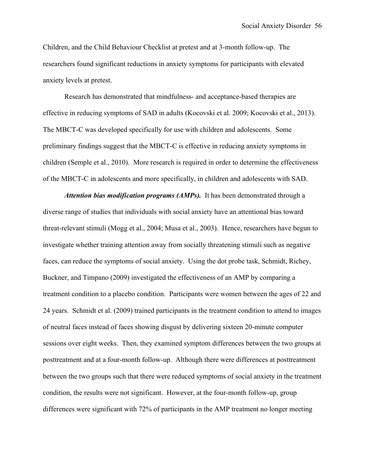Children, and the Child Behaviour Checklist at pretest and at 3-month follow-up. The researchers found significant reductions in anxiety symptoms for participants with elevated anxiety levels at pretest.

Research has demonstrated that mindfulness- and acceptance-based therapies are effective in reducing symptoms of SAD in adults (Kocovski et al. 2009; Kocovski et al., 2013). The MBCT-C was developed specifically for use with children and adolescents. Some preliminary findings suggest that the MBCT-C is effective in reducing anxiety symptoms in children (Semple et al., 2010). More research is required in order to determine the effectiveness of the MBCT-C in adolescents and more specifically, in children and adolescents with SAD.

*Attention bias modification programs (AMPs).* It has been demonstrated through a diverse range of studies that individuals with social anxiety have an attentional bias toward threat-relevant stimuli (Mogg et al., 2004; Musa et al., 2003). Hence, researchers have begun to investigate whether training attention away from socially threatening stimuli such as negative faces, can reduce the symptoms of social anxiety. Using the dot probe task, Schmidt, Richey, Buckner, and Timpano (2009) investigated the effectiveness of an AMP by comparing a treatment condition to a placebo condition. Participants were women between the ages of 22 and 24 years. Schmidt et al. (2009) trained participants in the treatment condition to attend to images of neutral faces instead of faces showing disgust by delivering sixteen 20-minute computer sessions over eight weeks. Then, they examined symptom differences between the two groups at posttreatment and at a four-month follow-up. Although there were differences at posttreatment between the two groups such that there were reduced symptoms of social anxiety in the treatment condition, the results were not significant. However, at the four-month follow-up, group differences were significant with 72% of participants in the AMP treatment no longer meeting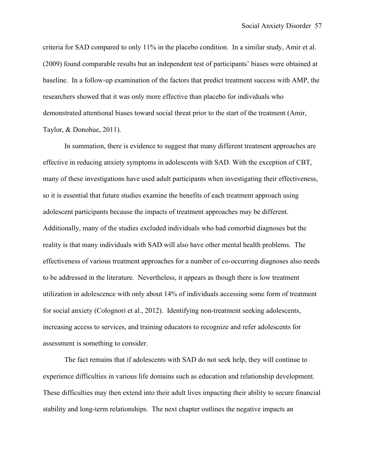criteria for SAD compared to only 11% in the placebo condition. In a similar study, Amir et al. (2009) found comparable results but an independent test of participants' biases were obtained at baseline. In a follow-up examination of the factors that predict treatment success with AMP, the researchers showed that it was only more effective than placebo for individuals who demonstrated attentional biases toward social threat prior to the start of the treatment (Amir, Taylor, & Donohue, 2011).

In summation, there is evidence to suggest that many different treatment approaches are effective in reducing anxiety symptoms in adolescents with SAD. With the exception of CBT, many of these investigations have used adult participants when investigating their effectiveness, so it is essential that future studies examine the benefits of each treatment approach using adolescent participants because the impacts of treatment approaches may be different. Additionally, many of the studies excluded individuals who had comorbid diagnoses but the reality is that many individuals with SAD will also have other mental health problems. The effectiveness of various treatment approaches for a number of co-occurring diagnoses also needs to be addressed in the literature. Nevertheless, it appears as though there is low treatment utilization in adolescence with only about 14% of individuals accessing some form of treatment for social anxiety (Colognori et al., 2012). Identifying non-treatment seeking adolescents, increasing access to services, and training educators to recognize and refer adolescents for assessment is something to consider.

The fact remains that if adolescents with SAD do not seek help, they will continue to experience difficulties in various life domains such as education and relationship development. These difficulties may then extend into their adult lives impacting their ability to secure financial stability and long-term relationships. The next chapter outlines the negative impacts an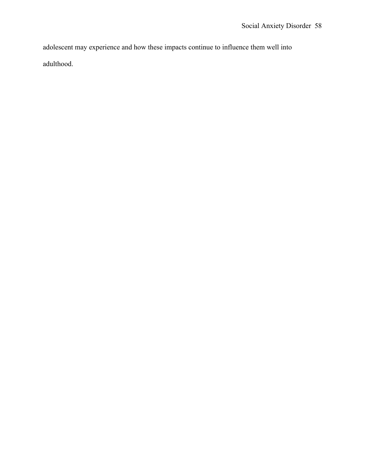adolescent may experience and how these impacts continue to influence them well into adulthood.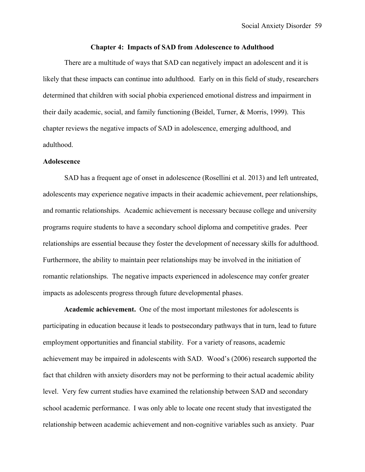### **Chapter 4: Impacts of SAD from Adolescence to Adulthood**

There are a multitude of ways that SAD can negatively impact an adolescent and it is likely that these impacts can continue into adulthood. Early on in this field of study, researchers determined that children with social phobia experienced emotional distress and impairment in their daily academic, social, and family functioning (Beidel, Turner, & Morris, 1999). This chapter reviews the negative impacts of SAD in adolescence, emerging adulthood, and adulthood.

### **Adolescence**

SAD has a frequent age of onset in adolescence (Rosellini et al. 2013) and left untreated, adolescents may experience negative impacts in their academic achievement, peer relationships, and romantic relationships. Academic achievement is necessary because college and university programs require students to have a secondary school diploma and competitive grades. Peer relationships are essential because they foster the development of necessary skills for adulthood. Furthermore, the ability to maintain peer relationships may be involved in the initiation of romantic relationships. The negative impacts experienced in adolescence may confer greater impacts as adolescents progress through future developmental phases.

**Academic achievement.** One of the most important milestones for adolescents is participating in education because it leads to postsecondary pathways that in turn, lead to future employment opportunities and financial stability. For a variety of reasons, academic achievement may be impaired in adolescents with SAD. Wood's (2006) research supported the fact that children with anxiety disorders may not be performing to their actual academic ability level. Very few current studies have examined the relationship between SAD and secondary school academic performance. I was only able to locate one recent study that investigated the relationship between academic achievement and non-cognitive variables such as anxiety. Puar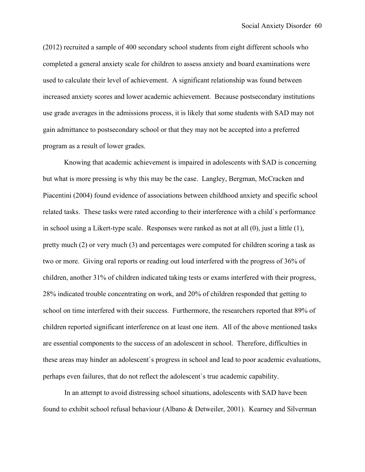(2012) recruited a sample of 400 secondary school students from eight different schools who completed a general anxiety scale for children to assess anxiety and board examinations were used to calculate their level of achievement. A significant relationship was found between increased anxiety scores and lower academic achievement. Because postsecondary institutions use grade averages in the admissions process, it is likely that some students with SAD may not gain admittance to postsecondary school or that they may not be accepted into a preferred program as a result of lower grades.

Knowing that academic achievement is impaired in adolescents with SAD is concerning but what is more pressing is why this may be the case. Langley, Bergman, McCracken and Piacentini (2004) found evidence of associations between childhood anxiety and specific school related tasks. These tasks were rated according to their interference with a child`s performance in school using a Likert-type scale. Responses were ranked as not at all (0), just a little (1), pretty much (2) or very much (3) and percentages were computed for children scoring a task as two or more. Giving oral reports or reading out loud interfered with the progress of 36% of children, another 31% of children indicated taking tests or exams interfered with their progress, 28% indicated trouble concentrating on work, and 20% of children responded that getting to school on time interfered with their success. Furthermore, the researchers reported that 89% of children reported significant interference on at least one item. All of the above mentioned tasks are essential components to the success of an adolescent in school. Therefore, difficulties in these areas may hinder an adolescent`s progress in school and lead to poor academic evaluations, perhaps even failures, that do not reflect the adolescent`s true academic capability.

In an attempt to avoid distressing school situations, adolescents with SAD have been found to exhibit school refusal behaviour (Albano & Detweiler, 2001). Kearney and Silverman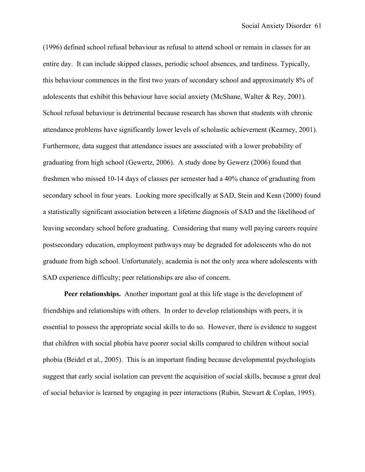(1996) defined school refusal behaviour as refusal to attend school or remain in classes for an entire day. It can include skipped classes, periodic school absences, and tardiness. Typically, this behaviour commences in the first two years of secondary school and approximately 8% of adolescents that exhibit this behaviour have social anxiety (McShane, Walter & Rey, 2001). School refusal behaviour is detrimental because research has shown that students with chronic attendance problems have significantly lower levels of scholastic achievement (Kearney, 2001). Furthermore, data suggest that attendance issues are associated with a lower probability of graduating from high school (Gewertz, 2006). A study done by Gewerz (2006) found that freshmen who missed 10-14 days of classes per semester had a 40% chance of graduating from secondary school in four years. Looking more specifically at SAD, Stein and Kean (2000) found a statistically significant association between a lifetime diagnosis of SAD and the likelihood of leaving secondary school before graduating. Considering that many well paying careers require postsecondary education, employment pathways may be degraded for adolescents who do not graduate from high school. Unfortunately, academia is not the only area where adolescents with SAD experience difficulty; peer relationships are also of concern.

**Peer relationships.**Another important goal at this life stage is the development of friendships and relationships with others. In order to develop relationships with peers, it is essential to possess the appropriate social skills to do so. However, there is evidence to suggest that children with social phobia have poorer social skills compared to children without social phobia (Beidel et al., 2005). This is an important finding because developmental psychologists suggest that early social isolation can prevent the acquisition of social skills, because a great deal of social behavior is learned by engaging in peer interactions (Rubin, Stewart & Coplan, 1995).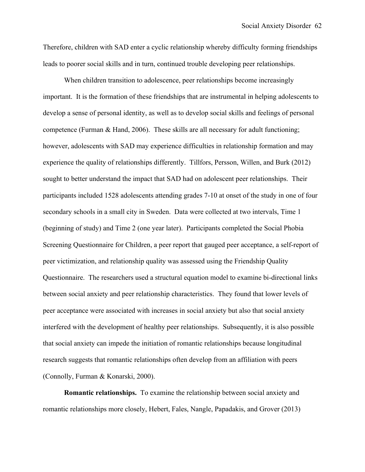Therefore, children with SAD enter a cyclic relationship whereby difficulty forming friendships leads to poorer social skills and in turn, continued trouble developing peer relationships.

When children transition to adolescence, peer relationships become increasingly important. It is the formation of these friendships that are instrumental in helping adolescents to develop a sense of personal identity, as well as to develop social skills and feelings of personal competence (Furman  $\&$  Hand, 2006). These skills are all necessary for adult functioning; however, adolescents with SAD may experience difficulties in relationship formation and may experience the quality of relationships differently. Tillfors, Persson, Willen, and Burk (2012) sought to better understand the impact that SAD had on adolescent peer relationships. Their participants included 1528 adolescents attending grades 7-10 at onset of the study in one of four secondary schools in a small city in Sweden. Data were collected at two intervals, Time 1 (beginning of study) and Time 2 (one year later). Participants completed the Social Phobia Screening Questionnaire for Children, a peer report that gauged peer acceptance, a self-report of peer victimization, and relationship quality was assessed using the Friendship Quality Questionnaire. The researchers used a structural equation model to examine bi-directional links between social anxiety and peer relationship characteristics. They found that lower levels of peer acceptance were associated with increases in social anxiety but also that social anxiety interfered with the development of healthy peer relationships. Subsequently, it is also possible that social anxiety can impede the initiation of romantic relationships because longitudinal research suggests that romantic relationships often develop from an affiliation with peers (Connolly, Furman & Konarski, 2000).

**Romantic relationships.**To examine the relationship between social anxiety and romantic relationships more closely, Hebert, Fales, Nangle, Papadakis, and Grover (2013)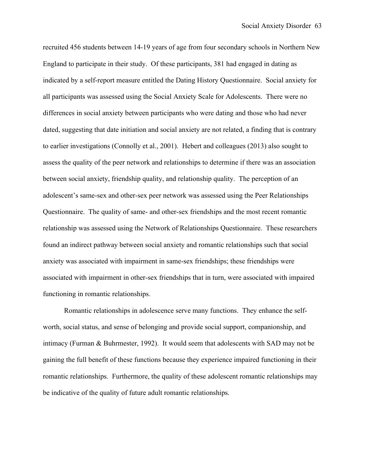recruited 456 students between 14-19 years of age from four secondary schools in Northern New England to participate in their study. Of these participants, 381 had engaged in dating as indicated by a self-report measure entitled the Dating History Questionnaire. Social anxiety for all participants was assessed using the Social Anxiety Scale for Adolescents. There were no differences in social anxiety between participants who were dating and those who had never dated, suggesting that date initiation and social anxiety are not related, a finding that is contrary to earlier investigations (Connolly et al., 2001). Hebert and colleagues (2013) also sought to assess the quality of the peer network and relationships to determine if there was an association between social anxiety, friendship quality, and relationship quality. The perception of an adolescent's same-sex and other-sex peer network was assessed using the Peer Relationships Questionnaire. The quality of same- and other-sex friendships and the most recent romantic relationship was assessed using the Network of Relationships Questionnaire. These researchers found an indirect pathway between social anxiety and romantic relationships such that social anxiety was associated with impairment in same-sex friendships; these friendships were associated with impairment in other-sex friendships that in turn, were associated with impaired functioning in romantic relationships.

Romantic relationships in adolescence serve many functions. They enhance the selfworth, social status, and sense of belonging and provide social support, companionship, and intimacy (Furman & Buhrmester, 1992). It would seem that adolescents with SAD may not be gaining the full benefit of these functions because they experience impaired functioning in their romantic relationships. Furthermore, the quality of these adolescent romantic relationships may be indicative of the quality of future adult romantic relationships.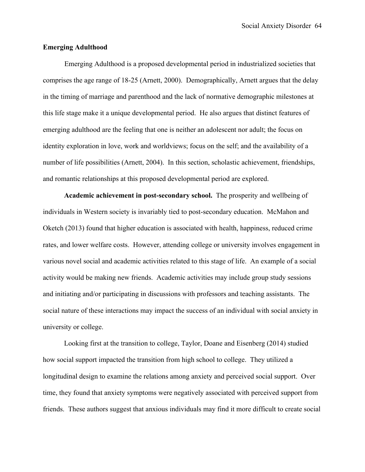## **Emerging Adulthood**

Emerging Adulthood is a proposed developmental period in industrialized societies that comprises the age range of 18-25 (Arnett, 2000). Demographically, Arnett argues that the delay in the timing of marriage and parenthood and the lack of normative demographic milestones at this life stage make it a unique developmental period. He also argues that distinct features of emerging adulthood are the feeling that one is neither an adolescent nor adult; the focus on identity exploration in love, work and worldviews; focus on the self; and the availability of a number of life possibilities (Arnett, 2004). In this section, scholastic achievement, friendships, and romantic relationships at this proposed developmental period are explored.

**Academic achievement in post-secondary school.** The prosperity and wellbeing of individuals in Western society is invariably tied to post-secondary education. McMahon and Oketch (2013) found that higher education is associated with health, happiness, reduced crime rates, and lower welfare costs. However, attending college or university involves engagement in various novel social and academic activities related to this stage of life. An example of a social activity would be making new friends. Academic activities may include group study sessions and initiating and/or participating in discussions with professors and teaching assistants. The social nature of these interactions may impact the success of an individual with social anxiety in university or college.

Looking first at the transition to college, Taylor, Doane and Eisenberg (2014) studied how social support impacted the transition from high school to college. They utilized a longitudinal design to examine the relations among anxiety and perceived social support. Over time, they found that anxiety symptoms were negatively associated with perceived support from friends. These authors suggest that anxious individuals may find it more difficult to create social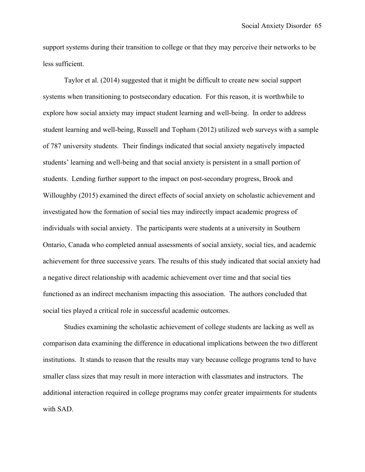support systems during their transition to college or that they may perceive their networks to be less sufficient.

Taylor et al. (2014) suggested that it might be difficult to create new social support systems when transitioning to postsecondary education. For this reason, it is worthwhile to explore how social anxiety may impact student learning and well-being. In order to address student learning and well-being, Russell and Topham (2012) utilized web surveys with a sample of 787 university students. Their findings indicated that social anxiety negatively impacted students' learning and well-being and that social anxiety is persistent in a small portion of students. Lending further support to the impact on post-secondary progress, Brook and Willoughby (2015) examined the direct effects of social anxiety on scholastic achievement and investigated how the formation of social ties may indirectly impact academic progress of individuals with social anxiety. The participants were students at a university in Southern Ontario, Canada who completed annual assessments of social anxiety, social ties, and academic achievement for three successive years. The results of this study indicated that social anxiety had a negative direct relationship with academic achievement over time and that social ties functioned as an indirect mechanism impacting this association. The authors concluded that social ties played a critical role in successful academic outcomes.

Studies examining the scholastic achievement of college students are lacking as well as comparison data examining the difference in educational implications between the two different institutions. It stands to reason that the results may vary because college programs tend to have smaller class sizes that may result in more interaction with classmates and instructors. The additional interaction required in college programs may confer greater impairments for students with SAD.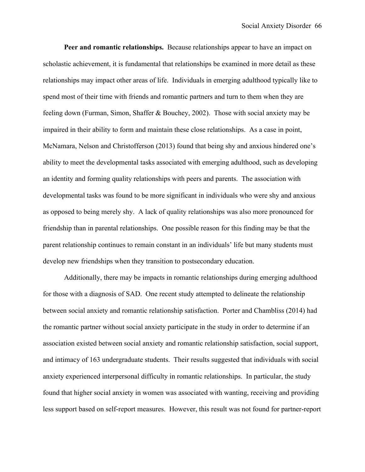**Peer and romantic relationships.** Because relationships appear to have an impact on scholastic achievement, it is fundamental that relationships be examined in more detail as these relationships may impact other areas of life. Individuals in emerging adulthood typically like to spend most of their time with friends and romantic partners and turn to them when they are feeling down (Furman, Simon, Shaffer & Bouchey, 2002). Those with social anxiety may be impaired in their ability to form and maintain these close relationships. As a case in point, McNamara, Nelson and Christofferson (2013) found that being shy and anxious hindered one's ability to meet the developmental tasks associated with emerging adulthood, such as developing an identity and forming quality relationships with peers and parents. The association with developmental tasks was found to be more significant in individuals who were shy and anxious as opposed to being merely shy. A lack of quality relationships was also more pronounced for friendship than in parental relationships. One possible reason for this finding may be that the parent relationship continues to remain constant in an individuals' life but many students must develop new friendships when they transition to postsecondary education.

Additionally, there may be impacts in romantic relationships during emerging adulthood for those with a diagnosis of SAD. One recent study attempted to delineate the relationship between social anxiety and romantic relationship satisfaction. Porter and Chambliss (2014) had the romantic partner without social anxiety participate in the study in order to determine if an association existed between social anxiety and romantic relationship satisfaction, social support, and intimacy of 163 undergraduate students. Their results suggested that individuals with social anxiety experienced interpersonal difficulty in romantic relationships. In particular, the study found that higher social anxiety in women was associated with wanting, receiving and providing less support based on self-report measures. However, this result was not found for partner-report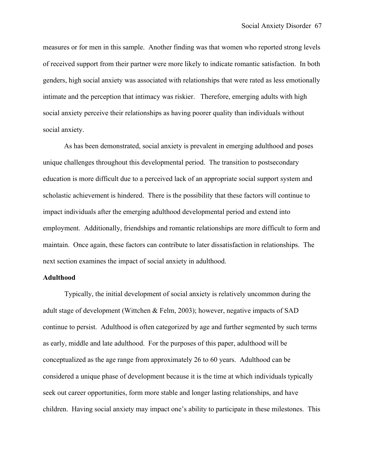measures or for men in this sample. Another finding was that women who reported strong levels of received support from their partner were more likely to indicate romantic satisfaction. In both genders, high social anxiety was associated with relationships that were rated as less emotionally intimate and the perception that intimacy was riskier. Therefore, emerging adults with high social anxiety perceive their relationships as having poorer quality than individuals without social anxiety.

As has been demonstrated, social anxiety is prevalent in emerging adulthood and poses unique challenges throughout this developmental period. The transition to postsecondary education is more difficult due to a perceived lack of an appropriate social support system and scholastic achievement is hindered. There is the possibility that these factors will continue to impact individuals after the emerging adulthood developmental period and extend into employment. Additionally, friendships and romantic relationships are more difficult to form and maintain. Once again, these factors can contribute to later dissatisfaction in relationships. The next section examines the impact of social anxiety in adulthood.

## **Adulthood**

Typically, the initial development of social anxiety is relatively uncommon during the adult stage of development (Wittchen & Felm, 2003); however, negative impacts of SAD continue to persist. Adulthood is often categorized by age and further segmented by such terms as early, middle and late adulthood. For the purposes of this paper, adulthood will be conceptualized as the age range from approximately 26 to 60 years. Adulthood can be considered a unique phase of development because it is the time at which individuals typically seek out career opportunities, form more stable and longer lasting relationships, and have children. Having social anxiety may impact one's ability to participate in these milestones. This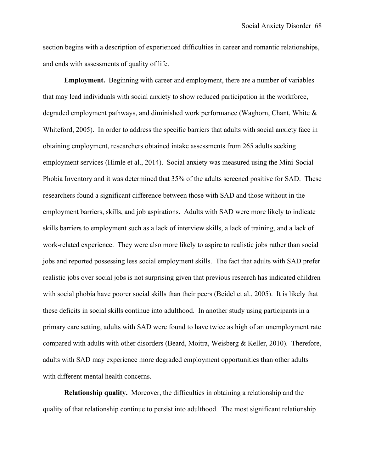section begins with a description of experienced difficulties in career and romantic relationships, and ends with assessments of quality of life.

**Employment.** Beginning with career and employment, there are a number of variables that may lead individuals with social anxiety to show reduced participation in the workforce, degraded employment pathways, and diminished work performance (Waghorn, Chant, White & Whiteford, 2005). In order to address the specific barriers that adults with social anxiety face in obtaining employment, researchers obtained intake assessments from 265 adults seeking employment services (Himle et al., 2014). Social anxiety was measured using the Mini-Social Phobia Inventory and it was determined that 35% of the adults screened positive for SAD. These researchers found a significant difference between those with SAD and those without in the employment barriers, skills, and job aspirations. Adults with SAD were more likely to indicate skills barriers to employment such as a lack of interview skills, a lack of training, and a lack of work-related experience. They were also more likely to aspire to realistic jobs rather than social jobs and reported possessing less social employment skills. The fact that adults with SAD prefer realistic jobs over social jobs is not surprising given that previous research has indicated children with social phobia have poorer social skills than their peers (Beidel et al., 2005). It is likely that these deficits in social skills continue into adulthood. In another study using participants in a primary care setting, adults with SAD were found to have twice as high of an unemployment rate compared with adults with other disorders (Beard, Moitra, Weisberg & Keller, 2010). Therefore, adults with SAD may experience more degraded employment opportunities than other adults with different mental health concerns.

**Relationship quality.**Moreover, the difficulties in obtaining a relationship and the quality of that relationship continue to persist into adulthood. The most significant relationship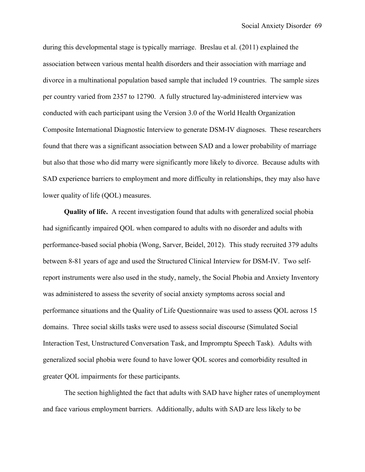during this developmental stage is typically marriage. Breslau et al. (2011) explained the association between various mental health disorders and their association with marriage and divorce in a multinational population based sample that included 19 countries. The sample sizes per country varied from 2357 to 12790. A fully structured lay-administered interview was conducted with each participant using the Version 3.0 of the World Health Organization Composite International Diagnostic Interview to generate DSM-IV diagnoses. These researchers found that there was a significant association between SAD and a lower probability of marriage but also that those who did marry were significantly more likely to divorce. Because adults with SAD experience barriers to employment and more difficulty in relationships, they may also have lower quality of life (QOL) measures.

**Quality of life.**A recent investigation found that adults with generalized social phobia had significantly impaired QOL when compared to adults with no disorder and adults with performance-based social phobia (Wong, Sarver, Beidel, 2012). This study recruited 379 adults between 8-81 years of age and used the Structured Clinical Interview for DSM-IV. Two selfreport instruments were also used in the study, namely, the Social Phobia and Anxiety Inventory was administered to assess the severity of social anxiety symptoms across social and performance situations and the Quality of Life Questionnaire was used to assess QOL across 15 domains. Three social skills tasks were used to assess social discourse (Simulated Social Interaction Test, Unstructured Conversation Task, and Impromptu Speech Task). Adults with generalized social phobia were found to have lower QOL scores and comorbidity resulted in greater QOL impairments for these participants.

The section highlighted the fact that adults with SAD have higher rates of unemployment and face various employment barriers. Additionally, adults with SAD are less likely to be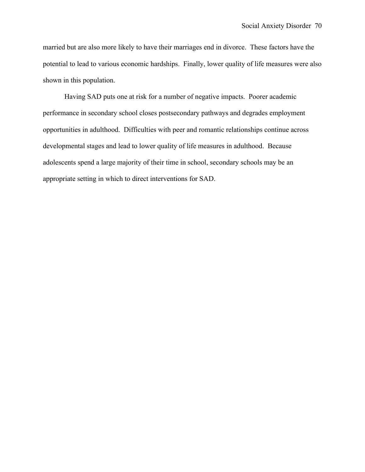married but are also more likely to have their marriages end in divorce. These factors have the potential to lead to various economic hardships. Finally, lower quality of life measures were also shown in this population.

Having SAD puts one at risk for a number of negative impacts. Poorer academic performance in secondary school closes postsecondary pathways and degrades employment opportunities in adulthood. Difficulties with peer and romantic relationships continue across developmental stages and lead to lower quality of life measures in adulthood. Because adolescents spend a large majority of their time in school, secondary schools may be an appropriate setting in which to direct interventions for SAD.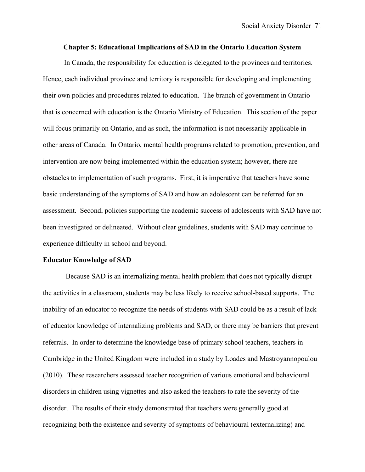## **Chapter 5: Educational Implications of SAD in the Ontario Education System**

In Canada, the responsibility for education is delegated to the provinces and territories. Hence, each individual province and territory is responsible for developing and implementing their own policies and procedures related to education. The branch of government in Ontario that is concerned with education is the Ontario Ministry of Education. This section of the paper will focus primarily on Ontario, and as such, the information is not necessarily applicable in other areas of Canada. In Ontario, mental health programs related to promotion, prevention, and intervention are now being implemented within the education system; however, there are obstacles to implementation of such programs. First, it is imperative that teachers have some basic understanding of the symptoms of SAD and how an adolescent can be referred for an assessment. Second, policies supporting the academic success of adolescents with SAD have not been investigated or delineated. Without clear guidelines, students with SAD may continue to experience difficulty in school and beyond.

#### **Educator Knowledge of SAD**

Because SAD is an internalizing mental health problem that does not typically disrupt the activities in a classroom, students may be less likely to receive school-based supports. The inability of an educator to recognize the needs of students with SAD could be as a result of lack of educator knowledge of internalizing problems and SAD, or there may be barriers that prevent referrals. In order to determine the knowledge base of primary school teachers, teachers in Cambridge in the United Kingdom were included in a study by Loades and Mastroyannopoulou (2010). These researchers assessed teacher recognition of various emotional and behavioural disorders in children using vignettes and also asked the teachers to rate the severity of the disorder. The results of their study demonstrated that teachers were generally good at recognizing both the existence and severity of symptoms of behavioural (externalizing) and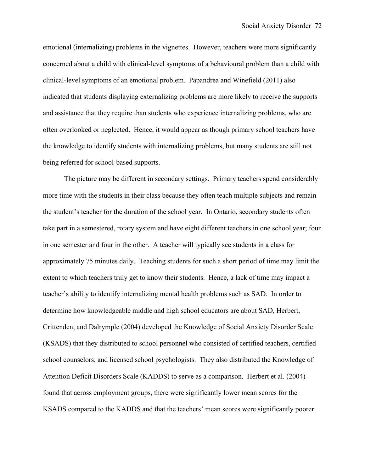emotional (internalizing) problems in the vignettes. However, teachers were more significantly concerned about a child with clinical-level symptoms of a behavioural problem than a child with clinical-level symptoms of an emotional problem. Papandrea and Winefield (2011) also indicated that students displaying externalizing problems are more likely to receive the supports and assistance that they require than students who experience internalizing problems, who are often overlooked or neglected. Hence, it would appear as though primary school teachers have the knowledge to identify students with internalizing problems, but many students are still not being referred for school-based supports.

The picture may be different in secondary settings. Primary teachers spend considerably more time with the students in their class because they often teach multiple subjects and remain the student's teacher for the duration of the school year. In Ontario, secondary students often take part in a semestered, rotary system and have eight different teachers in one school year; four in one semester and four in the other. A teacher will typically see students in a class for approximately 75 minutes daily. Teaching students for such a short period of time may limit the extent to which teachers truly get to know their students. Hence, a lack of time may impact a teacher's ability to identify internalizing mental health problems such as SAD. In order to determine how knowledgeable middle and high school educators are about SAD, Herbert, Crittenden, and Dalrymple (2004) developed the Knowledge of Social Anxiety Disorder Scale (KSADS) that they distributed to school personnel who consisted of certified teachers, certified school counselors, and licensed school psychologists. They also distributed the Knowledge of Attention Deficit Disorders Scale (KADDS) to serve as a comparison. Herbert et al. (2004) found that across employment groups, there were significantly lower mean scores for the KSADS compared to the KADDS and that the teachers' mean scores were significantly poorer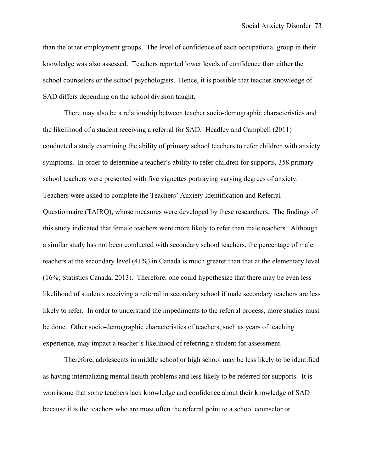than the other employment groups. The level of confidence of each occupational group in their knowledge was also assessed. Teachers reported lower levels of confidence than either the school counselors or the school psychologists. Hence, it is possible that teacher knowledge of SAD differs depending on the school division taught.

There may also be a relationship between teacher socio-demographic characteristics and the likelihood of a student receiving a referral for SAD. Headley and Campbell (2011) conducted a study examining the ability of primary school teachers to refer children with anxiety symptoms. In order to determine a teacher's ability to refer children for supports, 358 primary school teachers were presented with five vignettes portraying varying degrees of anxiety. Teachers were asked to complete the Teachers' Anxiety Identification and Referral Questionnaire (TAIRQ), whose measures were developed by these researchers. The findings of this study indicated that female teachers were more likely to refer than male teachers. Although a similar study has not been conducted with secondary school teachers, the percentage of male teachers at the secondary level (41%) in Canada is much greater than that at the elementary level (16%; Statistics Canada, 2013). Therefore, one could hypothesize that there may be even less likelihood of students receiving a referral in secondary school if male secondary teachers are less likely to refer. In order to understand the impediments to the referral process, more studies must be done. Other socio-demographic characteristics of teachers, such as years of teaching experience, may impact a teacher's likelihood of referring a student for assessment.

Therefore, adolescents in middle school or high school may be less likely to be identified as having internalizing mental health problems and less likely to be referred for supports. It is worrisome that some teachers lack knowledge and confidence about their knowledge of SAD because it is the teachers who are most often the referral point to a school counselor or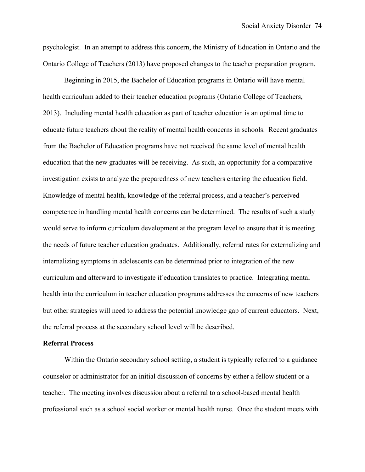psychologist. In an attempt to address this concern, the Ministry of Education in Ontario and the Ontario College of Teachers (2013) have proposed changes to the teacher preparation program.

Beginning in 2015, the Bachelor of Education programs in Ontario will have mental health curriculum added to their teacher education programs (Ontario College of Teachers, 2013). Including mental health education as part of teacher education is an optimal time to educate future teachers about the reality of mental health concerns in schools. Recent graduates from the Bachelor of Education programs have not received the same level of mental health education that the new graduates will be receiving. As such, an opportunity for a comparative investigation exists to analyze the preparedness of new teachers entering the education field. Knowledge of mental health, knowledge of the referral process, and a teacher's perceived competence in handling mental health concerns can be determined. The results of such a study would serve to inform curriculum development at the program level to ensure that it is meeting the needs of future teacher education graduates. Additionally, referral rates for externalizing and internalizing symptoms in adolescents can be determined prior to integration of the new curriculum and afterward to investigate if education translates to practice. Integrating mental health into the curriculum in teacher education programs addresses the concerns of new teachers but other strategies will need to address the potential knowledge gap of current educators. Next, the referral process at the secondary school level will be described.

## **Referral Process**

Within the Ontario secondary school setting, a student is typically referred to a guidance counselor or administrator for an initial discussion of concerns by either a fellow student or a teacher. The meeting involves discussion about a referral to a school-based mental health professional such as a school social worker or mental health nurse. Once the student meets with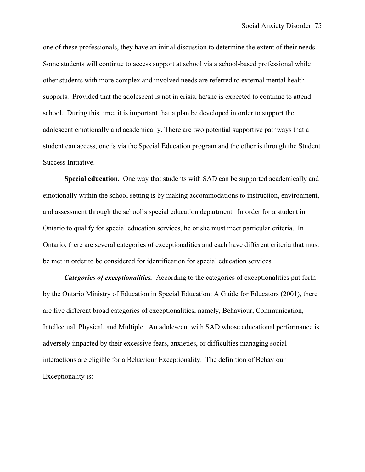one of these professionals, they have an initial discussion to determine the extent of their needs. Some students will continue to access support at school via a school-based professional while other students with more complex and involved needs are referred to external mental health supports. Provided that the adolescent is not in crisis, he/she is expected to continue to attend school. During this time, it is important that a plan be developed in order to support the adolescent emotionally and academically. There are two potential supportive pathways that a student can access, one is via the Special Education program and the other is through the Student Success Initiative.

**Special education.**One way that students with SAD can be supported academically and emotionally within the school setting is by making accommodations to instruction, environment, and assessment through the school's special education department. In order for a student in Ontario to qualify for special education services, he or she must meet particular criteria. In Ontario, there are several categories of exceptionalities and each have different criteria that must be met in order to be considered for identification for special education services.

*Categories of exceptionalities.* According to the categories of exceptionalities put forth by the Ontario Ministry of Education in Special Education: A Guide for Educators (2001), there are five different broad categories of exceptionalities, namely, Behaviour, Communication, Intellectual, Physical, and Multiple. An adolescent with SAD whose educational performance is adversely impacted by their excessive fears, anxieties, or difficulties managing social interactions are eligible for a Behaviour Exceptionality. The definition of Behaviour Exceptionality is: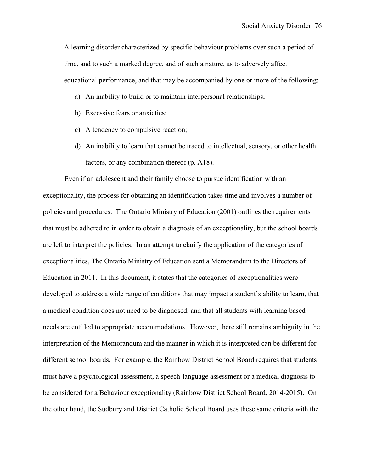A learning disorder characterized by specific behaviour problems over such a period of time, and to such a marked degree, and of such a nature, as to adversely affect educational performance, and that may be accompanied by one or more of the following:

- a) An inability to build or to maintain interpersonal relationships;
- b) Excessive fears or anxieties;
- c) A tendency to compulsive reaction;
- d) An inability to learn that cannot be traced to intellectual, sensory, or other health factors, or any combination thereof (p. A18).

Even if an adolescent and their family choose to pursue identification with an exceptionality, the process for obtaining an identification takes time and involves a number of policies and procedures. The Ontario Ministry of Education (2001) outlines the requirements that must be adhered to in order to obtain a diagnosis of an exceptionality, but the school boards are left to interpret the policies. In an attempt to clarify the application of the categories of exceptionalities, The Ontario Ministry of Education sent a Memorandum to the Directors of Education in 2011. In this document, it states that the categories of exceptionalities were developed to address a wide range of conditions that may impact a student's ability to learn, that a medical condition does not need to be diagnosed, and that all students with learning based needs are entitled to appropriate accommodations. However, there still remains ambiguity in the interpretation of the Memorandum and the manner in which it is interpreted can be different for different school boards. For example, the Rainbow District School Board requires that students must have a psychological assessment, a speech-language assessment or a medical diagnosis to be considered for a Behaviour exceptionality (Rainbow District School Board, 2014-2015). On the other hand, the Sudbury and District Catholic School Board uses these same criteria with the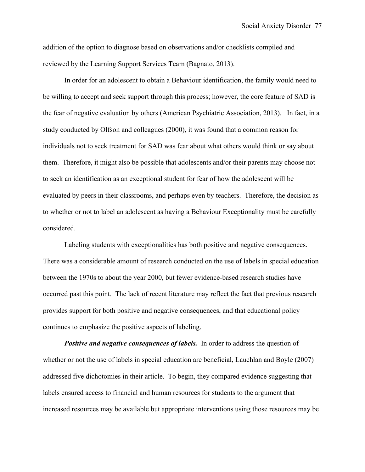addition of the option to diagnose based on observations and/or checklists compiled and reviewed by the Learning Support Services Team (Bagnato, 2013).

In order for an adolescent to obtain a Behaviour identification, the family would need to be willing to accept and seek support through this process; however, the core feature of SAD is the fear of negative evaluation by others (American Psychiatric Association, 2013). In fact, in a study conducted by Olfson and colleagues (2000), it was found that a common reason for individuals not to seek treatment for SAD was fear about what others would think or say about them. Therefore, it might also be possible that adolescents and/or their parents may choose not to seek an identification as an exceptional student for fear of how the adolescent will be evaluated by peers in their classrooms, and perhaps even by teachers. Therefore, the decision as to whether or not to label an adolescent as having a Behaviour Exceptionality must be carefully considered.

Labeling students with exceptionalities has both positive and negative consequences. There was a considerable amount of research conducted on the use of labels in special education between the 1970s to about the year 2000, but fewer evidence-based research studies have occurred past this point. The lack of recent literature may reflect the fact that previous research provides support for both positive and negative consequences, and that educational policy continues to emphasize the positive aspects of labeling.

**Positive and negative consequences of labels.** In order to address the question of whether or not the use of labels in special education are beneficial, Lauchlan and Boyle (2007) addressed five dichotomies in their article. To begin, they compared evidence suggesting that labels ensured access to financial and human resources for students to the argument that increased resources may be available but appropriate interventions using those resources may be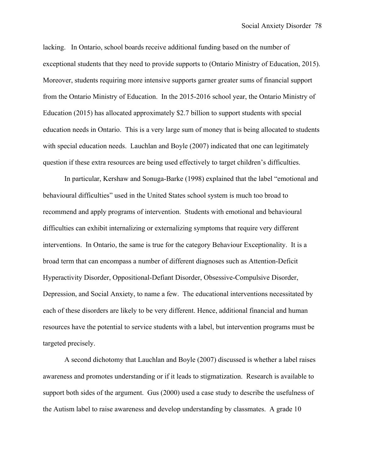lacking. In Ontario, school boards receive additional funding based on the number of exceptional students that they need to provide supports to (Ontario Ministry of Education, 2015). Moreover, students requiring more intensive supports garner greater sums of financial support from the Ontario Ministry of Education. In the 2015-2016 school year, the Ontario Ministry of Education (2015) has allocated approximately \$2.7 billion to support students with special education needs in Ontario. This is a very large sum of money that is being allocated to students with special education needs. Lauchlan and Boyle (2007) indicated that one can legitimately question if these extra resources are being used effectively to target children's difficulties.

In particular, Kershaw and Sonuga-Barke (1998) explained that the label "emotional and behavioural difficulties" used in the United States school system is much too broad to recommend and apply programs of intervention. Students with emotional and behavioural difficulties can exhibit internalizing or externalizing symptoms that require very different interventions. In Ontario, the same is true for the category Behaviour Exceptionality. It is a broad term that can encompass a number of different diagnoses such as Attention-Deficit Hyperactivity Disorder, Oppositional-Defiant Disorder, Obsessive-Compulsive Disorder, Depression, and Social Anxiety, to name a few. The educational interventions necessitated by each of these disorders are likely to be very different. Hence, additional financial and human resources have the potential to service students with a label, but intervention programs must be targeted precisely.

A second dichotomy that Lauchlan and Boyle (2007) discussed is whether a label raises awareness and promotes understanding or if it leads to stigmatization. Research is available to support both sides of the argument. Gus (2000) used a case study to describe the usefulness of the Autism label to raise awareness and develop understanding by classmates. A grade 10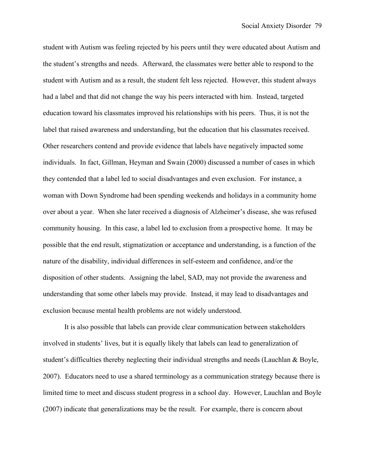student with Autism was feeling rejected by his peers until they were educated about Autism and the student's strengths and needs. Afterward, the classmates were better able to respond to the student with Autism and as a result, the student felt less rejected. However, this student always had a label and that did not change the way his peers interacted with him. Instead, targeted education toward his classmates improved his relationships with his peers. Thus, it is not the label that raised awareness and understanding, but the education that his classmates received. Other researchers contend and provide evidence that labels have negatively impacted some individuals. In fact, Gillman, Heyman and Swain (2000) discussed a number of cases in which they contended that a label led to social disadvantages and even exclusion. For instance, a woman with Down Syndrome had been spending weekends and holidays in a community home over about a year. When she later received a diagnosis of Alzheimer's disease, she was refused community housing. In this case, a label led to exclusion from a prospective home. It may be possible that the end result, stigmatization or acceptance and understanding, is a function of the nature of the disability, individual differences in self-esteem and confidence, and/or the disposition of other students. Assigning the label, SAD, may not provide the awareness and understanding that some other labels may provide. Instead, it may lead to disadvantages and exclusion because mental health problems are not widely understood.

It is also possible that labels can provide clear communication between stakeholders involved in students' lives, but it is equally likely that labels can lead to generalization of student's difficulties thereby neglecting their individual strengths and needs (Lauchlan & Boyle, 2007). Educators need to use a shared terminology as a communication strategy because there is limited time to meet and discuss student progress in a school day. However, Lauchlan and Boyle (2007) indicate that generalizations may be the result. For example, there is concern about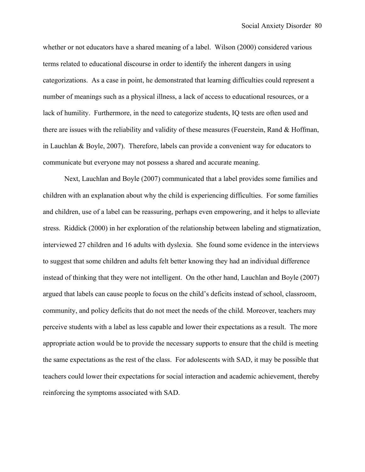whether or not educators have a shared meaning of a label. Wilson (2000) considered various terms related to educational discourse in order to identify the inherent dangers in using categorizations. As a case in point, he demonstrated that learning difficulties could represent a number of meanings such as a physical illness, a lack of access to educational resources, or a lack of humility. Furthermore, in the need to categorize students, IQ tests are often used and there are issues with the reliability and validity of these measures (Feuerstein, Rand & Hoffman, in Lauchlan & Boyle, 2007). Therefore, labels can provide a convenient way for educators to communicate but everyone may not possess a shared and accurate meaning.

Next, Lauchlan and Boyle (2007) communicated that a label provides some families and children with an explanation about why the child is experiencing difficulties. For some families and children, use of a label can be reassuring, perhaps even empowering, and it helps to alleviate stress. Riddick (2000) in her exploration of the relationship between labeling and stigmatization, interviewed 27 children and 16 adults with dyslexia. She found some evidence in the interviews to suggest that some children and adults felt better knowing they had an individual difference instead of thinking that they were not intelligent. On the other hand, Lauchlan and Boyle (2007) argued that labels can cause people to focus on the child's deficits instead of school, classroom, community, and policy deficits that do not meet the needs of the child. Moreover, teachers may perceive students with a label as less capable and lower their expectations as a result. The more appropriate action would be to provide the necessary supports to ensure that the child is meeting the same expectations as the rest of the class. For adolescents with SAD, it may be possible that teachers could lower their expectations for social interaction and academic achievement, thereby reinforcing the symptoms associated with SAD.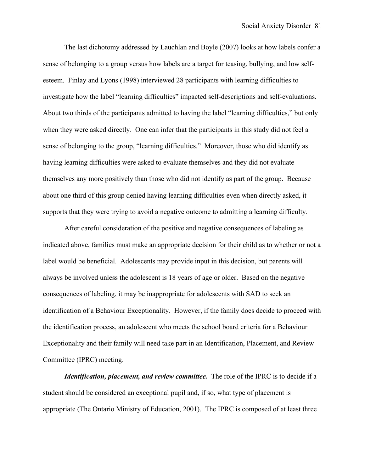The last dichotomy addressed by Lauchlan and Boyle (2007) looks at how labels confer a sense of belonging to a group versus how labels are a target for teasing, bullying, and low selfesteem. Finlay and Lyons (1998) interviewed 28 participants with learning difficulties to investigate how the label "learning difficulties" impacted self-descriptions and self-evaluations. About two thirds of the participants admitted to having the label "learning difficulties," but only when they were asked directly. One can infer that the participants in this study did not feel a sense of belonging to the group, "learning difficulties." Moreover, those who did identify as having learning difficulties were asked to evaluate themselves and they did not evaluate themselves any more positively than those who did not identify as part of the group. Because about one third of this group denied having learning difficulties even when directly asked, it supports that they were trying to avoid a negative outcome to admitting a learning difficulty.

After careful consideration of the positive and negative consequences of labeling as indicated above, families must make an appropriate decision for their child as to whether or not a label would be beneficial. Adolescents may provide input in this decision, but parents will always be involved unless the adolescent is 18 years of age or older. Based on the negative consequences of labeling, it may be inappropriate for adolescents with SAD to seek an identification of a Behaviour Exceptionality. However, if the family does decide to proceed with the identification process, an adolescent who meets the school board criteria for a Behaviour Exceptionality and their family will need take part in an Identification, Placement, and Review Committee (IPRC) meeting.

*Identification, placement, and review committee.* The role of the IPRC is to decide if a student should be considered an exceptional pupil and, if so, what type of placement is appropriate (The Ontario Ministry of Education, 2001). The IPRC is composed of at least three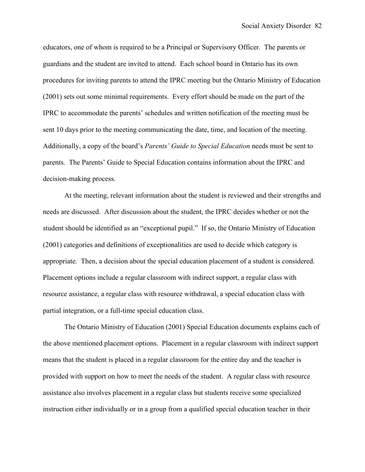educators, one of whom is required to be a Principal or Supervisory Officer. The parents or guardians and the student are invited to attend. Each school board in Ontario has its own procedures for inviting parents to attend the IPRC meeting but the Ontario Ministry of Education (2001) sets out some minimal requirements. Every effort should be made on the part of the IPRC to accommodate the parents' schedules and written notification of the meeting must be sent 10 days prior to the meeting communicating the date, time, and location of the meeting. Additionally, a copy of the board's *Parents' Guide to Special Education* needs must be sent to parents. The Parents' Guide to Special Education contains information about the IPRC and decision-making process.

At the meeting, relevant information about the student is reviewed and their strengths and needs are discussed. After discussion about the student, the IPRC decides whether or not the student should be identified as an "exceptional pupil." If so, the Ontario Ministry of Education (2001) categories and definitions of exceptionalities are used to decide which category is appropriate. Then, a decision about the special education placement of a student is considered. Placement options include a regular classroom with indirect support, a regular class with resource assistance, a regular class with resource withdrawal, a special education class with partial integration, or a full-time special education class.

The Ontario Ministry of Education (2001) Special Education documents explains each of the above mentioned placement options. Placement in a regular classroom with indirect support means that the student is placed in a regular classroom for the entire day and the teacher is provided with support on how to meet the needs of the student. A regular class with resource assistance also involves placement in a regular class but students receive some specialized instruction either individually or in a group from a qualified special education teacher in their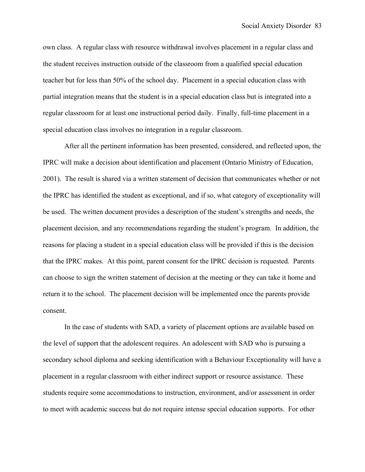own class. A regular class with resource withdrawal involves placement in a regular class and the student receives instruction outside of the classroom from a qualified special education teacher but for less than 50% of the school day. Placement in a special education class with partial integration means that the student is in a special education class but is integrated into a regular classroom for at least one instructional period daily. Finally, full-time placement in a special education class involves no integration in a regular classroom.

After all the pertinent information has been presented, considered, and reflected upon, the IPRC will make a decision about identification and placement (Ontario Ministry of Education, 2001). The result is shared via a written statement of decision that communicates whether or not the IPRC has identified the student as exceptional, and if so, what category of exceptionality will be used. The written document provides a description of the student's strengths and needs, the placement decision, and any recommendations regarding the student's program. In addition, the reasons for placing a student in a special education class will be provided if this is the decision that the IPRC makes. At this point, parent consent for the IPRC decision is requested. Parents can choose to sign the written statement of decision at the meeting or they can take it home and return it to the school. The placement decision will be implemented once the parents provide consent.

In the case of students with SAD, a variety of placement options are available based on the level of support that the adolescent requires. An adolescent with SAD who is pursuing a secondary school diploma and seeking identification with a Behaviour Exceptionality will have a placement in a regular classroom with either indirect support or resource assistance. These students require some accommodations to instruction, environment, and/or assessment in order to meet with academic success but do not require intense special education supports. For other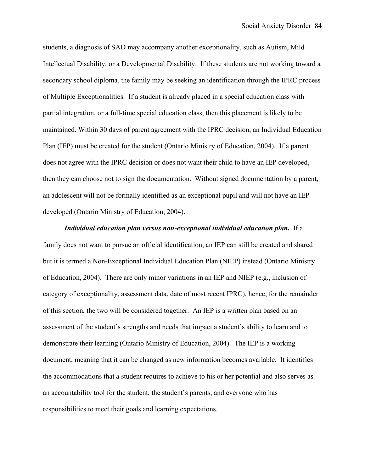students, a diagnosis of SAD may accompany another exceptionality, such as Autism, Mild Intellectual Disability, or a Developmental Disability. If these students are not working toward a secondary school diploma, the family may be seeking an identification through the IPRC process of Multiple Exceptionalities. If a student is already placed in a special education class with partial integration, or a full-time special education class, then this placement is likely to be maintained. Within 30 days of parent agreement with the IPRC decision, an Individual Education Plan (IEP) must be created for the student (Ontario Ministry of Education, 2004). If a parent does not agree with the IPRC decision or does not want their child to have an IEP developed, then they can choose not to sign the documentation. Without signed documentation by a parent, an adolescent will not be formally identified as an exceptional pupil and will not have an IEP developed (Ontario Ministry of Education, 2004).

*Individual education plan versus non-exceptional individual education plan.* If a family does not want to pursue an official identification, an IEP can still be created and shared but it is termed a Non-Exceptional Individual Education Plan (NIEP) instead (Ontario Ministry of Education, 2004). There are only minor variations in an IEP and NIEP (e.g., inclusion of category of exceptionality, assessment data, date of most recent IPRC), hence, for the remainder of this section, the two will be considered together. An IEP is a written plan based on an assessment of the student's strengths and needs that impact a student's ability to learn and to demonstrate their learning (Ontario Ministry of Education, 2004). The IEP is a working document, meaning that it can be changed as new information becomes available. It identifies the accommodations that a student requires to achieve to his or her potential and also serves as an accountability tool for the student, the student's parents, and everyone who has responsibilities to meet their goals and learning expectations.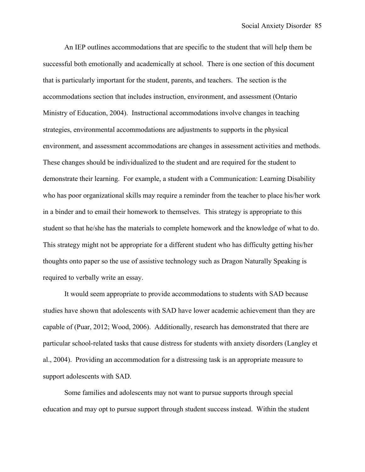An IEP outlines accommodations that are specific to the student that will help them be successful both emotionally and academically at school. There is one section of this document that is particularly important for the student, parents, and teachers. The section is the accommodations section that includes instruction, environment, and assessment (Ontario Ministry of Education, 2004). Instructional accommodations involve changes in teaching strategies, environmental accommodations are adjustments to supports in the physical environment, and assessment accommodations are changes in assessment activities and methods. These changes should be individualized to the student and are required for the student to demonstrate their learning. For example, a student with a Communication: Learning Disability who has poor organizational skills may require a reminder from the teacher to place his/her work in a binder and to email their homework to themselves. This strategy is appropriate to this student so that he/she has the materials to complete homework and the knowledge of what to do. This strategy might not be appropriate for a different student who has difficulty getting his/her thoughts onto paper so the use of assistive technology such as Dragon Naturally Speaking is required to verbally write an essay.

It would seem appropriate to provide accommodations to students with SAD because studies have shown that adolescents with SAD have lower academic achievement than they are capable of (Puar, 2012; Wood, 2006). Additionally, research has demonstrated that there are particular school-related tasks that cause distress for students with anxiety disorders (Langley et al., 2004). Providing an accommodation for a distressing task is an appropriate measure to support adolescents with SAD.

Some families and adolescents may not want to pursue supports through special education and may opt to pursue support through student success instead. Within the student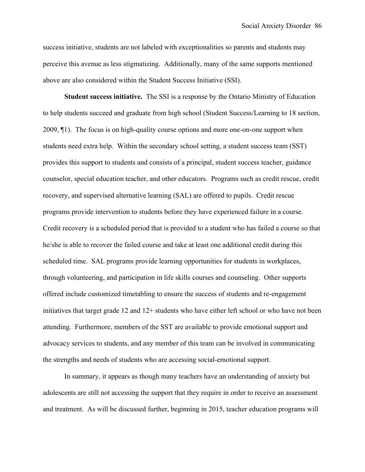success initiative, students are not labeled with exceptionalities so parents and students may perceive this avenue as less stigmatizing. Additionally, many of the same supports mentioned above are also considered within the Student Success Initiative (SSI).

**Student success initiative.** The SSI is a response by the Ontario Ministry of Education to help students succeed and graduate from high school (Student Success/Learning to 18 section, 2009, ¶1). The focus is on high-quality course options and more one-on-one support when students need extra help. Within the secondary school setting, a student success team (SST) provides this support to students and consists of a principal, student success teacher, guidance counselor, special education teacher, and other educators. Programs such as credit rescue, credit recovery, and supervised alternative learning (SAL) are offered to pupils. Credit rescue programs provide intervention to students before they have experienced failure in a course. Credit recovery is a scheduled period that is provided to a student who has failed a course so that he/she is able to recover the failed course and take at least one additional credit during this scheduled time. SAL programs provide learning opportunities for students in workplaces, through volunteering, and participation in life skills courses and counseling. Other supports offered include customized timetabling to ensure the success of students and re-engagement initiatives that target grade 12 and 12+ students who have either left school or who have not been attending. Furthermore, members of the SST are available to provide emotional support and advocacy services to students, and any member of this team can be involved in communicating the strengths and needs of students who are accessing social-emotional support.

In summary, it appears as though many teachers have an understanding of anxiety but adolescents are still not accessing the support that they require in order to receive an assessment and treatment. As will be discussed further, beginning in 2015, teacher education programs will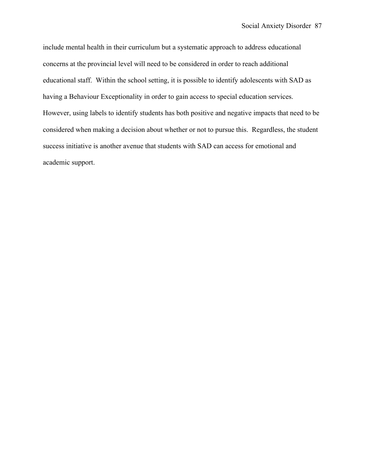include mental health in their curriculum but a systematic approach to address educational concerns at the provincial level will need to be considered in order to reach additional educational staff. Within the school setting, it is possible to identify adolescents with SAD as having a Behaviour Exceptionality in order to gain access to special education services. However, using labels to identify students has both positive and negative impacts that need to be considered when making a decision about whether or not to pursue this. Regardless, the student success initiative is another avenue that students with SAD can access for emotional and academic support.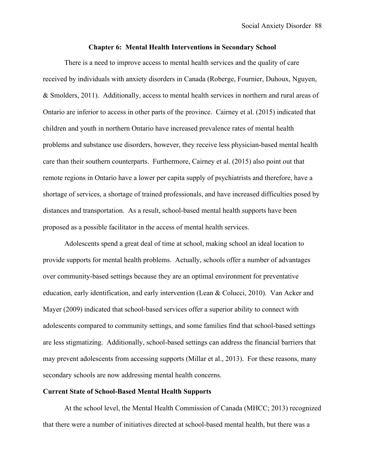## **Chapter 6: Mental Health Interventions in Secondary School**

There is a need to improve access to mental health services and the quality of care received by individuals with anxiety disorders in Canada (Roberge, Fournier, Duhoux, Nguyen, & Smolders, 2011). Additionally, access to mental health services in northern and rural areas of Ontario are inferior to access in other parts of the province. Cairney et al. (2015) indicated that children and youth in northern Ontario have increased prevalence rates of mental health problems and substance use disorders, however, they receive less physician-based mental health care than their southern counterparts. Furthermore, Cairney et al. (2015) also point out that remote regions in Ontario have a lower per capita supply of psychiatrists and therefore, have a shortage of services, a shortage of trained professionals, and have increased difficulties posed by distances and transportation. As a result, school-based mental health supports have been proposed as a possible facilitator in the access of mental health services.

Adolescents spend a great deal of time at school, making school an ideal location to provide supports for mental health problems. Actually, schools offer a number of advantages over community-based settings because they are an optimal environment for preventative education, early identification, and early intervention (Lean & Colucci, 2010). Van Acker and Mayer (2009) indicated that school-based services offer a superior ability to connect with adolescents compared to community settings, and some families find that school-based settings are less stigmatizing. Additionally, school-based settings can address the financial barriers that may prevent adolescents from accessing supports (Millar et al., 2013). For these reasons, many secondary schools are now addressing mental health concerns.

# **Current State of School-Based Mental Health Supports**

At the school level, the Mental Health Commission of Canada (MHCC; 2013) recognized that there were a number of initiatives directed at school-based mental health, but there was a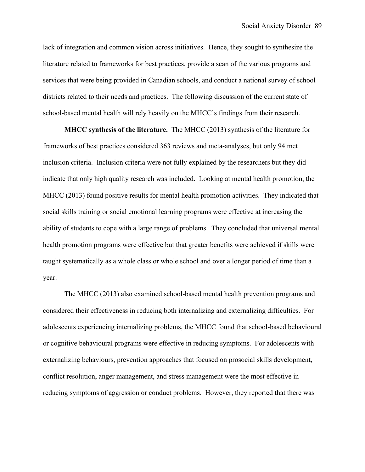lack of integration and common vision across initiatives. Hence, they sought to synthesize the literature related to frameworks for best practices, provide a scan of the various programs and services that were being provided in Canadian schools, and conduct a national survey of school districts related to their needs and practices. The following discussion of the current state of school-based mental health will rely heavily on the MHCC's findings from their research.

**MHCC synthesis of the literature.** The MHCC (2013) synthesis of the literature for frameworks of best practices considered 363 reviews and meta-analyses, but only 94 met inclusion criteria. Inclusion criteria were not fully explained by the researchers but they did indicate that only high quality research was included. Looking at mental health promotion, the MHCC (2013) found positive results for mental health promotion activities. They indicated that social skills training or social emotional learning programs were effective at increasing the ability of students to cope with a large range of problems. They concluded that universal mental health promotion programs were effective but that greater benefits were achieved if skills were taught systematically as a whole class or whole school and over a longer period of time than a year.

The MHCC (2013) also examined school-based mental health prevention programs and considered their effectiveness in reducing both internalizing and externalizing difficulties. For adolescents experiencing internalizing problems, the MHCC found that school-based behavioural or cognitive behavioural programs were effective in reducing symptoms. For adolescents with externalizing behaviours, prevention approaches that focused on prosocial skills development, conflict resolution, anger management, and stress management were the most effective in reducing symptoms of aggression or conduct problems. However, they reported that there was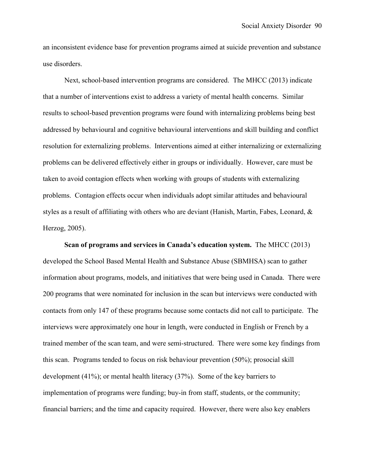an inconsistent evidence base for prevention programs aimed at suicide prevention and substance use disorders.

Next, school-based intervention programs are considered. The MHCC (2013) indicate that a number of interventions exist to address a variety of mental health concerns. Similar results to school-based prevention programs were found with internalizing problems being best addressed by behavioural and cognitive behavioural interventions and skill building and conflict resolution for externalizing problems. Interventions aimed at either internalizing or externalizing problems can be delivered effectively either in groups or individually. However, care must be taken to avoid contagion effects when working with groups of students with externalizing problems. Contagion effects occur when individuals adopt similar attitudes and behavioural styles as a result of affiliating with others who are deviant (Hanish, Martin, Fabes, Leonard, & Herzog, 2005).

**Scan of programs and services in Canada's education system.** The MHCC (2013) developed the School Based Mental Health and Substance Abuse (SBMHSA) scan to gather information about programs, models, and initiatives that were being used in Canada. There were 200 programs that were nominated for inclusion in the scan but interviews were conducted with contacts from only 147 of these programs because some contacts did not call to participate. The interviews were approximately one hour in length, were conducted in English or French by a trained member of the scan team, and were semi-structured. There were some key findings from this scan. Programs tended to focus on risk behaviour prevention (50%); prosocial skill development (41%); or mental health literacy (37%). Some of the key barriers to implementation of programs were funding; buy-in from staff, students, or the community; financial barriers; and the time and capacity required. However, there were also key enablers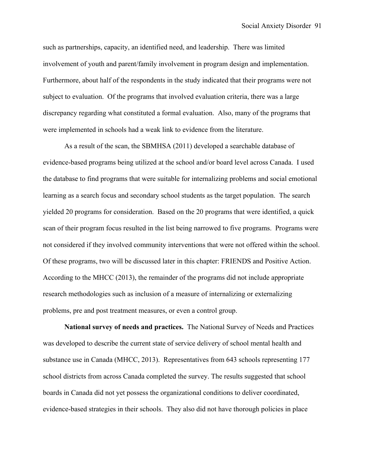such as partnerships, capacity, an identified need, and leadership. There was limited involvement of youth and parent/family involvement in program design and implementation. Furthermore, about half of the respondents in the study indicated that their programs were not subject to evaluation. Of the programs that involved evaluation criteria, there was a large discrepancy regarding what constituted a formal evaluation. Also, many of the programs that were implemented in schools had a weak link to evidence from the literature.

As a result of the scan, the SBMHSA (2011) developed a searchable database of evidence-based programs being utilized at the school and/or board level across Canada. I used the database to find programs that were suitable for internalizing problems and social emotional learning as a search focus and secondary school students as the target population. The search yielded 20 programs for consideration. Based on the 20 programs that were identified, a quick scan of their program focus resulted in the list being narrowed to five programs. Programs were not considered if they involved community interventions that were not offered within the school. Of these programs, two will be discussed later in this chapter: FRIENDS and Positive Action. According to the MHCC (2013), the remainder of the programs did not include appropriate research methodologies such as inclusion of a measure of internalizing or externalizing problems, pre and post treatment measures, or even a control group.

**National survey of needs and practices.** The National Survey of Needs and Practices was developed to describe the current state of service delivery of school mental health and substance use in Canada (MHCC, 2013). Representatives from 643 schools representing 177 school districts from across Canada completed the survey. The results suggested that school boards in Canada did not yet possess the organizational conditions to deliver coordinated, evidence-based strategies in their schools. They also did not have thorough policies in place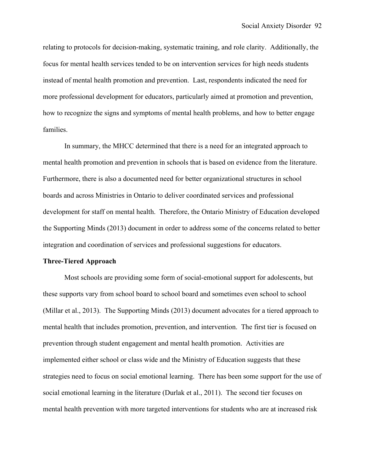relating to protocols for decision-making, systematic training, and role clarity. Additionally, the focus for mental health services tended to be on intervention services for high needs students instead of mental health promotion and prevention. Last, respondents indicated the need for more professional development for educators, particularly aimed at promotion and prevention, how to recognize the signs and symptoms of mental health problems, and how to better engage families.

In summary, the MHCC determined that there is a need for an integrated approach to mental health promotion and prevention in schools that is based on evidence from the literature. Furthermore, there is also a documented need for better organizational structures in school boards and across Ministries in Ontario to deliver coordinated services and professional development for staff on mental health. Therefore, the Ontario Ministry of Education developed the Supporting Minds (2013) document in order to address some of the concerns related to better integration and coordination of services and professional suggestions for educators.

#### **Three-Tiered Approach**

Most schools are providing some form of social-emotional support for adolescents, but these supports vary from school board to school board and sometimes even school to school (Millar et al., 2013). The Supporting Minds (2013) document advocates for a tiered approach to mental health that includes promotion, prevention, and intervention. The first tier is focused on prevention through student engagement and mental health promotion. Activities are implemented either school or class wide and the Ministry of Education suggests that these strategies need to focus on social emotional learning. There has been some support for the use of social emotional learning in the literature (Durlak et al., 2011). The second tier focuses on mental health prevention with more targeted interventions for students who are at increased risk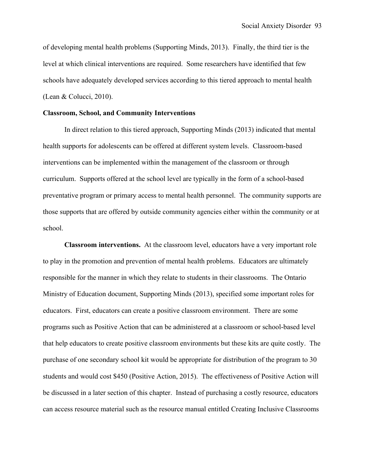of developing mental health problems (Supporting Minds, 2013). Finally, the third tier is the level at which clinical interventions are required. Some researchers have identified that few schools have adequately developed services according to this tiered approach to mental health (Lean & Colucci, 2010).

## **Classroom, School, and Community Interventions**

In direct relation to this tiered approach, Supporting Minds (2013) indicated that mental health supports for adolescents can be offered at different system levels. Classroom-based interventions can be implemented within the management of the classroom or through curriculum. Supports offered at the school level are typically in the form of a school-based preventative program or primary access to mental health personnel. The community supports are those supports that are offered by outside community agencies either within the community or at school.

**Classroom interventions.** At the classroom level, educators have a very important role to play in the promotion and prevention of mental health problems. Educators are ultimately responsible for the manner in which they relate to students in their classrooms. The Ontario Ministry of Education document, Supporting Minds (2013), specified some important roles for educators. First, educators can create a positive classroom environment. There are some programs such as Positive Action that can be administered at a classroom or school-based level that help educators to create positive classroom environments but these kits are quite costly. The purchase of one secondary school kit would be appropriate for distribution of the program to 30 students and would cost \$450 (Positive Action, 2015). The effectiveness of Positive Action will be discussed in a later section of this chapter. Instead of purchasing a costly resource, educators can access resource material such as the resource manual entitled Creating Inclusive Classrooms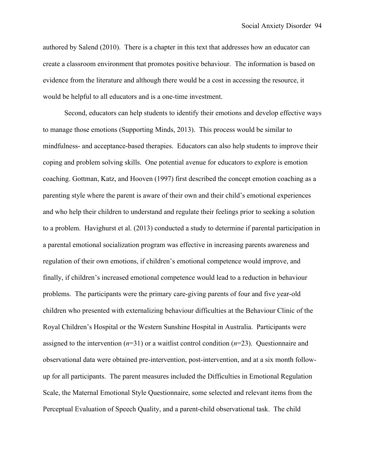authored by Salend (2010). There is a chapter in this text that addresses how an educator can create a classroom environment that promotes positive behaviour. The information is based on evidence from the literature and although there would be a cost in accessing the resource, it would be helpful to all educators and is a one-time investment.

Second, educators can help students to identify their emotions and develop effective ways to manage those emotions (Supporting Minds, 2013). This process would be similar to mindfulness- and acceptance-based therapies. Educators can also help students to improve their coping and problem solving skills. One potential avenue for educators to explore is emotion coaching. Gottman, Katz, and Hooven (1997) first described the concept emotion coaching as a parenting style where the parent is aware of their own and their child's emotional experiences and who help their children to understand and regulate their feelings prior to seeking a solution to a problem. Havighurst et al. (2013) conducted a study to determine if parental participation in a parental emotional socialization program was effective in increasing parents awareness and regulation of their own emotions, if children's emotional competence would improve, and finally, if children's increased emotional competence would lead to a reduction in behaviour problems. The participants were the primary care-giving parents of four and five year-old children who presented with externalizing behaviour difficulties at the Behaviour Clinic of the Royal Children's Hospital or the Western Sunshine Hospital in Australia. Participants were assigned to the intervention (*n*=31) or a waitlist control condition (*n*=23). Questionnaire and observational data were obtained pre-intervention, post-intervention, and at a six month followup for all participants. The parent measures included the Difficulties in Emotional Regulation Scale, the Maternal Emotional Style Questionnaire, some selected and relevant items from the Perceptual Evaluation of Speech Quality, and a parent-child observational task. The child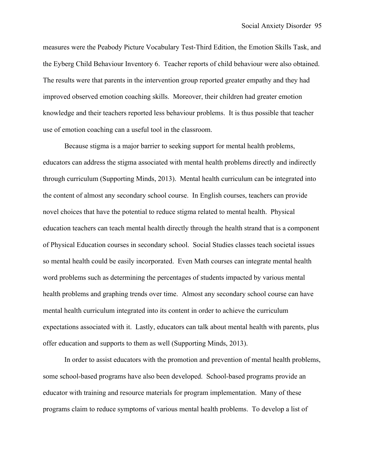measures were the Peabody Picture Vocabulary Test-Third Edition, the Emotion Skills Task, and the Eyberg Child Behaviour Inventory 6. Teacher reports of child behaviour were also obtained. The results were that parents in the intervention group reported greater empathy and they had improved observed emotion coaching skills. Moreover, their children had greater emotion knowledge and their teachers reported less behaviour problems. It is thus possible that teacher use of emotion coaching can a useful tool in the classroom.

Because stigma is a major barrier to seeking support for mental health problems, educators can address the stigma associated with mental health problems directly and indirectly through curriculum (Supporting Minds, 2013). Mental health curriculum can be integrated into the content of almost any secondary school course. In English courses, teachers can provide novel choices that have the potential to reduce stigma related to mental health. Physical education teachers can teach mental health directly through the health strand that is a component of Physical Education courses in secondary school. Social Studies classes teach societal issues so mental health could be easily incorporated. Even Math courses can integrate mental health word problems such as determining the percentages of students impacted by various mental health problems and graphing trends over time. Almost any secondary school course can have mental health curriculum integrated into its content in order to achieve the curriculum expectations associated with it. Lastly, educators can talk about mental health with parents, plus offer education and supports to them as well (Supporting Minds, 2013).

In order to assist educators with the promotion and prevention of mental health problems, some school-based programs have also been developed. School-based programs provide an educator with training and resource materials for program implementation. Many of these programs claim to reduce symptoms of various mental health problems. To develop a list of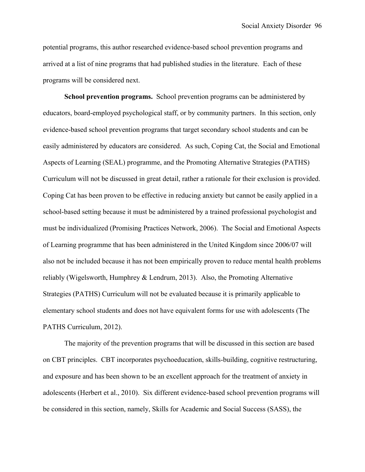potential programs, this author researched evidence-based school prevention programs and arrived at a list of nine programs that had published studies in the literature. Each of these programs will be considered next.

**School prevention programs.** School prevention programs can be administered by educators, board-employed psychological staff, or by community partners. In this section, only evidence-based school prevention programs that target secondary school students and can be easily administered by educators are considered. As such, Coping Cat, the Social and Emotional Aspects of Learning (SEAL) programme, and the Promoting Alternative Strategies (PATHS) Curriculum will not be discussed in great detail, rather a rationale for their exclusion is provided. Coping Cat has been proven to be effective in reducing anxiety but cannot be easily applied in a school-based setting because it must be administered by a trained professional psychologist and must be individualized (Promising Practices Network, 2006). The Social and Emotional Aspects of Learning programme that has been administered in the United Kingdom since 2006/07 will also not be included because it has not been empirically proven to reduce mental health problems reliably (Wigelsworth, Humphrey & Lendrum, 2013). Also, the Promoting Alternative Strategies (PATHS) Curriculum will not be evaluated because it is primarily applicable to elementary school students and does not have equivalent forms for use with adolescents (The PATHS Curriculum, 2012).

The majority of the prevention programs that will be discussed in this section are based on CBT principles. CBT incorporates psychoeducation, skills-building, cognitive restructuring, and exposure and has been shown to be an excellent approach for the treatment of anxiety in adolescents (Herbert et al., 2010). Six different evidence-based school prevention programs will be considered in this section, namely, Skills for Academic and Social Success (SASS), the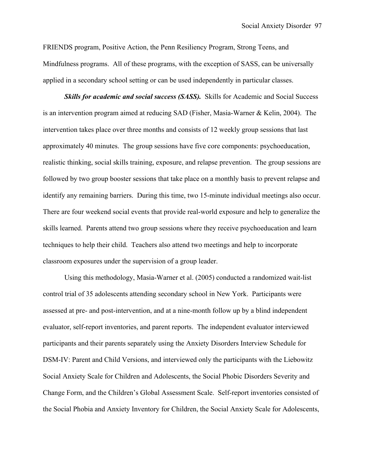FRIENDS program, Positive Action, the Penn Resiliency Program, Strong Teens, and Mindfulness programs. All of these programs, with the exception of SASS, can be universally applied in a secondary school setting or can be used independently in particular classes.

**Skills for academic and social success (SASS).** Skills for Academic and Social Success is an intervention program aimed at reducing SAD (Fisher, Masia-Warner & Kelin, 2004). The intervention takes place over three months and consists of 12 weekly group sessions that last approximately 40 minutes. The group sessions have five core components: psychoeducation, realistic thinking, social skills training, exposure, and relapse prevention. The group sessions are followed by two group booster sessions that take place on a monthly basis to prevent relapse and identify any remaining barriers. During this time, two 15-minute individual meetings also occur. There are four weekend social events that provide real-world exposure and help to generalize the skills learned. Parents attend two group sessions where they receive psychoeducation and learn techniques to help their child. Teachers also attend two meetings and help to incorporate classroom exposures under the supervision of a group leader.

Using this methodology, Masia-Warner et al. (2005) conducted a randomized wait-list control trial of 35 adolescents attending secondary school in New York. Participants were assessed at pre- and post-intervention, and at a nine-month follow up by a blind independent evaluator, self-report inventories, and parent reports. The independent evaluator interviewed participants and their parents separately using the Anxiety Disorders Interview Schedule for DSM-IV: Parent and Child Versions, and interviewed only the participants with the Liebowitz Social Anxiety Scale for Children and Adolescents, the Social Phobic Disorders Severity and Change Form, and the Children's Global Assessment Scale. Self-report inventories consisted of the Social Phobia and Anxiety Inventory for Children, the Social Anxiety Scale for Adolescents,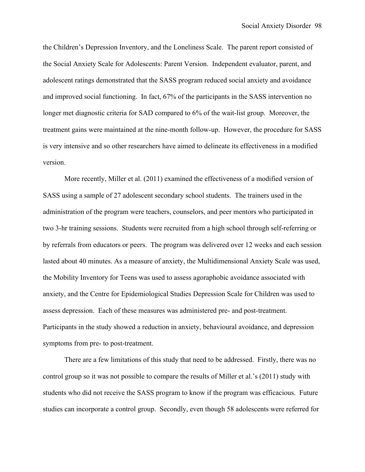the Children's Depression Inventory, and the Loneliness Scale. The parent report consisted of the Social Anxiety Scale for Adolescents: Parent Version. Independent evaluator, parent, and adolescent ratings demonstrated that the SASS program reduced social anxiety and avoidance and improved social functioning. In fact, 67% of the participants in the SASS intervention no longer met diagnostic criteria for SAD compared to 6% of the wait-list group. Moreover, the treatment gains were maintained at the nine-month follow-up. However, the procedure for SASS is very intensive and so other researchers have aimed to delineate its effectiveness in a modified version.

More recently, Miller et al. (2011) examined the effectiveness of a modified version of SASS using a sample of 27 adolescent secondary school students. The trainers used in the administration of the program were teachers, counselors, and peer mentors who participated in two 3-hr training sessions. Students were recruited from a high school through self-referring or by referrals from educators or peers. The program was delivered over 12 weeks and each session lasted about 40 minutes. As a measure of anxiety, the Multidimensional Anxiety Scale was used, the Mobility Inventory for Teens was used to assess agoraphobic avoidance associated with anxiety, and the Centre for Epidemiological Studies Depression Scale for Children was used to assess depression. Each of these measures was administered pre- and post-treatment. Participants in the study showed a reduction in anxiety, behavioural avoidance, and depression symptoms from pre- to post-treatment.

There are a few limitations of this study that need to be addressed. Firstly, there was no control group so it was not possible to compare the results of Miller et al.'s (2011) study with students who did not receive the SASS program to know if the program was efficacious. Future studies can incorporate a control group. Secondly, even though 58 adolescents were referred for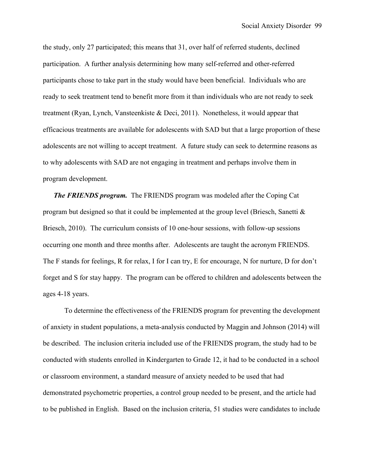the study, only 27 participated; this means that 31, over half of referred students, declined participation. A further analysis determining how many self-referred and other-referred participants chose to take part in the study would have been beneficial. Individuals who are ready to seek treatment tend to benefit more from it than individuals who are not ready to seek treatment (Ryan, Lynch, Vansteenkiste & Deci, 2011). Nonetheless, it would appear that efficacious treatments are available for adolescents with SAD but that a large proportion of these adolescents are not willing to accept treatment. A future study can seek to determine reasons as to why adolescents with SAD are not engaging in treatment and perhaps involve them in program development.

*The FRIENDS program.* The FRIENDS program was modeled after the Coping Cat program but designed so that it could be implemented at the group level (Briesch, Sanetti  $\&$ Briesch, 2010). The curriculum consists of 10 one-hour sessions, with follow-up sessions occurring one month and three months after. Adolescents are taught the acronym FRIENDS. The F stands for feelings, R for relax, I for I can try, E for encourage, N for nurture, D for don't forget and S for stay happy. The program can be offered to children and adolescents between the ages 4-18 years.

To determine the effectiveness of the FRIENDS program for preventing the development of anxiety in student populations, a meta-analysis conducted by Maggin and Johnson (2014) will be described. The inclusion criteria included use of the FRIENDS program, the study had to be conducted with students enrolled in Kindergarten to Grade 12, it had to be conducted in a school or classroom environment, a standard measure of anxiety needed to be used that had demonstrated psychometric properties, a control group needed to be present, and the article had to be published in English. Based on the inclusion criteria, 51 studies were candidates to include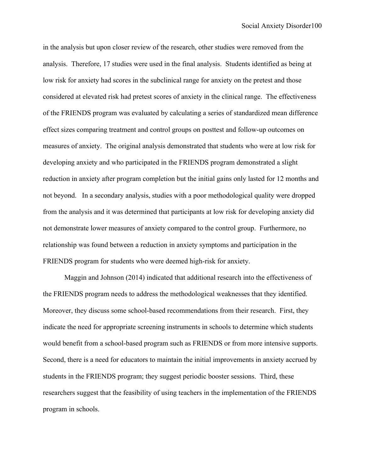in the analysis but upon closer review of the research, other studies were removed from the analysis. Therefore, 17 studies were used in the final analysis. Students identified as being at low risk for anxiety had scores in the subclinical range for anxiety on the pretest and those considered at elevated risk had pretest scores of anxiety in the clinical range. The effectiveness of the FRIENDS program was evaluated by calculating a series of standardized mean difference effect sizes comparing treatment and control groups on posttest and follow-up outcomes on measures of anxiety. The original analysis demonstrated that students who were at low risk for developing anxiety and who participated in the FRIENDS program demonstrated a slight reduction in anxiety after program completion but the initial gains only lasted for 12 months and not beyond. In a secondary analysis, studies with a poor methodological quality were dropped from the analysis and it was determined that participants at low risk for developing anxiety did not demonstrate lower measures of anxiety compared to the control group. Furthermore, no relationship was found between a reduction in anxiety symptoms and participation in the FRIENDS program for students who were deemed high-risk for anxiety.

Maggin and Johnson (2014) indicated that additional research into the effectiveness of the FRIENDS program needs to address the methodological weaknesses that they identified. Moreover, they discuss some school-based recommendations from their research. First, they indicate the need for appropriate screening instruments in schools to determine which students would benefit from a school-based program such as FRIENDS or from more intensive supports. Second, there is a need for educators to maintain the initial improvements in anxiety accrued by students in the FRIENDS program; they suggest periodic booster sessions. Third, these researchers suggest that the feasibility of using teachers in the implementation of the FRIENDS program in schools.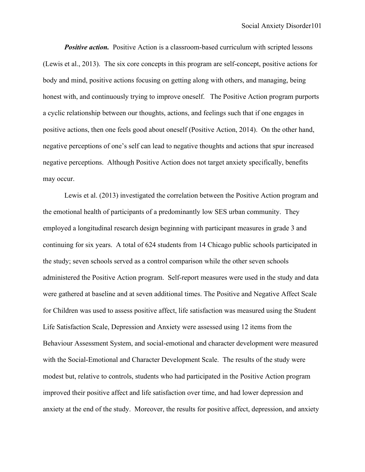*Positive action.* Positive Action is a classroom-based curriculum with scripted lessons (Lewis et al., 2013). The six core concepts in this program are self-concept, positive actions for body and mind, positive actions focusing on getting along with others, and managing, being honest with, and continuously trying to improve oneself. The Positive Action program purports a cyclic relationship between our thoughts, actions, and feelings such that if one engages in positive actions, then one feels good about oneself (Positive Action, 2014). On the other hand, negative perceptions of one's self can lead to negative thoughts and actions that spur increased negative perceptions. Although Positive Action does not target anxiety specifically, benefits may occur.

Lewis et al. (2013) investigated the correlation between the Positive Action program and the emotional health of participants of a predominantly low SES urban community. They employed a longitudinal research design beginning with participant measures in grade 3 and continuing for six years. A total of 624 students from 14 Chicago public schools participated in the study; seven schools served as a control comparison while the other seven schools administered the Positive Action program. Self-report measures were used in the study and data were gathered at baseline and at seven additional times. The Positive and Negative Affect Scale for Children was used to assess positive affect, life satisfaction was measured using the Student Life Satisfaction Scale, Depression and Anxiety were assessed using 12 items from the Behaviour Assessment System, and social-emotional and character development were measured with the Social-Emotional and Character Development Scale. The results of the study were modest but, relative to controls, students who had participated in the Positive Action program improved their positive affect and life satisfaction over time, and had lower depression and anxiety at the end of the study. Moreover, the results for positive affect, depression, and anxiety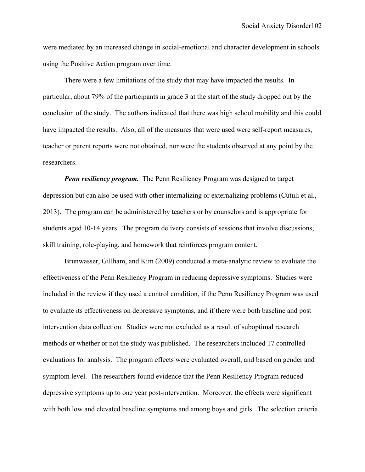were mediated by an increased change in social-emotional and character development in schools using the Positive Action program over time.

There were a few limitations of the study that may have impacted the results. In particular, about 79% of the participants in grade 3 at the start of the study dropped out by the conclusion of the study. The authors indicated that there was high school mobility and this could have impacted the results. Also, all of the measures that were used were self-report measures, teacher or parent reports were not obtained, nor were the students observed at any point by the researchers.

*Penn resiliency program.* The Penn Resiliency Program was designed to target depression but can also be used with other internalizing or externalizing problems (Cutuli et al., 2013). The program can be administered by teachers or by counselors and is appropriate for students aged 10-14 years. The program delivery consists of sessions that involve discussions, skill training, role-playing, and homework that reinforces program content.

Brunwasser, Gillham, and Kim (2009) conducted a meta-analytic review to evaluate the effectiveness of the Penn Resiliency Program in reducing depressive symptoms. Studies were included in the review if they used a control condition, if the Penn Resiliency Program was used to evaluate its effectiveness on depressive symptoms, and if there were both baseline and post intervention data collection. Studies were not excluded as a result of suboptimal research methods or whether or not the study was published. The researchers included 17 controlled evaluations for analysis. The program effects were evaluated overall, and based on gender and symptom level. The researchers found evidence that the Penn Resiliency Program reduced depressive symptoms up to one year post-intervention. Moreover, the effects were significant with both low and elevated baseline symptoms and among boys and girls. The selection criteria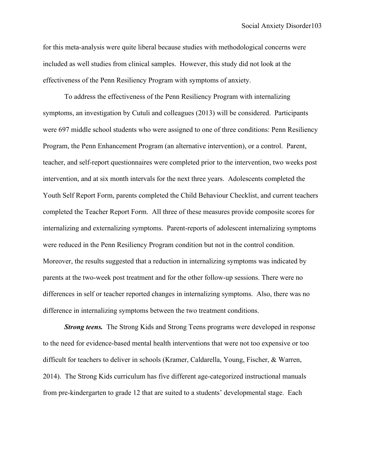for this meta-analysis were quite liberal because studies with methodological concerns were included as well studies from clinical samples. However, this study did not look at the effectiveness of the Penn Resiliency Program with symptoms of anxiety.

To address the effectiveness of the Penn Resiliency Program with internalizing symptoms, an investigation by Cutuli and colleagues (2013) will be considered. Participants were 697 middle school students who were assigned to one of three conditions: Penn Resiliency Program, the Penn Enhancement Program (an alternative intervention), or a control. Parent, teacher, and self-report questionnaires were completed prior to the intervention, two weeks post intervention, and at six month intervals for the next three years. Adolescents completed the Youth Self Report Form, parents completed the Child Behaviour Checklist, and current teachers completed the Teacher Report Form. All three of these measures provide composite scores for internalizing and externalizing symptoms. Parent-reports of adolescent internalizing symptoms were reduced in the Penn Resiliency Program condition but not in the control condition. Moreover, the results suggested that a reduction in internalizing symptoms was indicated by parents at the two-week post treatment and for the other follow-up sessions. There were no differences in self or teacher reported changes in internalizing symptoms. Also, there was no difference in internalizing symptoms between the two treatment conditions.

*Strong teens.* The Strong Kids and Strong Teens programs were developed in response to the need for evidence-based mental health interventions that were not too expensive or too difficult for teachers to deliver in schools (Kramer, Caldarella, Young, Fischer, & Warren, 2014). The Strong Kids curriculum has five different age-categorized instructional manuals from pre-kindergarten to grade 12 that are suited to a students' developmental stage. Each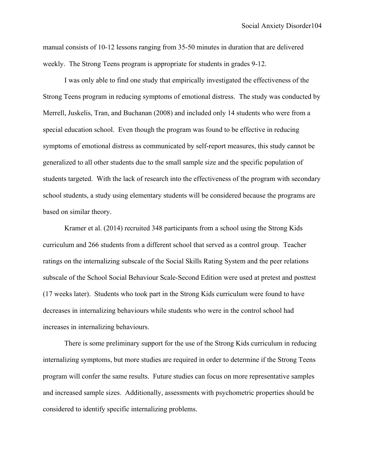manual consists of 10-12 lessons ranging from 35-50 minutes in duration that are delivered weekly. The Strong Teens program is appropriate for students in grades 9-12.

I was only able to find one study that empirically investigated the effectiveness of the Strong Teens program in reducing symptoms of emotional distress. The study was conducted by Merrell, Juskelis, Tran, and Buchanan (2008) and included only 14 students who were from a special education school. Even though the program was found to be effective in reducing symptoms of emotional distress as communicated by self-report measures, this study cannot be generalized to all other students due to the small sample size and the specific population of students targeted. With the lack of research into the effectiveness of the program with secondary school students, a study using elementary students will be considered because the programs are based on similar theory.

Kramer et al. (2014) recruited 348 participants from a school using the Strong Kids curriculum and 266 students from a different school that served as a control group. Teacher ratings on the internalizing subscale of the Social Skills Rating System and the peer relations subscale of the School Social Behaviour Scale-Second Edition were used at pretest and posttest (17 weeks later). Students who took part in the Strong Kids curriculum were found to have decreases in internalizing behaviours while students who were in the control school had increases in internalizing behaviours.

There is some preliminary support for the use of the Strong Kids curriculum in reducing internalizing symptoms, but more studies are required in order to determine if the Strong Teens program will confer the same results. Future studies can focus on more representative samples and increased sample sizes. Additionally, assessments with psychometric properties should be considered to identify specific internalizing problems.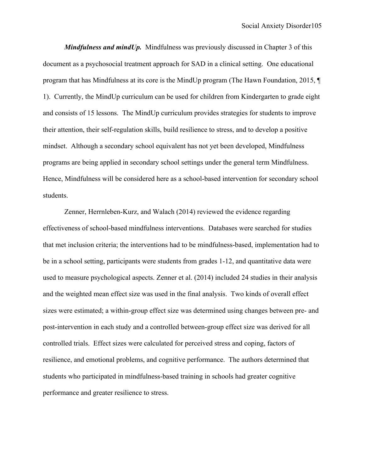*Mindfulness and mindUp.* Mindfulness was previously discussed in Chapter 3 of this document as a psychosocial treatment approach for SAD in a clinical setting. One educational program that has Mindfulness at its core is the MindUp program (The Hawn Foundation, 2015, ¶ 1). Currently, the MindUp curriculum can be used for children from Kindergarten to grade eight and consists of 15 lessons. The MindUp curriculum provides strategies for students to improve their attention, their self-regulation skills, build resilience to stress, and to develop a positive mindset. Although a secondary school equivalent has not yet been developed, Mindfulness programs are being applied in secondary school settings under the general term Mindfulness. Hence, Mindfulness will be considered here as a school-based intervention for secondary school students.

Zenner, Herrnleben-Kurz, and Walach (2014) reviewed the evidence regarding effectiveness of school-based mindfulness interventions. Databases were searched for studies that met inclusion criteria; the interventions had to be mindfulness-based, implementation had to be in a school setting, participants were students from grades 1-12, and quantitative data were used to measure psychological aspects. Zenner et al. (2014) included 24 studies in their analysis and the weighted mean effect size was used in the final analysis. Two kinds of overall effect sizes were estimated; a within-group effect size was determined using changes between pre- and post-intervention in each study and a controlled between-group effect size was derived for all controlled trials. Effect sizes were calculated for perceived stress and coping, factors of resilience, and emotional problems, and cognitive performance. The authors determined that students who participated in mindfulness-based training in schools had greater cognitive performance and greater resilience to stress.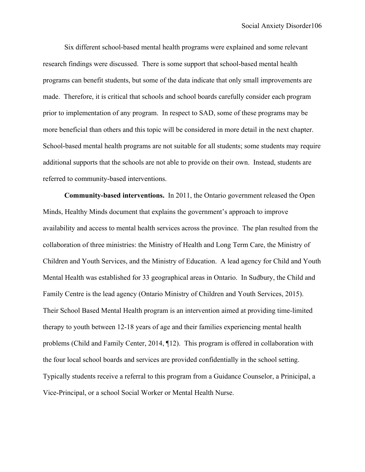Six different school-based mental health programs were explained and some relevant research findings were discussed. There is some support that school-based mental health programs can benefit students, but some of the data indicate that only small improvements are made. Therefore, it is critical that schools and school boards carefully consider each program prior to implementation of any program. In respect to SAD, some of these programs may be more beneficial than others and this topic will be considered in more detail in the next chapter. School-based mental health programs are not suitable for all students; some students may require additional supports that the schools are not able to provide on their own. Instead, students are referred to community-based interventions.

**Community-based interventions.** In 2011, the Ontario government released the Open Minds, Healthy Minds document that explains the government's approach to improve availability and access to mental health services across the province. The plan resulted from the collaboration of three ministries: the Ministry of Health and Long Term Care, the Ministry of Children and Youth Services, and the Ministry of Education. A lead agency for Child and Youth Mental Health was established for 33 geographical areas in Ontario. In Sudbury, the Child and Family Centre is the lead agency (Ontario Ministry of Children and Youth Services, 2015). Their School Based Mental Health program is an intervention aimed at providing time-limited therapy to youth between 12-18 years of age and their families experiencing mental health problems (Child and Family Center, 2014, ¶12). This program is offered in collaboration with the four local school boards and services are provided confidentially in the school setting. Typically students receive a referral to this program from a Guidance Counselor, a Prinicipal, a Vice-Principal, or a school Social Worker or Mental Health Nurse.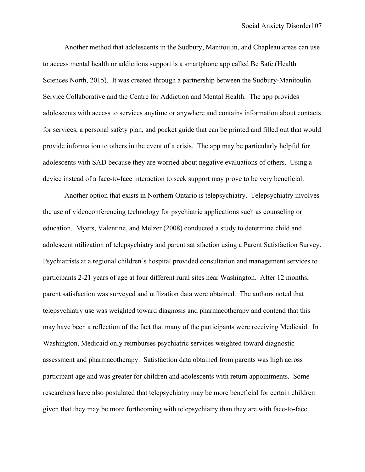Another method that adolescents in the Sudbury, Manitoulin, and Chapleau areas can use to access mental health or addictions support is a smartphone app called Be Safe (Health Sciences North, 2015). It was created through a partnership between the Sudbury-Manitoulin Service Collaborative and the Centre for Addiction and Mental Health. The app provides adolescents with access to services anytime or anywhere and contains information about contacts for services, a personal safety plan, and pocket guide that can be printed and filled out that would provide information to others in the event of a crisis. The app may be particularly helpful for adolescents with SAD because they are worried about negative evaluations of others. Using a device instead of a face-to-face interaction to seek support may prove to be very beneficial.

Another option that exists in Northern Ontario is telepsychiatry. Telepsychiatry involves the use of videoconferencing technology for psychiatric applications such as counseling or education. Myers, Valentine, and Melzer (2008) conducted a study to determine child and adolescent utilization of telepsychiatry and parent satisfaction using a Parent Satisfaction Survey. Psychiatrists at a regional children's hospital provided consultation and management services to participants 2-21 years of age at four different rural sites near Washington. After 12 months, parent satisfaction was surveyed and utilization data were obtained. The authors noted that telepsychiatry use was weighted toward diagnosis and pharmacotherapy and contend that this may have been a reflection of the fact that many of the participants were receiving Medicaid. In Washington, Medicaid only reimburses psychiatric services weighted toward diagnostic assessment and pharmacotherapy. Satisfaction data obtained from parents was high across participant age and was greater for children and adolescents with return appointments. Some researchers have also postulated that telepsychiatry may be more beneficial for certain children given that they may be more forthcoming with telepsychiatry than they are with face-to-face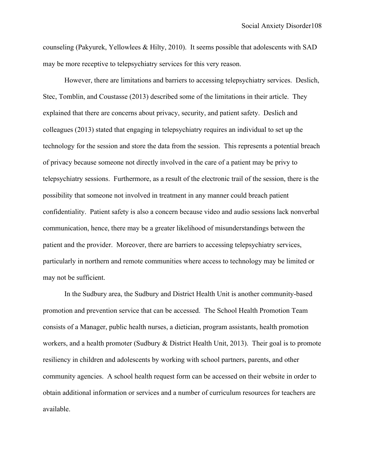counseling (Pakyurek, Yellowlees & Hilty, 2010). It seems possible that adolescents with SAD may be more receptive to telepsychiatry services for this very reason.

However, there are limitations and barriers to accessing telepsychiatry services. Deslich, Stec, Tomblin, and Coustasse (2013) described some of the limitations in their article. They explained that there are concerns about privacy, security, and patient safety. Deslich and colleagues (2013) stated that engaging in telepsychiatry requires an individual to set up the technology for the session and store the data from the session. This represents a potential breach of privacy because someone not directly involved in the care of a patient may be privy to telepsychiatry sessions. Furthermore, as a result of the electronic trail of the session, there is the possibility that someone not involved in treatment in any manner could breach patient confidentiality. Patient safety is also a concern because video and audio sessions lack nonverbal communication, hence, there may be a greater likelihood of misunderstandings between the patient and the provider. Moreover, there are barriers to accessing telepsychiatry services, particularly in northern and remote communities where access to technology may be limited or may not be sufficient.

In the Sudbury area, the Sudbury and District Health Unit is another community-based promotion and prevention service that can be accessed. The School Health Promotion Team consists of a Manager, public health nurses, a dietician, program assistants, health promotion workers, and a health promoter (Sudbury & District Health Unit, 2013). Their goal is to promote resiliency in children and adolescents by working with school partners, parents, and other community agencies. A school health request form can be accessed on their website in order to obtain additional information or services and a number of curriculum resources for teachers are available.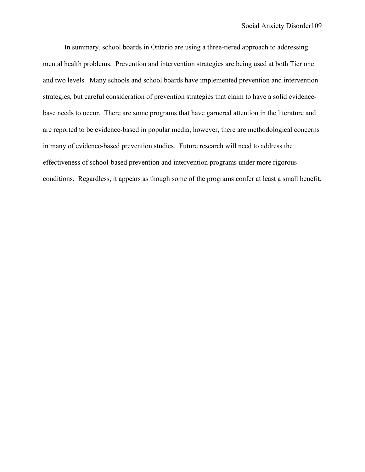In summary, school boards in Ontario are using a three-tiered approach to addressing mental health problems. Prevention and intervention strategies are being used at both Tier one and two levels. Many schools and school boards have implemented prevention and intervention strategies, but careful consideration of prevention strategies that claim to have a solid evidencebase needs to occur. There are some programs that have garnered attention in the literature and are reported to be evidence-based in popular media; however, there are methodological concerns in many of evidence-based prevention studies. Future research will need to address the effectiveness of school-based prevention and intervention programs under more rigorous conditions. Regardless, it appears as though some of the programs confer at least a small benefit.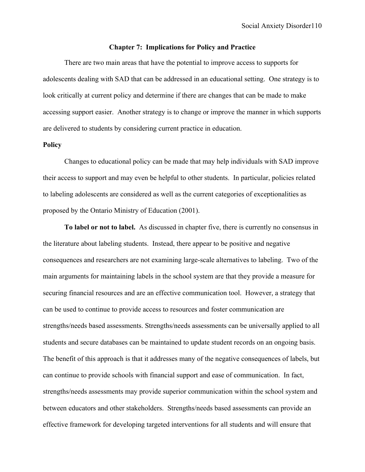### **Chapter 7: Implications for Policy and Practice**

There are two main areas that have the potential to improve access to supports for adolescents dealing with SAD that can be addressed in an educational setting. One strategy is to look critically at current policy and determine if there are changes that can be made to make accessing support easier. Another strategy is to change or improve the manner in which supports are delivered to students by considering current practice in education.

## **Policy**

Changes to educational policy can be made that may help individuals with SAD improve their access to support and may even be helpful to other students. In particular, policies related to labeling adolescents are considered as well as the current categories of exceptionalities as proposed by the Ontario Ministry of Education (2001).

**To label or not to label.** As discussed in chapter five, there is currently no consensus in the literature about labeling students. Instead, there appear to be positive and negative consequences and researchers are not examining large-scale alternatives to labeling. Two of the main arguments for maintaining labels in the school system are that they provide a measure for securing financial resources and are an effective communication tool. However, a strategy that can be used to continue to provide access to resources and foster communication are strengths/needs based assessments. Strengths/needs assessments can be universally applied to all students and secure databases can be maintained to update student records on an ongoing basis. The benefit of this approach is that it addresses many of the negative consequences of labels, but can continue to provide schools with financial support and ease of communication. In fact, strengths/needs assessments may provide superior communication within the school system and between educators and other stakeholders. Strengths/needs based assessments can provide an effective framework for developing targeted interventions for all students and will ensure that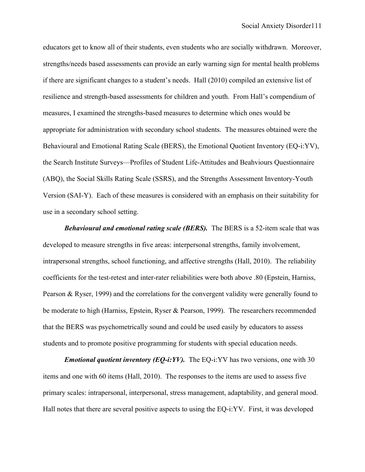educators get to know all of their students, even students who are socially withdrawn. Moreover, strengths/needs based assessments can provide an early warning sign for mental health problems if there are significant changes to a student's needs. Hall (2010) compiled an extensive list of resilience and strength-based assessments for children and youth. From Hall's compendium of measures, I examined the strengths-based measures to determine which ones would be appropriate for administration with secondary school students. The measures obtained were the Behavioural and Emotional Rating Scale (BERS), the Emotional Quotient Inventory (EQ-i:YV), the Search Institute Surveys—Profiles of Student Life-Attitudes and Beahviours Questionnaire (ABQ), the Social Skills Rating Scale (SSRS), and the Strengths Assessment Inventory-Youth Version (SAI-Y). Each of these measures is considered with an emphasis on their suitability for use in a secondary school setting.

*Behavioural and emotional rating scale (BERS).* The BERS is a 52-item scale that was developed to measure strengths in five areas: interpersonal strengths, family involvement, intrapersonal strengths, school functioning, and affective strengths (Hall, 2010). The reliability coefficients for the test-retest and inter-rater reliabilities were both above .80 (Epstein, Harniss, Pearson & Ryser, 1999) and the correlations for the convergent validity were generally found to be moderate to high (Harniss, Epstein, Ryser & Pearson, 1999). The researchers recommended that the BERS was psychometrically sound and could be used easily by educators to assess students and to promote positive programming for students with special education needs.

*Emotional quotient inventory (EQ-i:YV).* The EQ-i:YV has two versions, one with 30 items and one with 60 items (Hall, 2010). The responses to the items are used to assess five primary scales: intrapersonal, interpersonal, stress management, adaptability, and general mood. Hall notes that there are several positive aspects to using the EQ-i:YV. First, it was developed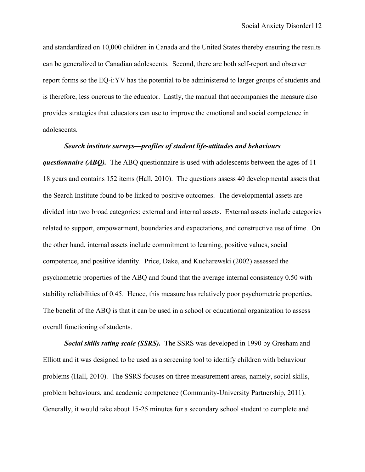and standardized on 10,000 children in Canada and the United States thereby ensuring the results can be generalized to Canadian adolescents. Second, there are both self-report and observer report forms so the EQ-i:YV has the potential to be administered to larger groups of students and is therefore, less onerous to the educator. Lastly, the manual that accompanies the measure also provides strategies that educators can use to improve the emotional and social competence in adolescents.

#### *Search institute surveys—profiles of student life-attitudes and behaviours*

*questionnaire (ABQ).* The ABQ questionnaire is used with adolescents between the ages of 11- 18 years and contains 152 items (Hall, 2010). The questions assess 40 developmental assets that the Search Institute found to be linked to positive outcomes. The developmental assets are divided into two broad categories: external and internal assets. External assets include categories related to support, empowerment, boundaries and expectations, and constructive use of time. On the other hand, internal assets include commitment to learning, positive values, social competence, and positive identity. Price, Dake, and Kucharewski (2002) assessed the psychometric properties of the ABQ and found that the average internal consistency 0.50 with stability reliabilities of 0.45. Hence, this measure has relatively poor psychometric properties. The benefit of the ABQ is that it can be used in a school or educational organization to assess overall functioning of students.

*Social skills rating scale (SSRS).* The SSRS was developed in 1990 by Gresham and Elliott and it was designed to be used as a screening tool to identify children with behaviour problems (Hall, 2010). The SSRS focuses on three measurement areas, namely, social skills, problem behaviours, and academic competence (Community-University Partnership, 2011). Generally, it would take about 15-25 minutes for a secondary school student to complete and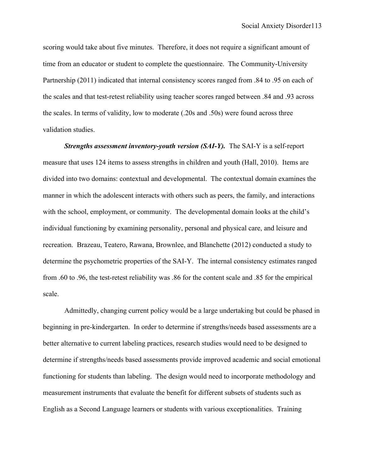scoring would take about five minutes. Therefore, it does not require a significant amount of time from an educator or student to complete the questionnaire. The Community-University Partnership (2011) indicated that internal consistency scores ranged from .84 to .95 on each of the scales and that test-retest reliability using teacher scores ranged between .84 and .93 across the scales. In terms of validity, low to moderate (.20s and .50s) were found across three validation studies.

*Strengths assessment inventory-youth version (SAI-Y).* The SAI-Y is a self-report measure that uses 124 items to assess strengths in children and youth (Hall, 2010). Items are divided into two domains: contextual and developmental. The contextual domain examines the manner in which the adolescent interacts with others such as peers, the family, and interactions with the school, employment, or community. The developmental domain looks at the child's individual functioning by examining personality, personal and physical care, and leisure and recreation. Brazeau, Teatero, Rawana, Brownlee, and Blanchette (2012) conducted a study to determine the psychometric properties of the SAI-Y. The internal consistency estimates ranged from .60 to .96, the test-retest reliability was .86 for the content scale and .85 for the empirical scale.

Admittedly, changing current policy would be a large undertaking but could be phased in beginning in pre-kindergarten. In order to determine if strengths/needs based assessments are a better alternative to current labeling practices, research studies would need to be designed to determine if strengths/needs based assessments provide improved academic and social emotional functioning for students than labeling. The design would need to incorporate methodology and measurement instruments that evaluate the benefit for different subsets of students such as English as a Second Language learners or students with various exceptionalities. Training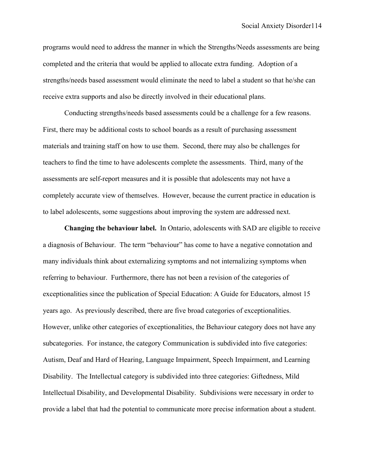programs would need to address the manner in which the Strengths/Needs assessments are being completed and the criteria that would be applied to allocate extra funding. Adoption of a strengths/needs based assessment would eliminate the need to label a student so that he/she can receive extra supports and also be directly involved in their educational plans.

Conducting strengths/needs based assessments could be a challenge for a few reasons. First, there may be additional costs to school boards as a result of purchasing assessment materials and training staff on how to use them. Second, there may also be challenges for teachers to find the time to have adolescents complete the assessments. Third, many of the assessments are self-report measures and it is possible that adolescents may not have a completely accurate view of themselves. However, because the current practice in education is to label adolescents, some suggestions about improving the system are addressed next.

**Changing the behaviour label.** In Ontario, adolescents with SAD are eligible to receive a diagnosis of Behaviour. The term "behaviour" has come to have a negative connotation and many individuals think about externalizing symptoms and not internalizing symptoms when referring to behaviour. Furthermore, there has not been a revision of the categories of exceptionalities since the publication of Special Education: A Guide for Educators, almost 15 years ago. As previously described, there are five broad categories of exceptionalities. However, unlike other categories of exceptionalities, the Behaviour category does not have any subcategories. For instance, the category Communication is subdivided into five categories: Autism, Deaf and Hard of Hearing, Language Impairment, Speech Impairment, and Learning Disability. The Intellectual category is subdivided into three categories: Giftedness, Mild Intellectual Disability, and Developmental Disability. Subdivisions were necessary in order to provide a label that had the potential to communicate more precise information about a student.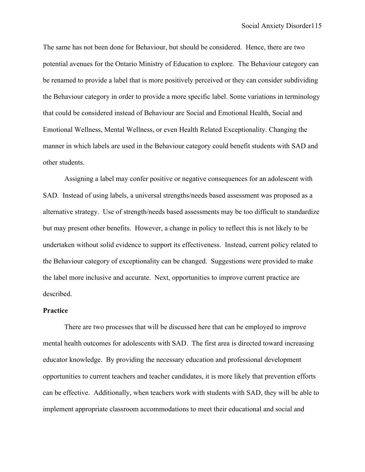The same has not been done for Behaviour, but should be considered. Hence, there are two potential avenues for the Ontario Ministry of Education to explore. The Behaviour category can be renamed to provide a label that is more positively perceived or they can consider subdividing the Behaviour category in order to provide a more specific label. Some variations in terminology that could be considered instead of Behaviour are Social and Emotional Health, Social and Emotional Wellness, Mental Wellness, or even Health Related Exceptionality. Changing the manner in which labels are used in the Behaviour category could benefit students with SAD and other students.

Assigning a label may confer positive or negative consequences for an adolescent with SAD. Instead of using labels, a universal strengths/needs based assessment was proposed as a alternative strategy. Use of strength/needs based assessments may be too difficult to standardize but may present other benefits. However, a change in policy to reflect this is not likely to be undertaken without solid evidence to support its effectiveness. Instead, current policy related to the Behaviour category of exceptionality can be changed. Suggestions were provided to make the label more inclusive and accurate. Next, opportunities to improve current practice are described.

#### **Practice**

There are two processes that will be discussed here that can be employed to improve mental health outcomes for adolescents with SAD. The first area is directed toward increasing educator knowledge. By providing the necessary education and professional development opportunities to current teachers and teacher candidates, it is more likely that prevention efforts can be effective. Additionally, when teachers work with students with SAD, they will be able to implement appropriate classroom accommodations to meet their educational and social and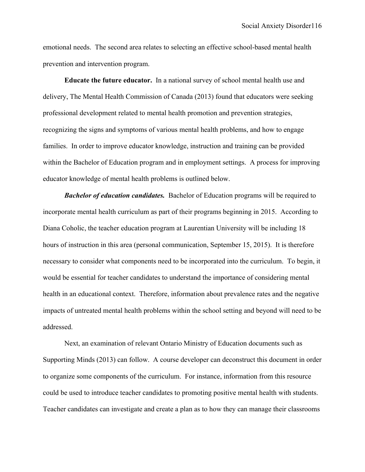emotional needs. The second area relates to selecting an effective school-based mental health prevention and intervention program.

**Educate the future educator.** In a national survey of school mental health use and delivery, The Mental Health Commission of Canada (2013) found that educators were seeking professional development related to mental health promotion and prevention strategies, recognizing the signs and symptoms of various mental health problems, and how to engage families. In order to improve educator knowledge, instruction and training can be provided within the Bachelor of Education program and in employment settings. A process for improving educator knowledge of mental health problems is outlined below.

*Bachelor of education candidates.* Bachelor of Education programs will be required to incorporate mental health curriculum as part of their programs beginning in 2015. According to Diana Coholic, the teacher education program at Laurentian University will be including 18 hours of instruction in this area (personal communication, September 15, 2015). It is therefore necessary to consider what components need to be incorporated into the curriculum. To begin, it would be essential for teacher candidates to understand the importance of considering mental health in an educational context. Therefore, information about prevalence rates and the negative impacts of untreated mental health problems within the school setting and beyond will need to be addressed.

Next, an examination of relevant Ontario Ministry of Education documents such as Supporting Minds (2013) can follow. A course developer can deconstruct this document in order to organize some components of the curriculum. For instance, information from this resource could be used to introduce teacher candidates to promoting positive mental health with students. Teacher candidates can investigate and create a plan as to how they can manage their classrooms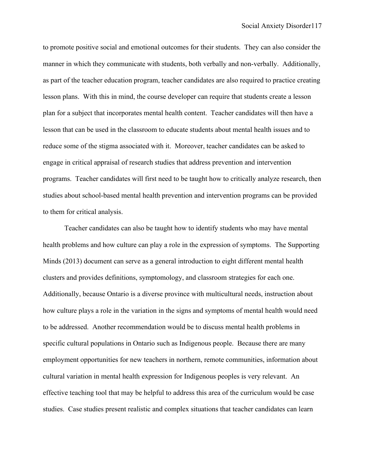to promote positive social and emotional outcomes for their students. They can also consider the manner in which they communicate with students, both verbally and non-verbally. Additionally, as part of the teacher education program, teacher candidates are also required to practice creating lesson plans. With this in mind, the course developer can require that students create a lesson plan for a subject that incorporates mental health content. Teacher candidates will then have a lesson that can be used in the classroom to educate students about mental health issues and to reduce some of the stigma associated with it. Moreover, teacher candidates can be asked to engage in critical appraisal of research studies that address prevention and intervention programs. Teacher candidates will first need to be taught how to critically analyze research, then studies about school-based mental health prevention and intervention programs can be provided to them for critical analysis.

Teacher candidates can also be taught how to identify students who may have mental health problems and how culture can play a role in the expression of symptoms. The Supporting Minds (2013) document can serve as a general introduction to eight different mental health clusters and provides definitions, symptomology, and classroom strategies for each one. Additionally, because Ontario is a diverse province with multicultural needs, instruction about how culture plays a role in the variation in the signs and symptoms of mental health would need to be addressed. Another recommendation would be to discuss mental health problems in specific cultural populations in Ontario such as Indigenous people. Because there are many employment opportunities for new teachers in northern, remote communities, information about cultural variation in mental health expression for Indigenous peoples is very relevant. An effective teaching tool that may be helpful to address this area of the curriculum would be case studies. Case studies present realistic and complex situations that teacher candidates can learn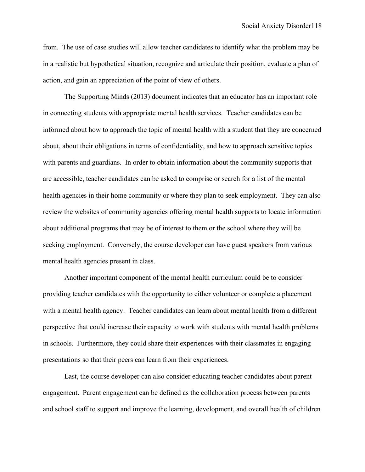from. The use of case studies will allow teacher candidates to identify what the problem may be in a realistic but hypothetical situation, recognize and articulate their position, evaluate a plan of action, and gain an appreciation of the point of view of others.

The Supporting Minds (2013) document indicates that an educator has an important role in connecting students with appropriate mental health services. Teacher candidates can be informed about how to approach the topic of mental health with a student that they are concerned about, about their obligations in terms of confidentiality, and how to approach sensitive topics with parents and guardians. In order to obtain information about the community supports that are accessible, teacher candidates can be asked to comprise or search for a list of the mental health agencies in their home community or where they plan to seek employment. They can also review the websites of community agencies offering mental health supports to locate information about additional programs that may be of interest to them or the school where they will be seeking employment. Conversely, the course developer can have guest speakers from various mental health agencies present in class.

Another important component of the mental health curriculum could be to consider providing teacher candidates with the opportunity to either volunteer or complete a placement with a mental health agency. Teacher candidates can learn about mental health from a different perspective that could increase their capacity to work with students with mental health problems in schools. Furthermore, they could share their experiences with their classmates in engaging presentations so that their peers can learn from their experiences.

Last, the course developer can also consider educating teacher candidates about parent engagement. Parent engagement can be defined as the collaboration process between parents and school staff to support and improve the learning, development, and overall health of children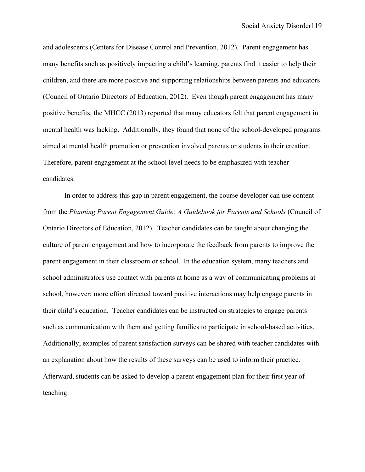and adolescents (Centers for Disease Control and Prevention, 2012). Parent engagement has many benefits such as positively impacting a child's learning, parents find it easier to help their children, and there are more positive and supporting relationships between parents and educators (Council of Ontario Directors of Education, 2012). Even though parent engagement has many positive benefits, the MHCC (2013) reported that many educators felt that parent engagement in mental health was lacking. Additionally, they found that none of the school-developed programs aimed at mental health promotion or prevention involved parents or students in their creation. Therefore, parent engagement at the school level needs to be emphasized with teacher candidates.

In order to address this gap in parent engagement, the course developer can use content from the *Planning Parent Engagement Guide: A Guidebook for Parents and Schools* (Council of Ontario Directors of Education, 2012). Teacher candidates can be taught about changing the culture of parent engagement and how to incorporate the feedback from parents to improve the parent engagement in their classroom or school. In the education system, many teachers and school administrators use contact with parents at home as a way of communicating problems at school, however; more effort directed toward positive interactions may help engage parents in their child's education. Teacher candidates can be instructed on strategies to engage parents such as communication with them and getting families to participate in school-based activities. Additionally, examples of parent satisfaction surveys can be shared with teacher candidates with an explanation about how the results of these surveys can be used to inform their practice. Afterward, students can be asked to develop a parent engagement plan for their first year of teaching.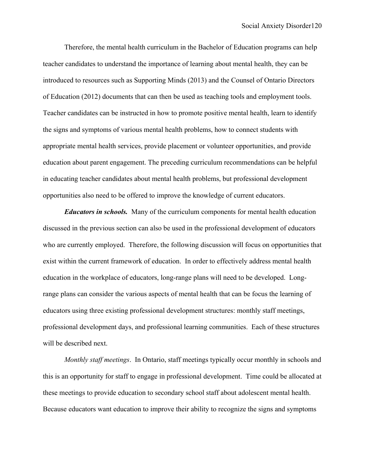Therefore, the mental health curriculum in the Bachelor of Education programs can help teacher candidates to understand the importance of learning about mental health, they can be introduced to resources such as Supporting Minds (2013) and the Counsel of Ontario Directors of Education (2012) documents that can then be used as teaching tools and employment tools. Teacher candidates can be instructed in how to promote positive mental health, learn to identify the signs and symptoms of various mental health problems, how to connect students with appropriate mental health services, provide placement or volunteer opportunities, and provide education about parent engagement. The preceding curriculum recommendations can be helpful in educating teacher candidates about mental health problems, but professional development opportunities also need to be offered to improve the knowledge of current educators.

*Educators in schools.*Many of the curriculum components for mental health education discussed in the previous section can also be used in the professional development of educators who are currently employed. Therefore, the following discussion will focus on opportunities that exist within the current framework of education. In order to effectively address mental health education in the workplace of educators, long-range plans will need to be developed. Longrange plans can consider the various aspects of mental health that can be focus the learning of educators using three existing professional development structures: monthly staff meetings, professional development days, and professional learning communities. Each of these structures will be described next.

*Monthly staff meetings*.In Ontario, staff meetings typically occur monthly in schools and this is an opportunity for staff to engage in professional development. Time could be allocated at these meetings to provide education to secondary school staff about adolescent mental health. Because educators want education to improve their ability to recognize the signs and symptoms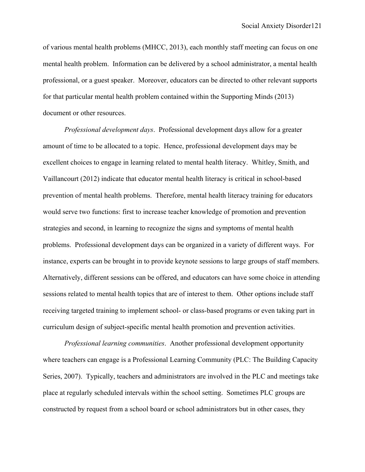of various mental health problems (MHCC, 2013), each monthly staff meeting can focus on one mental health problem. Information can be delivered by a school administrator, a mental health professional, or a guest speaker. Moreover, educators can be directed to other relevant supports for that particular mental health problem contained within the Supporting Minds (2013) document or other resources.

*Professional development days*.Professional development days allow for a greater amount of time to be allocated to a topic. Hence, professional development days may be excellent choices to engage in learning related to mental health literacy. Whitley, Smith, and Vaillancourt (2012) indicate that educator mental health literacy is critical in school-based prevention of mental health problems. Therefore, mental health literacy training for educators would serve two functions: first to increase teacher knowledge of promotion and prevention strategies and second, in learning to recognize the signs and symptoms of mental health problems. Professional development days can be organized in a variety of different ways. For instance, experts can be brought in to provide keynote sessions to large groups of staff members. Alternatively, different sessions can be offered, and educators can have some choice in attending sessions related to mental health topics that are of interest to them. Other options include staff receiving targeted training to implement school- or class-based programs or even taking part in curriculum design of subject-specific mental health promotion and prevention activities.

*Professional learning communities*. Another professional development opportunity where teachers can engage is a Professional Learning Community (PLC: The Building Capacity Series, 2007). Typically, teachers and administrators are involved in the PLC and meetings take place at regularly scheduled intervals within the school setting. Sometimes PLC groups are constructed by request from a school board or school administrators but in other cases, they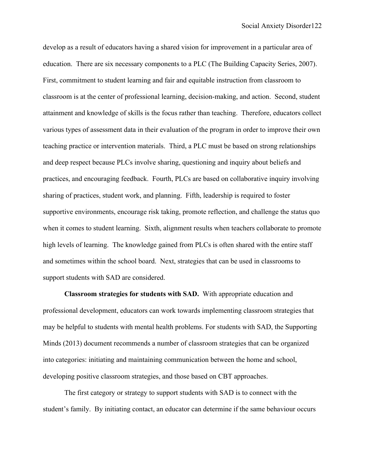develop as a result of educators having a shared vision for improvement in a particular area of education. There are six necessary components to a PLC (The Building Capacity Series, 2007). First, commitment to student learning and fair and equitable instruction from classroom to classroom is at the center of professional learning, decision-making, and action. Second, student attainment and knowledge of skills is the focus rather than teaching. Therefore, educators collect various types of assessment data in their evaluation of the program in order to improve their own teaching practice or intervention materials. Third, a PLC must be based on strong relationships and deep respect because PLCs involve sharing, questioning and inquiry about beliefs and practices, and encouraging feedback. Fourth, PLCs are based on collaborative inquiry involving sharing of practices, student work, and planning. Fifth, leadership is required to foster supportive environments, encourage risk taking, promote reflection, and challenge the status quo when it comes to student learning. Sixth, alignment results when teachers collaborate to promote high levels of learning. The knowledge gained from PLCs is often shared with the entire staff and sometimes within the school board. Next, strategies that can be used in classrooms to support students with SAD are considered.

**Classroom strategies for students with SAD.** With appropriate education and professional development, educators can work towards implementing classroom strategies that may be helpful to students with mental health problems. For students with SAD, the Supporting Minds (2013) document recommends a number of classroom strategies that can be organized into categories: initiating and maintaining communication between the home and school, developing positive classroom strategies, and those based on CBT approaches.

The first category or strategy to support students with SAD is to connect with the student's family. By initiating contact, an educator can determine if the same behaviour occurs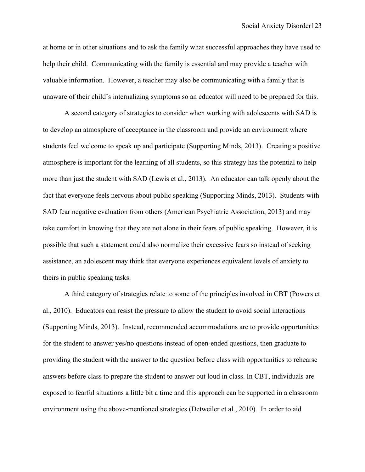at home or in other situations and to ask the family what successful approaches they have used to help their child. Communicating with the family is essential and may provide a teacher with valuable information. However, a teacher may also be communicating with a family that is unaware of their child's internalizing symptoms so an educator will need to be prepared for this.

A second category of strategies to consider when working with adolescents with SAD is to develop an atmosphere of acceptance in the classroom and provide an environment where students feel welcome to speak up and participate (Supporting Minds, 2013). Creating a positive atmosphere is important for the learning of all students, so this strategy has the potential to help more than just the student with SAD (Lewis et al., 2013). An educator can talk openly about the fact that everyone feels nervous about public speaking (Supporting Minds, 2013). Students with SAD fear negative evaluation from others (American Psychiatric Association, 2013) and may take comfort in knowing that they are not alone in their fears of public speaking. However, it is possible that such a statement could also normalize their excessive fears so instead of seeking assistance, an adolescent may think that everyone experiences equivalent levels of anxiety to theirs in public speaking tasks.

A third category of strategies relate to some of the principles involved in CBT (Powers et al., 2010). Educators can resist the pressure to allow the student to avoid social interactions (Supporting Minds, 2013). Instead, recommended accommodations are to provide opportunities for the student to answer yes/no questions instead of open-ended questions, then graduate to providing the student with the answer to the question before class with opportunities to rehearse answers before class to prepare the student to answer out loud in class. In CBT, individuals are exposed to fearful situations a little bit a time and this approach can be supported in a classroom environment using the above-mentioned strategies (Detweiler et al., 2010). In order to aid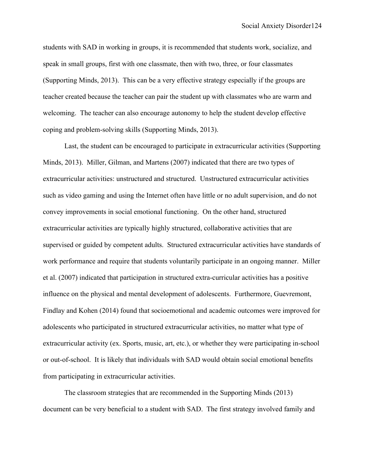students with SAD in working in groups, it is recommended that students work, socialize, and speak in small groups, first with one classmate, then with two, three, or four classmates (Supporting Minds, 2013). This can be a very effective strategy especially if the groups are teacher created because the teacher can pair the student up with classmates who are warm and welcoming. The teacher can also encourage autonomy to help the student develop effective coping and problem-solving skills (Supporting Minds, 2013).

Last, the student can be encouraged to participate in extracurricular activities (Supporting Minds, 2013). Miller, Gilman, and Martens (2007) indicated that there are two types of extracurricular activities: unstructured and structured. Unstructured extracurricular activities such as video gaming and using the Internet often have little or no adult supervision, and do not convey improvements in social emotional functioning. On the other hand, structured extracurricular activities are typically highly structured, collaborative activities that are supervised or guided by competent adults. Structured extracurricular activities have standards of work performance and require that students voluntarily participate in an ongoing manner. Miller et al. (2007) indicated that participation in structured extra-curricular activities has a positive influence on the physical and mental development of adolescents. Furthermore, Guevremont, Findlay and Kohen (2014) found that socioemotional and academic outcomes were improved for adolescents who participated in structured extracurricular activities, no matter what type of extracurricular activity (ex. Sports, music, art, etc.), or whether they were participating in-school or out-of-school. It is likely that individuals with SAD would obtain social emotional benefits from participating in extracurricular activities.

The classroom strategies that are recommended in the Supporting Minds (2013) document can be very beneficial to a student with SAD. The first strategy involved family and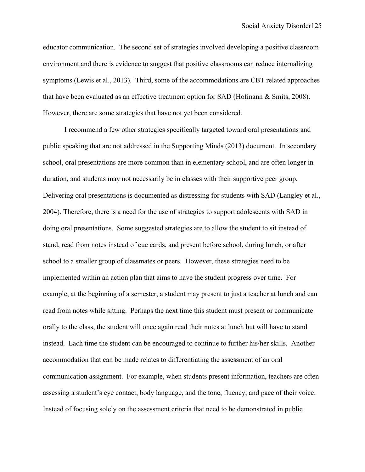educator communication. The second set of strategies involved developing a positive classroom environment and there is evidence to suggest that positive classrooms can reduce internalizing symptoms (Lewis et al., 2013). Third, some of the accommodations are CBT related approaches that have been evaluated as an effective treatment option for SAD (Hofmann & Smits, 2008). However, there are some strategies that have not yet been considered.

I recommend a few other strategies specifically targeted toward oral presentations and public speaking that are not addressed in the Supporting Minds (2013) document. In secondary school, oral presentations are more common than in elementary school, and are often longer in duration, and students may not necessarily be in classes with their supportive peer group. Delivering oral presentations is documented as distressing for students with SAD (Langley et al., 2004). Therefore, there is a need for the use of strategies to support adolescents with SAD in doing oral presentations. Some suggested strategies are to allow the student to sit instead of stand, read from notes instead of cue cards, and present before school, during lunch, or after school to a smaller group of classmates or peers. However, these strategies need to be implemented within an action plan that aims to have the student progress over time. For example, at the beginning of a semester, a student may present to just a teacher at lunch and can read from notes while sitting. Perhaps the next time this student must present or communicate orally to the class, the student will once again read their notes at lunch but will have to stand instead. Each time the student can be encouraged to continue to further his/her skills. Another accommodation that can be made relates to differentiating the assessment of an oral communication assignment. For example, when students present information, teachers are often assessing a student's eye contact, body language, and the tone, fluency, and pace of their voice. Instead of focusing solely on the assessment criteria that need to be demonstrated in public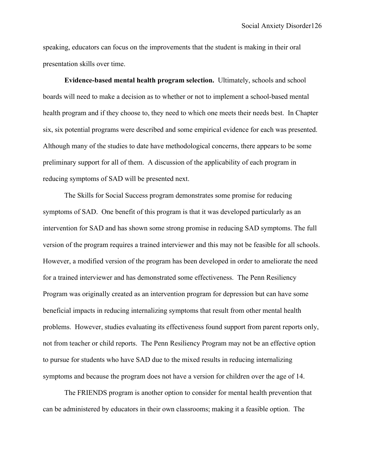speaking, educators can focus on the improvements that the student is making in their oral presentation skills over time.

**Evidence-based mental health program selection.** Ultimately, schools and school boards will need to make a decision as to whether or not to implement a school-based mental health program and if they choose to, they need to which one meets their needs best. In Chapter six, six potential programs were described and some empirical evidence for each was presented. Although many of the studies to date have methodological concerns, there appears to be some preliminary support for all of them. A discussion of the applicability of each program in reducing symptoms of SAD will be presented next.

The Skills for Social Success program demonstrates some promise for reducing symptoms of SAD. One benefit of this program is that it was developed particularly as an intervention for SAD and has shown some strong promise in reducing SAD symptoms. The full version of the program requires a trained interviewer and this may not be feasible for all schools. However, a modified version of the program has been developed in order to ameliorate the need for a trained interviewer and has demonstrated some effectiveness. The Penn Resiliency Program was originally created as an intervention program for depression but can have some beneficial impacts in reducing internalizing symptoms that result from other mental health problems. However, studies evaluating its effectiveness found support from parent reports only, not from teacher or child reports. The Penn Resiliency Program may not be an effective option to pursue for students who have SAD due to the mixed results in reducing internalizing symptoms and because the program does not have a version for children over the age of 14.

The FRIENDS program is another option to consider for mental health prevention that can be administered by educators in their own classrooms; making it a feasible option. The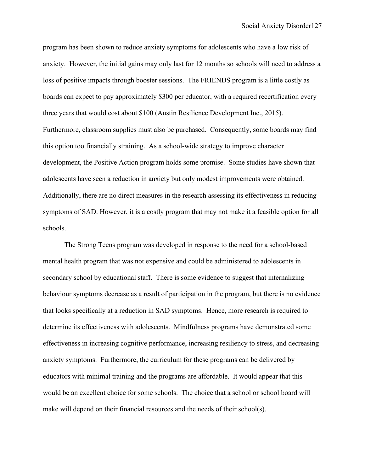program has been shown to reduce anxiety symptoms for adolescents who have a low risk of anxiety. However, the initial gains may only last for 12 months so schools will need to address a loss of positive impacts through booster sessions. The FRIENDS program is a little costly as boards can expect to pay approximately \$300 per educator, with a required recertification every three years that would cost about \$100 (Austin Resilience Development Inc., 2015). Furthermore, classroom supplies must also be purchased. Consequently, some boards may find this option too financially straining. As a school-wide strategy to improve character development, the Positive Action program holds some promise. Some studies have shown that adolescents have seen a reduction in anxiety but only modest improvements were obtained. Additionally, there are no direct measures in the research assessing its effectiveness in reducing symptoms of SAD. However, it is a costly program that may not make it a feasible option for all schools.

The Strong Teens program was developed in response to the need for a school-based mental health program that was not expensive and could be administered to adolescents in secondary school by educational staff. There is some evidence to suggest that internalizing behaviour symptoms decrease as a result of participation in the program, but there is no evidence that looks specifically at a reduction in SAD symptoms. Hence, more research is required to determine its effectiveness with adolescents. Mindfulness programs have demonstrated some effectiveness in increasing cognitive performance, increasing resiliency to stress, and decreasing anxiety symptoms. Furthermore, the curriculum for these programs can be delivered by educators with minimal training and the programs are affordable. It would appear that this would be an excellent choice for some schools. The choice that a school or school board will make will depend on their financial resources and the needs of their school(s).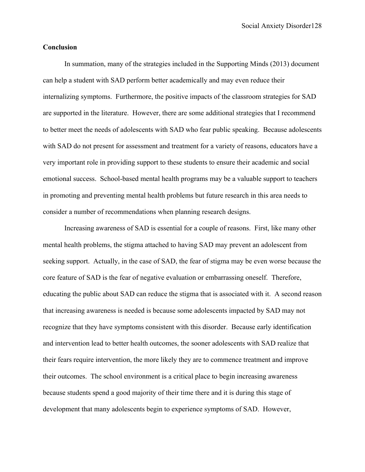## **Conclusion**

In summation, many of the strategies included in the Supporting Minds (2013) document can help a student with SAD perform better academically and may even reduce their internalizing symptoms. Furthermore, the positive impacts of the classroom strategies for SAD are supported in the literature. However, there are some additional strategies that I recommend to better meet the needs of adolescents with SAD who fear public speaking. Because adolescents with SAD do not present for assessment and treatment for a variety of reasons, educators have a very important role in providing support to these students to ensure their academic and social emotional success. School-based mental health programs may be a valuable support to teachers in promoting and preventing mental health problems but future research in this area needs to consider a number of recommendations when planning research designs.

Increasing awareness of SAD is essential for a couple of reasons. First, like many other mental health problems, the stigma attached to having SAD may prevent an adolescent from seeking support. Actually, in the case of SAD, the fear of stigma may be even worse because the core feature of SAD is the fear of negative evaluation or embarrassing oneself. Therefore, educating the public about SAD can reduce the stigma that is associated with it. A second reason that increasing awareness is needed is because some adolescents impacted by SAD may not recognize that they have symptoms consistent with this disorder. Because early identification and intervention lead to better health outcomes, the sooner adolescents with SAD realize that their fears require intervention, the more likely they are to commence treatment and improve their outcomes. The school environment is a critical place to begin increasing awareness because students spend a good majority of their time there and it is during this stage of development that many adolescents begin to experience symptoms of SAD. However,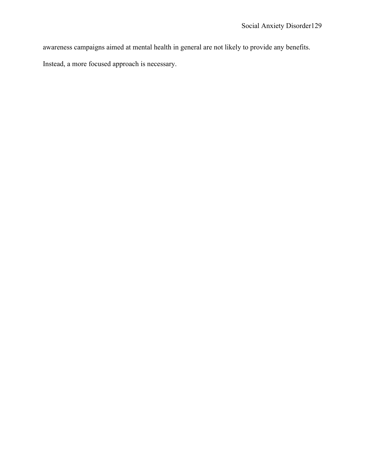awareness campaigns aimed at mental health in general are not likely to provide any benefits.

Instead, a more focused approach is necessary.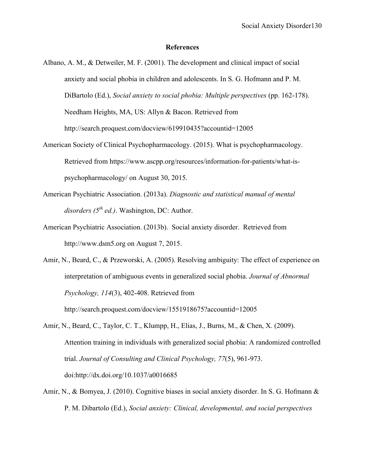## **References**

- Albano, A. M., & Detweiler, M. F. (2001). The development and clinical impact of social anxiety and social phobia in children and adolescents. In S. G. Hofmann and P. M. DiBartolo (Ed.), *Social anxiety to social phobia: Multiple perspectives* (pp. 162-178). Needham Heights, MA, US: Allyn & Bacon. Retrieved from http://search.proquest.com/docview/619910435?accountid=12005
- American Society of Clinical Psychopharmacology. (2015). What is psychopharmacology. Retrieved from https://www.ascpp.org/resources/information-for-patients/what-ispsychopharmacology/ on August 30, 2015.
- American Psychiatric Association. (2013a). *Diagnostic and statistical manual of mental*   $disorders (5<sup>th</sup> ed.).$  Washington, DC: Author.
- American Psychiatric Association. (2013b). Social anxiety disorder. Retrieved from http://www.dsm5.org on August 7, 2015.
- Amir, N., Beard, C., & Przeworski, A. (2005). Resolving ambiguity: The effect of experience on interpretation of ambiguous events in generalized social phobia. *Journal of Abnormal Psychology, 114*(3), 402-408. Retrieved from http://search.proquest.com/docview/1551918675?accountid=12005
- Amir, N., Beard, C., Taylor, C. T., Klumpp, H., Elias, J., Burns, M., & Chen, X. (2009). Attention training in individuals with generalized social phobia: A randomized controlled trial. *Journal of Consulting and Clinical Psychology, 77*(5), 961-973. doi:http://dx.doi.org/10.1037/a0016685
- Amir, N., & Bomyea, J. (2010). Cognitive biases in social anxiety disorder. In S. G. Hofmann & P. M. Dibartolo (Ed.), *Social anxiety: Clinical, developmental, and social perspectives*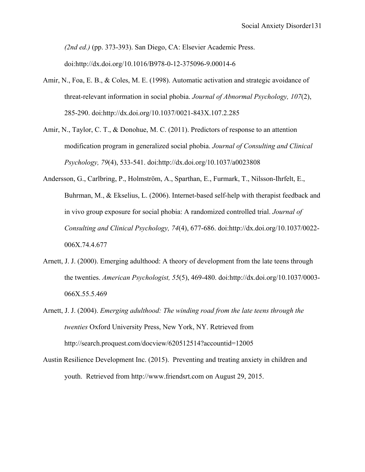*(2nd ed.)* (pp. 373-393). San Diego, CA: Elsevier Academic Press. doi:http://dx.doi.org/10.1016/B978-0-12-375096-9.00014-6

- Amir, N., Foa, E. B., & Coles, M. E. (1998). Automatic activation and strategic avoidance of threat-relevant information in social phobia. *Journal of Abnormal Psychology, 107*(2), 285-290. doi:http://dx.doi.org/10.1037/0021-843X.107.2.285
- Amir, N., Taylor, C. T., & Donohue, M. C. (2011). Predictors of response to an attention modification program in generalized social phobia. *Journal of Consulting and Clinical Psychology, 79*(4), 533-541. doi:http://dx.doi.org/10.1037/a0023808
- Andersson, G., Carlbring, P., Holmström, A., Sparthan, E., Furmark, T., Nilsson-Ihrfelt, E., Buhrman, M., & Ekselius, L. (2006). Internet-based self-help with therapist feedback and in vivo group exposure for social phobia: A randomized controlled trial. *Journal of Consulting and Clinical Psychology, 74*(4), 677-686. doi:http://dx.doi.org/10.1037/0022- 006X.74.4.677
- Arnett, J. J. (2000). Emerging adulthood: A theory of development from the late teens through the twenties. *American Psychologist, 55*(5), 469-480. doi:http://dx.doi.org/10.1037/0003- 066X.55.5.469
- Arnett, J. J. (2004). *Emerging adulthood: The winding road from the late teens through the twenties* Oxford University Press, New York, NY. Retrieved from http://search.proquest.com/docview/620512514?accountid=12005
- Austin Resilience Development Inc. (2015). Preventing and treating anxiety in children and youth. Retrieved from http://www.friendsrt.com on August 29, 2015.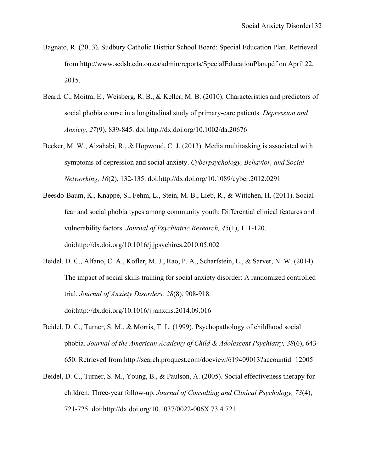- Bagnato, R. (2013). Sudbury Catholic District School Board: Special Education Plan. Retrieved from http://www.scdsb.edu.on.ca/admin/reports/SpecialEducationPlan.pdf on April 22, 2015.
- Beard, C., Moitra, E., Weisberg, R. B., & Keller, M. B. (2010). Characteristics and predictors of social phobia course in a longitudinal study of primary-care patients. *Depression and Anxiety, 27*(9), 839-845. doi:http://dx.doi.org/10.1002/da.20676
- Becker, M. W., Alzahabi, R., & Hopwood, C. J. (2013). Media multitasking is associated with symptoms of depression and social anxiety. *Cyberpsychology, Behavior, and Social Networking, 16*(2), 132-135. doi:http://dx.doi.org/10.1089/cyber.2012.0291
- Beesdo-Baum, K., Knappe, S., Fehm, L., Stein, M. B., Lieb, R., & Wittchen, H. (2011). Social fear and social phobia types among community youth: Differential clinical features and vulnerability factors. *Journal of Psychiatric Research, 45*(1), 111-120. doi:http://dx.doi.org/10.1016/j.jpsychires.2010.05.002
- Beidel, D. C., Alfano, C. A., Kofler, M. J., Rao, P. A., Scharfstein, L., & Sarver, N. W. (2014). The impact of social skills training for social anxiety disorder: A randomized controlled trial. *Journal of Anxiety Disorders, 28*(8), 908-918. doi:http://dx.doi.org/10.1016/j.janxdis.2014.09.016
- Beidel, D. C., Turner, S. M., & Morris, T. L. (1999). Psychopathology of childhood social phobia. *Journal of the American Academy of Child & Adolescent Psychiatry, 38*(6), 643- 650. Retrieved from http://search.proquest.com/docview/619409013?accountid=12005
- Beidel, D. C., Turner, S. M., Young, B., & Paulson, A. (2005). Social effectiveness therapy for children: Three-year follow-up. *Journal of Consulting and Clinical Psychology, 73*(4), 721-725. doi:http://dx.doi.org/10.1037/0022-006X.73.4.721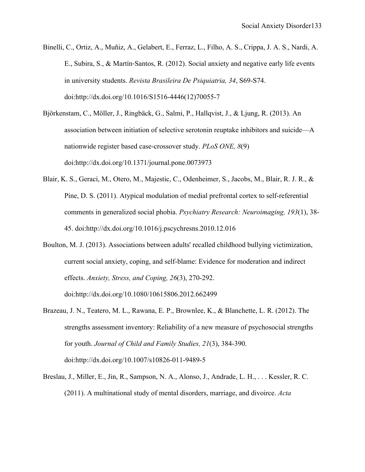- Binelli, C., Ortiz, A., Muñiz, A., Gelabert, E., Ferraz, L., Filho, A. S., Crippa, J. A. S., Nardi, A. E., Subira, S., & Martín‐Santos, R. (2012). Social anxiety and negative early life events in university students. *Revista Brasileira De Psiquiatria, 34*, S69-S74. doi:http://dx.doi.org/10.1016/S1516-4446(12)70055-7
- Björkenstam, C., Möller, J., Ringbäck, G., Salmi, P., Hallqvist, J., & Ljung, R. (2013). An association between initiation of selective serotonin reuptake inhibitors and suicide—A nationwide register based case-crossover study. *PLoS ONE, 8*(9) doi:http://dx.doi.org/10.1371/journal.pone.0073973
- Blair, K. S., Geraci, M., Otero, M., Majestic, C., Odenheimer, S., Jacobs, M., Blair, R. J. R., & Pine, D. S. (2011). Atypical modulation of medial prefrontal cortex to self-referential comments in generalized social phobia. *Psychiatry Research: Neuroimaging, 193*(1), 38- 45. doi:http://dx.doi.org/10.1016/j.pscychresns.2010.12.016
- Boulton, M. J. (2013). Associations between adults' recalled childhood bullying victimization, current social anxiety, coping, and self-blame: Evidence for moderation and indirect effects. *Anxiety, Stress, and Coping, 26*(3), 270-292. doi:http://dx.doi.org/10.1080/10615806.2012.662499
- Brazeau, J. N., Teatero, M. L., Rawana, E. P., Brownlee, K., & Blanchette, L. R. (2012). The strengths assessment inventory: Reliability of a new measure of psychosocial strengths for youth. *Journal of Child and Family Studies, 21*(3), 384-390. doi:http://dx.doi.org/10.1007/s10826-011-9489-5
- Breslau, J., Miller, E., Jin, R., Sampson, N. A., Alonso, J., Andrade, L. H., . . . Kessler, R. C. (2011). A multinational study of mental disorders, marriage, and divoirce. *Acta*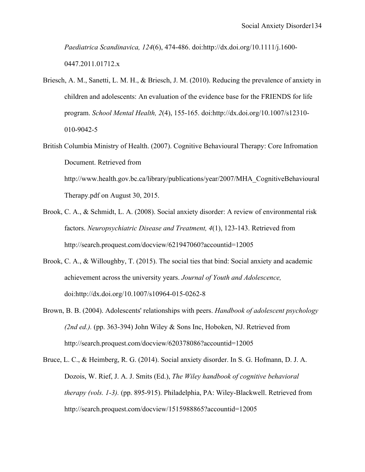*Paediatrica Scandinavica, 124*(6), 474-486. doi:http://dx.doi.org/10.1111/j.1600- 0447.2011.01712.x

- Briesch, A. M., Sanetti, L. M. H., & Briesch, J. M. (2010). Reducing the prevalence of anxiety in children and adolescents: An evaluation of the evidence base for the FRIENDS for life program. *School Mental Health, 2*(4), 155-165. doi:http://dx.doi.org/10.1007/s12310- 010-9042-5
- British Columbia Ministry of Health. (2007). Cognitive Behavioural Therapy: Core Infromation Document. Retrieved from http://www.health.gov.bc.ca/library/publications/year/2007/MHA\_CognitiveBehavioural Therapy.pdf on August 30, 2015.
- Brook, C. A., & Schmidt, L. A. (2008). Social anxiety disorder: A review of environmental risk factors. *Neuropsychiatric Disease and Treatment, 4*(1), 123-143. Retrieved from http://search.proquest.com/docview/621947060?accountid=12005
- Brook, C. A., & Willoughby, T. (2015). The social ties that bind: Social anxiety and academic achievement across the university years. *Journal of Youth and Adolescence,*  doi:http://dx.doi.org/10.1007/s10964-015-0262-8
- Brown, B. B. (2004). Adolescents' relationships with peers. *Handbook of adolescent psychology (2nd ed.).* (pp. 363-394) John Wiley & Sons Inc, Hoboken, NJ. Retrieved from http://search.proquest.com/docview/620378086?accountid=12005
- Bruce, L. C., & Heimberg, R. G. (2014). Social anxiety disorder. In S. G. Hofmann, D. J. A. Dozois, W. Rief, J. A. J. Smits (Ed.), *The Wiley handbook of cognitive behavioral therapy (vols. 1-3).* (pp. 895-915). Philadelphia, PA: Wiley-Blackwell. Retrieved from http://search.proquest.com/docview/1515988865?accountid=12005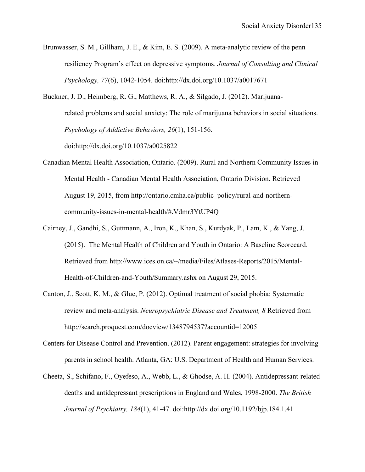- Brunwasser, S. M., Gillham, J. E., & Kim, E. S. (2009). A meta-analytic review of the penn resiliency Program's effect on depressive symptoms. *Journal of Consulting and Clinical Psychology, 77*(6), 1042-1054. doi:http://dx.doi.org/10.1037/a0017671
- Buckner, J. D., Heimberg, R. G., Matthews, R. A., & Silgado, J. (2012). Marijuanarelated problems and social anxiety: The role of marijuana behaviors in social situations. *Psychology of Addictive Behaviors, 26*(1), 151-156. doi:http://dx.doi.org/10.1037/a0025822
- Canadian Mental Health Association, Ontario. (2009). Rural and Northern Community Issues in Mental Health - Canadian Mental Health Association, Ontario Division. Retrieved August 19, 2015, from http://ontario.cmha.ca/public\_policy/rural-and-northerncommunity-issues-in-mental-health/#.Vdmr3YtUP4Q
- Cairney, J., Gandhi, S., Guttmann, A., Iron, K., Khan, S., Kurdyak, P., Lam, K., & Yang, J. (2015). The Mental Health of Children and Youth in Ontario: A Baseline Scorecard. Retrieved from http://www.ices.on.ca/~/media/Files/Atlases-Reports/2015/Mental-Health-of-Children-and-Youth/Summary.ashx on August 29, 2015.
- Canton, J., Scott, K. M., & Glue, P. (2012). Optimal treatment of social phobia: Systematic review and meta-analysis. *Neuropsychiatric Disease and Treatment, 8* Retrieved from http://search.proquest.com/docview/1348794537?accountid=12005
- Centers for Disease Control and Prevention. (2012). Parent engagement: strategies for involving parents in school health. Atlanta, GA: U.S. Department of Health and Human Services.
- Cheeta, S., Schifano, F., Oyefeso, A., Webb, L., & Ghodse, A. H. (2004). Antidepressant-related deaths and antidepressant prescriptions in England and Wales, 1998-2000. *The British Journal of Psychiatry, 184*(1), 41-47. doi:http://dx.doi.org/10.1192/bjp.184.1.41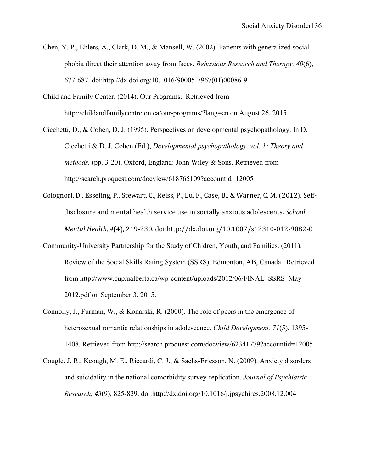- Chen, Y. P., Ehlers, A., Clark, D. M., & Mansell, W. (2002). Patients with generalized social phobia direct their attention away from faces. *Behaviour Research and Therapy, 40*(6), 677-687. doi:http://dx.doi.org/10.1016/S0005-7967(01)00086-9
- Child and Family Center. (2014). Our Programs. Retrieved from http://childandfamilycentre.on.ca/our-programs/?lang=en on August 26, 2015
- Cicchetti, D., & Cohen, D. J. (1995). Perspectives on developmental psychopathology. In D. Cicchetti & D. J. Cohen (Ed.), *Developmental psychopathology, vol. 1: Theory and methods.* (pp. 3-20). Oxford, England: John Wiley & Sons. Retrieved from http://search.proquest.com/docview/618765109?accountid=12005
- Colognori, D., Esseling, P., Stewart, C., Reiss, P., Lu, F., Case, B., & Warner, C. M. (2012). Selfdisclosure and mental health service use in socially anxious adolescents. *School Mental Health,* 4(4), 219-230. doi:http://dx.doi.org/10.1007/s12310-012-9082-0
- Community-University Partnership for the Study of Chidren, Youth, and Families. (2011). Review of the Social Skills Rating System (SSRS). Edmonton, AB, Canada. Retrieved from http://www.cup.ualberta.ca/wp-content/uploads/2012/06/FINAL\_SSRS\_May-2012.pdf on September 3, 2015.
- Connolly, J., Furman, W., & Konarski, R. (2000). The role of peers in the emergence of heterosexual romantic relationships in adolescence. *Child Development, 71*(5), 1395- 1408. Retrieved from http://search.proquest.com/docview/62341779?accountid=12005
- Cougle, J. R., Keough, M. E., Riccardi, C. J., & Sachs-Ericsson, N. (2009). Anxiety disorders and suicidality in the national comorbidity survey-replication. *Journal of Psychiatric Research, 43*(9), 825-829. doi:http://dx.doi.org/10.1016/j.jpsychires.2008.12.004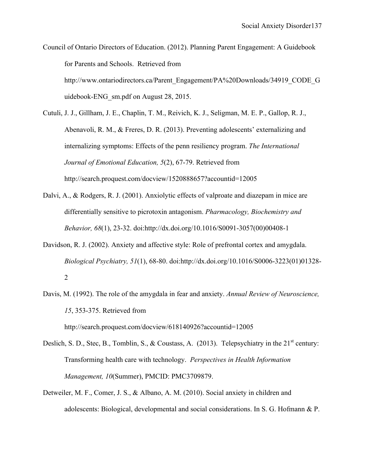Council of Ontario Directors of Education. (2012). Planning Parent Engagement: A Guidebook for Parents and Schools. Retrieved from http://www.ontariodirectors.ca/Parent\_Engagement/PA%20Downloads/34919\_CODE\_G uidebook-ENG\_sm.pdf on August 28, 2015.

Cutuli, J. J., Gillham, J. E., Chaplin, T. M., Reivich, K. J., Seligman, M. E. P., Gallop, R. J., Abenavoli, R. M., & Freres, D. R. (2013). Preventing adolescents' externalizing and internalizing symptoms: Effects of the penn resiliency program. *The International Journal of Emotional Education, 5*(2), 67-79. Retrieved from http://search.proquest.com/docview/1520888657?accountid=12005

- Dalvi, A., & Rodgers, R. J. (2001). Anxiolytic effects of valproate and diazepam in mice are differentially sensitive to picrotoxin antagonism. *Pharmacology, Biochemistry and Behavior, 68*(1), 23-32. doi:http://dx.doi.org/10.1016/S0091-3057(00)00408-1
- Davidson, R. J. (2002). Anxiety and affective style: Role of prefrontal cortex and amygdala. *Biological Psychiatry, 51*(1), 68-80. doi:http://dx.doi.org/10.1016/S0006-3223(01)01328- 2
- Davis, M. (1992). The role of the amygdala in fear and anxiety. *Annual Review of Neuroscience, 15*, 353-375. Retrieved from

http://search.proquest.com/docview/618140926?accountid=12005

- Deslich, S. D., Stec, B., Tomblin, S., & Coustass, A. (2013). Telepsychiatry in the  $21<sup>st</sup>$  century: Transforming health care with technology. *Perspectives in Health Information Management, 10*(Summer), PMCID: PMC3709879.
- Detweiler, M. F., Comer, J. S., & Albano, A. M. (2010). Social anxiety in children and adolescents: Biological, developmental and social considerations. In S. G. Hofmann & P.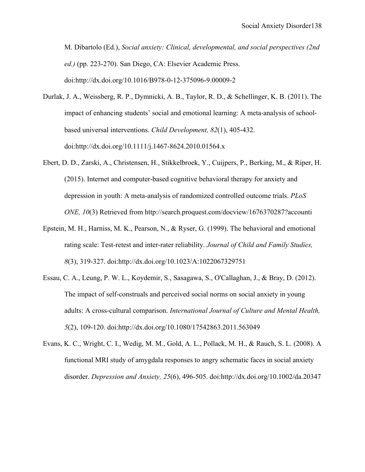M. Dibartolo (Ed.), *Social anxiety: Clinical, developmental, and social perspectives (2nd ed.)* (pp. 223-270). San Diego, CA: Elsevier Academic Press. doi:http://dx.doi.org/10.1016/B978-0-12-375096-9.00009-2

- Durlak, J. A., Weissberg, R. P., Dymnicki, A. B., Taylor, R. D., & Schellinger, K. B. (2011). The impact of enhancing students' social and emotional learning: A meta-analysis of schoolbased universal interventions. *Child Development, 82*(1), 405-432. doi:http://dx.doi.org/10.1111/j.1467-8624.2010.01564.x
- Ebert, D. D., Zarski, A., Christensen, H., Stikkelbroek, Y., Cuijpers, P., Berking, M., & Riper, H. (2015). Internet and computer-based cognitive behavioral therapy for anxiety and depression in youth: A meta-analysis of randomized controlled outcome trials. *PLoS ONE, 10*(3) Retrieved from http://search.proquest.com/docview/1676370287?accounti
- Epstein, M. H., Harniss, M. K., Pearson, N., & Ryser, G. (1999). The behavioral and emotional rating scale: Test-retest and inter-rater reliability. *Journal of Child and Family Studies, 8*(3), 319-327. doi:http://dx.doi.org/10.1023/A:1022067329751
- Essau, C. A., Leung, P. W. L., Koydemir, S., Sasagawa, S., O'Callaghan, J., & Bray, D. (2012). The impact of self-construals and perceived social norms on social anxiety in young adults: A cross-cultural comparison. *International Journal of Culture and Mental Health, 5*(2), 109-120. doi:http://dx.doi.org/10.1080/17542863.2011.563049
- Evans, K. C., Wright, C. I., Wedig, M. M., Gold, A. L., Pollack, M. H., & Rauch, S. L. (2008). A functional MRI study of amygdala responses to angry schematic faces in social anxiety disorder. *Depression and Anxiety, 25*(6), 496-505. doi:http://dx.doi.org/10.1002/da.20347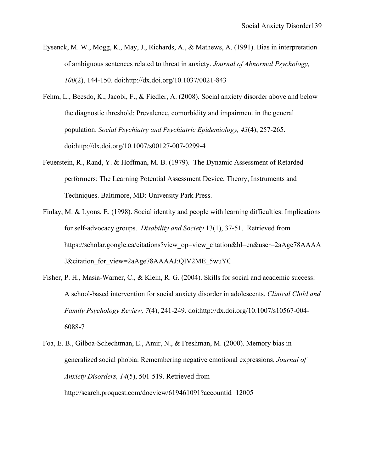- Eysenck, M. W., Mogg, K., May, J., Richards, A., & Mathews, A. (1991). Bias in interpretation of ambiguous sentences related to threat in anxiety. *Journal of Abnormal Psychology, 100*(2), 144-150. doi:http://dx.doi.org/10.1037/0021-843
- Fehm, L., Beesdo, K., Jacobi, F., & Fiedler, A. (2008). Social anxiety disorder above and below the diagnostic threshold: Prevalence, comorbidity and impairment in the general population. *Social Psychiatry and Psychiatric Epidemiology, 43*(4), 257-265. doi:http://dx.doi.org/10.1007/s00127-007-0299-4
- Feuerstein, R., Rand, Y. & Hoffman, M. B. (1979). The Dynamic Assessment of Retarded performers: The Learning Potential Assessment Device, Theory, Instruments and Techniques. Baltimore, MD: University Park Press.
- Finlay, M. & Lyons, E. (1998). Social identity and people with learning difficulties: Implications for self-advocacy groups. *Disability and Society* 13(1), 37-51. Retrieved from https://scholar.google.ca/citations?view\_op=view\_citation&hl=en&user=2aAge78AAAA J&citation\_for\_view=2aAge78AAAAJ:QIV2ME\_5wuYC
- Fisher, P. H., Masia-Warner, C., & Klein, R. G. (2004). Skills for social and academic success: A school-based intervention for social anxiety disorder in adolescents. *Clinical Child and Family Psychology Review, 7*(4), 241-249. doi:http://dx.doi.org/10.1007/s10567-004- 6088-7
- Foa, E. B., Gilboa-Schechtman, E., Amir, N., & Freshman, M. (2000). Memory bias in generalized social phobia: Remembering negative emotional expressions. *Journal of Anxiety Disorders, 14*(5), 501-519. Retrieved from http://search.proquest.com/docview/619461091?accountid=12005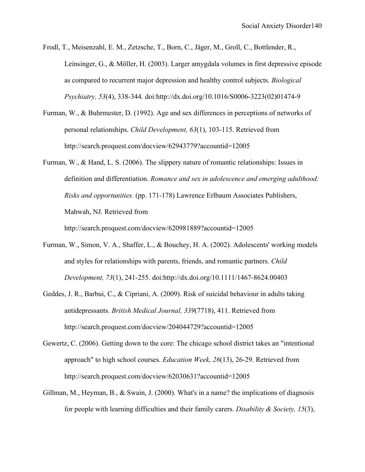- Frodl, T., Meisenzahl, E. M., Zetzsche, T., Born, C., Jäger, M., Groll, C., Bottlender, R., Leinsinger, G., & Möller, H. (2003). Larger amygdala volumes in first depressive episode as compared to recurrent major depression and healthy control subjects. *Biological Psychiatry, 53*(4), 338-344. doi:http://dx.doi.org/10.1016/S0006-3223(02)01474-9
- Furman, W., & Buhrmester, D. (1992). Age and sex differences in perceptions of networks of personal relationships. *Child Development, 63*(1), 103-115. Retrieved from http://search.proquest.com/docview/62943779?accountid=12005
- Furman, W., & Hand, L. S. (2006). The slippery nature of romantic relationships: Issues in definition and differentiation. *Romance and sex in adolescence and emerging adulthood: Risks and opportunities.* (pp. 171-178) Lawrence Erlbaum Associates Publishers, Mahwah, NJ. Retrieved from

http://search.proquest.com/docview/620981889?accountid=12005

- Furman, W., Simon, V. A., Shaffer, L., & Bouchey, H. A. (2002). Adolescents' working models and styles for relationships with parents, friends, and romantic partners. *Child Development, 73*(1), 241-255. doi:http://dx.doi.org/10.1111/1467-8624.00403
- Geddes, J. R., Barbui, C., & Cipriani, A. (2009). Risk of suicidal behaviour in adults taking antidepressants. *British Medical Journal, 339*(7718), 411. Retrieved from http://search.proquest.com/docview/204044729?accountid=12005
- Gewertz, C. (2006). Getting down to the core: The chicago school district takes an "intentional approach" to high school courses. *Education Week, 26*(13), 26-29. Retrieved from http://search.proquest.com/docview/62030631?accountid=12005
- Gillman, M., Heyman, B., & Swain, J. (2000). What's in a name? the implications of diagnosis for people with learning difficulties and their family carers. *Disability & Society, 15*(3),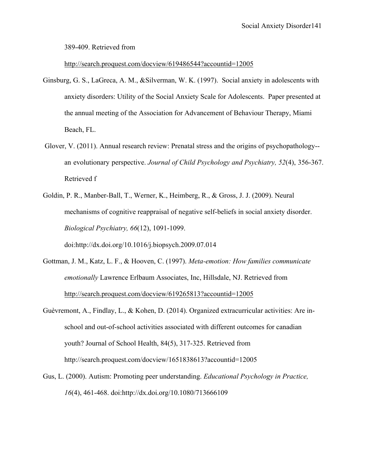389-409. Retrieved from

# http://search.proquest.com/docview/619486544?accountid=12005

- Ginsburg, G. S., LaGreca, A. M., &Silverman, W. K. (1997). Social anxiety in adolescents with anxiety disorders: Utility of the Social Anxiety Scale for Adolescents. Paper presented at the annual meeting of the Association for Advancement of Behaviour Therapy, Miami Beach, FL.
- Glover, V. (2011). Annual research review: Prenatal stress and the origins of psychopathology- an evolutionary perspective. *Journal of Child Psychology and Psychiatry, 52*(4), 356-367. Retrieved f
- Goldin, P. R., Manber-Ball, T., Werner, K., Heimberg, R., & Gross, J. J. (2009). Neural mechanisms of cognitive reappraisal of negative self-beliefs in social anxiety disorder. *Biological Psychiatry, 66*(12), 1091-1099.

doi:http://dx.doi.org/10.1016/j.biopsych.2009.07.014

- Gottman, J. M., Katz, L. F., & Hooven, C. (1997). *Meta-emotion: How families communicate emotionally* Lawrence Erlbaum Associates, Inc, Hillsdale, NJ. Retrieved from http://search.proquest.com/docview/619265813?accountid=12005
- Guèvremont, A., Findlay, L., & Kohen, D. (2014). Organized extracurricular activities: Are inschool and out-of-school activities associated with different outcomes for canadian youth? Journal of School Health, 84(5), 317-325. Retrieved from http://search.proquest.com/docview/1651838613?accountid=12005
- Gus, L. (2000). Autism: Promoting peer understanding. *Educational Psychology in Practice, 16*(4), 461-468. doi:http://dx.doi.org/10.1080/713666109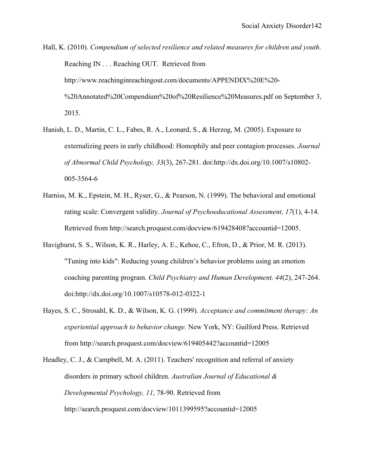Hall, K. (2010). *Compendium of selected resilience and related measures for children and youth*. Reaching IN . . . Reaching OUT. Retrieved from http://www.reachinginreachingout.com/documents/APPENDIX%20E%20- %20Annotated%20Compendium%20of%20Resilience%20Measures.pdf on September 3, 2015.

- Hanish, L. D., Martin, C. L., Fabes, R. A., Leonard, S., & Herzog, M. (2005). Exposure to externalizing peers in early childhood: Homophily and peer contagion processes. *Journal of Abnormal Child Psychology, 33*(3), 267-281. doi:http://dx.doi.org/10.1007/s10802- 005-3564-6
- Harniss, M. K., Epstein, M. H., Ryser, G., & Pearson, N. (1999). The behavioral and emotional rating scale: Convergent validity. *Journal of Psychoeducational Assessment, 17*(1), 4-14. Retrieved from http://search.proquest.com/docview/619428408?accountid=12005.
- Havighurst, S. S., Wilson, K. R., Harley, A. E., Kehoe, C., Efron, D., & Prior, M. R. (2013). "Tuning into kids": Reducing young children's behavior problems using an emotion coaching parenting program. *Child Psychiatry and Human Development, 44*(2), 247-264. doi:http://dx.doi.org/10.1007/s10578-012-0322-1
- Hayes, S. C., Strosahl, K. D., & Wilson, K. G. (1999). *Acceptance and commitment therapy: An experiential approach to behavior change.* New York, NY: Guilford Press. Retrieved from http://search.proquest.com/docview/619405442?accountid=12005
- Headley, C. J., & Campbell, M. A. (2011). Teachers' recognition and referral of anxiety disorders in primary school children. *Australian Journal of Educational & Developmental Psychology, 11*, 78-90. Retrieved from http://search.proquest.com/docview/1011399595?accountid=12005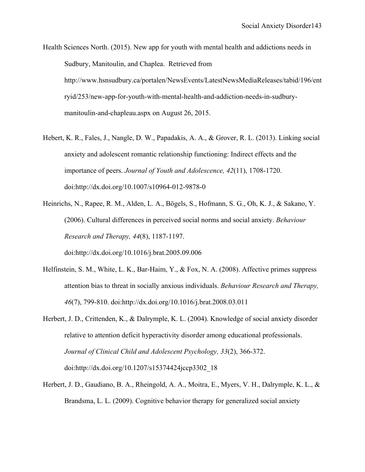Health Sciences North. (2015). New app for youth with mental health and addictions needs in Sudbury, Manitoulin, and Chaplea. Retrieved from http://www.hsnsudbury.ca/portalen/NewsEvents/LatestNewsMediaReleases/tabid/196/ent ryid/253/new-app-for-youth-with-mental-health-and-addiction-needs-in-sudburymanitoulin-and-chapleau.aspx on August 26, 2015.

Hebert, K. R., Fales, J., Nangle, D. W., Papadakis, A. A., & Grover, R. L. (2013). Linking social anxiety and adolescent romantic relationship functioning: Indirect effects and the importance of peers. *Journal of Youth and Adolescence, 42*(11), 1708-1720. doi:http://dx.doi.org/10.1007/s10964-012-9878-0

Heinrichs, N., Rapee, R. M., Alden, L. A., Bögels, S., Hofmann, S. G., Oh, K. J., & Sakano, Y. (2006). Cultural differences in perceived social norms and social anxiety. *Behaviour Research and Therapy, 44*(8), 1187-1197. doi:http://dx.doi.org/10.1016/j.brat.2005.09.006

- Helfinstein, S. M., White, L. K., Bar-Haim, Y., & Fox, N. A. (2008). Affective primes suppress attention bias to threat in socially anxious individuals. *Behaviour Research and Therapy, 46*(7), 799-810. doi:http://dx.doi.org/10.1016/j.brat.2008.03.011
- Herbert, J. D., Crittenden, K., & Dalrymple, K. L. (2004). Knowledge of social anxiety disorder relative to attention deficit hyperactivity disorder among educational professionals. *Journal of Clinical Child and Adolescent Psychology, 33*(2), 366-372. doi:http://dx.doi.org/10.1207/s15374424jccp3302\_18
- Herbert, J. D., Gaudiano, B. A., Rheingold, A. A., Moitra, E., Myers, V. H., Dalrymple, K. L., & Brandsma, L. L. (2009). Cognitive behavior therapy for generalized social anxiety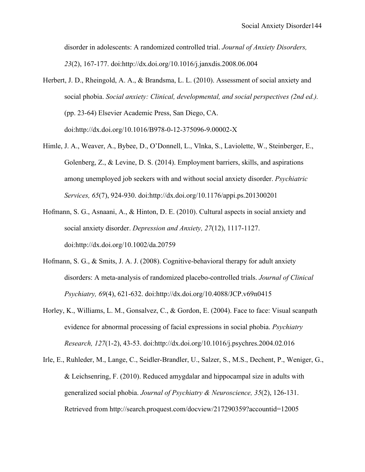disorder in adolescents: A randomized controlled trial. *Journal of Anxiety Disorders, 23*(2), 167-177. doi:http://dx.doi.org/10.1016/j.janxdis.2008.06.004

- Herbert, J. D., Rheingold, A. A., & Brandsma, L. L. (2010). Assessment of social anxiety and social phobia. *Social anxiety: Clinical, developmental, and social perspectives (2nd ed.).* (pp. 23-64) Elsevier Academic Press, San Diego, CA. doi:http://dx.doi.org/10.1016/B978-0-12-375096-9.00002-X
- Himle, J. A., Weaver, A., Bybee, D., O'Donnell, L., Vlnka, S., Laviolette, W., Steinberger, E., Golenberg, Z., & Levine, D. S. (2014). Employment barriers, skills, and aspirations among unemployed job seekers with and without social anxiety disorder. *Psychiatric Services, 65*(7), 924-930. doi:http://dx.doi.org/10.1176/appi.ps.201300201
- Hofmann, S. G., Asnaani, A., & Hinton, D. E. (2010). Cultural aspects in social anxiety and social anxiety disorder. *Depression and Anxiety, 27*(12), 1117-1127. doi:http://dx.doi.org/10.1002/da.20759
- Hofmann, S. G., & Smits, J. A. J. (2008). Cognitive-behavioral therapy for adult anxiety disorders: A meta-analysis of randomized placebo-controlled trials. *Journal of Clinical Psychiatry, 69*(4), 621-632. doi:http://dx.doi.org/10.4088/JCP.v69n0415
- Horley, K., Williams, L. M., Gonsalvez, C., & Gordon, E. (2004). Face to face: Visual scanpath evidence for abnormal processing of facial expressions in social phobia. *Psychiatry Research, 127*(1-2), 43-53. doi:http://dx.doi.org/10.1016/j.psychres.2004.02.016
- Irle, E., Ruhleder, M., Lange, C., Seidler-Brandler, U., Salzer, S., M.S., Dechent, P., Weniger, G., & Leichsenring, F. (2010). Reduced amygdalar and hippocampal size in adults with generalized social phobia. *Journal of Psychiatry & Neuroscience, 35*(2), 126-131. Retrieved from http://search.proquest.com/docview/217290359?accountid=12005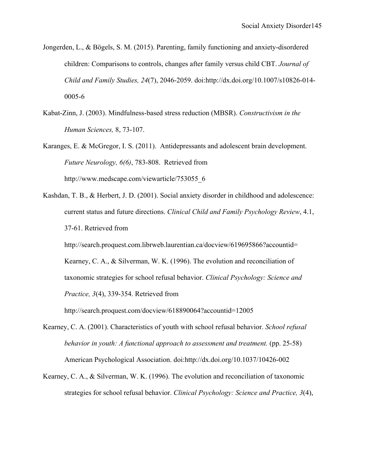- Jongerden, L., & Bögels, S. M. (2015). Parenting, family functioning and anxiety-disordered children: Comparisons to controls, changes after family versus child CBT. *Journal of Child and Family Studies, 24*(7), 2046-2059. doi:http://dx.doi.org/10.1007/s10826-014- 0005-6
- Kabat-Zinn, J. (2003). Mindfulness-based stress reduction (MBSR). *Constructivism in the Human Sciences,* 8, 73-107.
- Karanges, E. & McGregor, I. S. (2011). Antidepressants and adolescent brain development. *Future Neurology, 6(6)*, 783-808. Retrieved from http://www.medscape.com/viewarticle/753055\_6
- Kashdan, T. B., & Herbert, J. D. (2001). Social anxiety disorder in childhood and adolescence: current status and future directions. *Clinical Child and Family Psychology Review*, 4.1, 37-61. Retrieved from

http://search.proquest.com.librweb.laurentian.ca/docview/619695866?accountid= Kearney, C. A., & Silverman, W. K. (1996). The evolution and reconciliation of taxonomic strategies for school refusal behavior. *Clinical Psychology: Science and Practice, 3*(4), 339-354. Retrieved from

http://search.proquest.com/docview/618890064?accountid=12005

- Kearney, C. A. (2001). Characteristics of youth with school refusal behavior. *School refusal behavior in youth: A functional approach to assessment and treatment.* (pp. 25-58) American Psychological Association. doi:http://dx.doi.org/10.1037/10426-002
- Kearney, C. A., & Silverman, W. K. (1996). The evolution and reconciliation of taxonomic strategies for school refusal behavior. *Clinical Psychology: Science and Practice, 3*(4),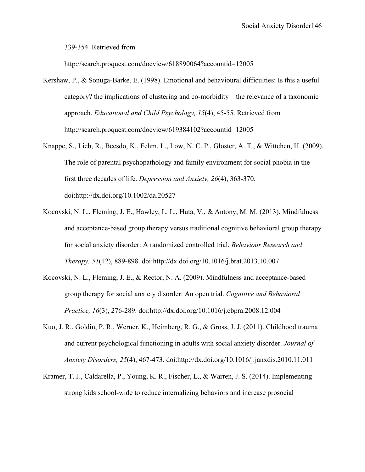339-354. Retrieved from

http://search.proquest.com/docview/618890064?accountid=12005

- Kershaw, P., & Sonuga-Barke, E. (1998). Emotional and behavioural difficulties: Is this a useful category? the implications of clustering and co-morbidity—the relevance of a taxonomic approach. *Educational and Child Psychology, 15*(4), 45-55. Retrieved from http://search.proquest.com/docview/619384102?accountid=12005
- Knappe, S., Lieb, R., Beesdo, K., Fehm, L., Low, N. C. P., Gloster, A. T., & Wittchen, H. (2009). The role of parental psychopathology and family environment for social phobia in the first three decades of life. *Depression and Anxiety, 26*(4), 363-370. doi:http://dx.doi.org/10.1002/da.20527
- Kocovski, N. L., Fleming, J. E., Hawley, L. L., Huta, V., & Antony, M. M. (2013). Mindfulness and acceptance-based group therapy versus traditional cognitive behavioral group therapy for social anxiety disorder: A randomized controlled trial. *Behaviour Research and Therapy, 51*(12), 889-898. doi:http://dx.doi.org/10.1016/j.brat.2013.10.007
- Kocovski, N. L., Fleming, J. E., & Rector, N. A. (2009). Mindfulness and acceptance-based group therapy for social anxiety disorder: An open trial. *Cognitive and Behavioral Practice, 16*(3), 276-289. doi:http://dx.doi.org/10.1016/j.cbpra.2008.12.004
- Kuo, J. R., Goldin, P. R., Werner, K., Heimberg, R. G., & Gross, J. J. (2011). Childhood trauma and current psychological functioning in adults with social anxiety disorder. *Journal of Anxiety Disorders, 25*(4), 467-473. doi:http://dx.doi.org/10.1016/j.janxdis.2010.11.011
- Kramer, T. J., Caldarella, P., Young, K. R., Fischer, L., & Warren, J. S. (2014). Implementing strong kids school-wide to reduce internalizing behaviors and increase prosocial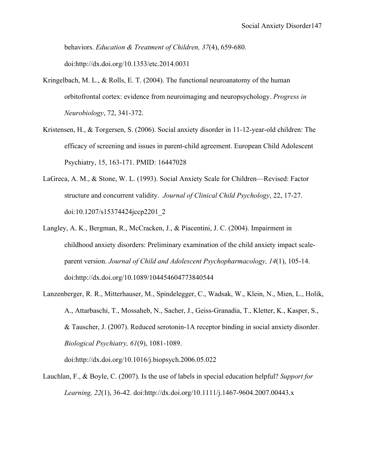behaviors. *Education & Treatment of Children, 37*(4), 659-680. doi:http://dx.doi.org/10.1353/etc.2014.0031

- Kringelbach, M. L.,  $\&$  Rolls, E. T. (2004). The functional neuroanatomy of the human orbitofrontal cortex: evidence from neuroimaging and neuropsychology. *Progress in Neurobiology*, 72, 341-372.
- Kristensen, H., & Torgersen, S. (2006). Social anxiety disorder in 11-12-year-old children: The efficacy of screening and issues in parent-child agreement. European Child Adolescent Psychiatry, 15, 163-171. PMID: 16447028
- LaGreca, A. M., & Stone, W. L. (1993). Social Anxiety Scale for Children—Revised: Factor structure and concurrent validity. *Journal of Clinical Child Psychology*, 22, 17-27. doi:10.1207/s15374424jccp2201\_2
- Langley, A. K., Bergman, R., McCracken, J., & Piacentini, J. C. (2004). Impairment in childhood anxiety disorders: Preliminary examination of the child anxiety impact scaleparent version. *Journal of Child and Adolescent Psychopharmacology, 14*(1), 105-14. doi:http://dx.doi.org/10.1089/104454604773840544
- Lanzenberger, R. R., Mitterhauser, M., Spindelegger, C., Wadsak, W., Klein, N., Mien, L., Holik, A., Attarbaschi, T., Mossaheb, N., Sacher, J., Geiss-Granadia, T., Kletter, K., Kasper, S., & Tauscher, J. (2007). Reduced serotonin-1A receptor binding in social anxiety disorder. *Biological Psychiatry, 61*(9), 1081-1089.

doi:http://dx.doi.org/10.1016/j.biopsych.2006.05.022

Lauchlan, F., & Boyle, C. (2007). Is the use of labels in special education helpful? *Support for Learning, 22*(1), 36-42. doi:http://dx.doi.org/10.1111/j.1467-9604.2007.00443.x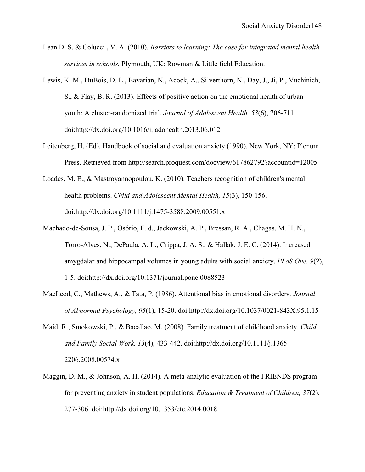- Lean D. S. & Colucci , V. A. (2010). *Barriers to learning: The case for integrated mental health services in schools.* Plymouth, UK: Rowman & Little field Education.
- Lewis, K. M., DuBois, D. L., Bavarian, N., Acock, A., Silverthorn, N., Day, J., Ji, P., Vuchinich, S., & Flay, B. R. (2013). Effects of positive action on the emotional health of urban youth: A cluster-randomized trial. *Journal of Adolescent Health, 53*(6), 706-711. doi:http://dx.doi.org/10.1016/j.jadohealth.2013.06.012
- Leitenberg, H. (Ed). Handbook of social and evaluation anxiety (1990). New York, NY: Plenum Press. Retrieved from http://search.proquest.com/docview/617862792?accountid=12005
- Loades, M. E., & Mastroyannopoulou, K. (2010). Teachers recognition of children's mental health problems. *Child and Adolescent Mental Health, 15*(3), 150-156. doi:http://dx.doi.org/10.1111/j.1475-3588.2009.00551.x
- Machado-de-Sousa, J. P., Osório, F. d., Jackowski, A. P., Bressan, R. A., Chagas, M. H. N., Torro-Alves, N., DePaula, A. L., Crippa, J. A. S., & Hallak, J. E. C. (2014). Increased amygdalar and hippocampal volumes in young adults with social anxiety. *PLoS One, 9*(2), 1-5. doi:http://dx.doi.org/10.1371/journal.pone.0088523
- MacLeod, C., Mathews, A., & Tata, P. (1986). Attentional bias in emotional disorders. *Journal of Abnormal Psychology, 95*(1), 15-20. doi:http://dx.doi.org/10.1037/0021-843X.95.1.15
- Maid, R., Smokowski, P., & Bacallao, M. (2008). Family treatment of childhood anxiety. *Child and Family Social Work, 13*(4), 433-442. doi:http://dx.doi.org/10.1111/j.1365- 2206.2008.00574.x
- Maggin, D. M., & Johnson, A. H. (2014). A meta-analytic evaluation of the FRIENDS program for preventing anxiety in student populations. *Education & Treatment of Children, 37*(2), 277-306. doi:http://dx.doi.org/10.1353/etc.2014.0018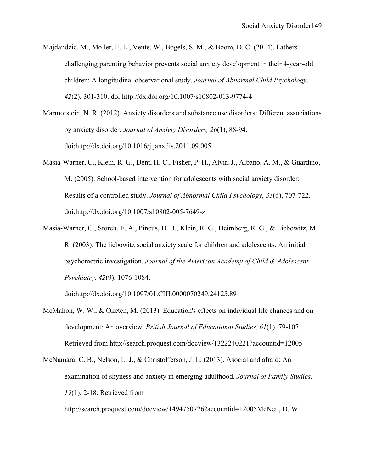- Majdandzic, M., Moller, E. L., Vente, W., Bogels, S. M., & Boom, D. C. (2014). Fathers' challenging parenting behavior prevents social anxiety development in their 4-year-old children: A longitudinal observational study. *Journal of Abnormal Child Psychology, 42*(2), 301-310. doi:http://dx.doi.org/10.1007/s10802-013-9774-4
- Marmorstein, N. R. (2012). Anxiety disorders and substance use disorders: Different associations by anxiety disorder. *Journal of Anxiety Disorders, 26*(1), 88-94. doi:http://dx.doi.org/10.1016/j.janxdis.2011.09.005
- Masia-Warner, C., Klein, R. G., Dent, H. C., Fisher, P. H., Alvir, J., Albano, A. M., & Guardino, M. (2005). School-based intervention for adolescents with social anxiety disorder: Results of a controlled study. *Journal of Abnormal Child Psychology, 33*(6), 707-722. doi:http://dx.doi.org/10.1007/s10802-005-7649-z
- Masia-Warner, C., Storch, E. A., Pincus, D. B., Klein, R. G., Heimberg, R. G., & Liebowitz, M. R. (2003). The liebowitz social anxiety scale for children and adolescents: An initial psychometric investigation. *Journal of the American Academy of Child & Adolescent Psychiatry, 42*(9), 1076-1084.

doi:http://dx.doi.org/10.1097/01.CHI.0000070249.24125.89

- McMahon, W. W., & Oketch, M. (2013). Education's effects on individual life chances and on development: An overview. *British Journal of Educational Studies, 61*(1), 79-107. Retrieved from http://search.proquest.com/docview/1322240221?accountid=12005
- McNamara, C. B., Nelson, L. J., & Christofferson, J. L. (2013). Asocial and afraid: An examination of shyness and anxiety in emerging adulthood. *Journal of Family Studies, 19*(1), 2-18. Retrieved from

http://search.proquest.com/docview/1494750726?accountid=12005McNeil, D. W.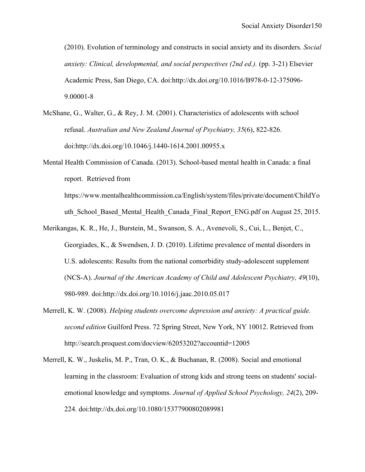(2010). Evolution of terminology and constructs in social anxiety and its disorders. *Social anxiety: Clinical, developmental, and social perspectives (2nd ed.).* (pp. 3-21) Elsevier Academic Press, San Diego, CA. doi:http://dx.doi.org/10.1016/B978-0-12-375096- 9.00001-8

- McShane, G., Walter, G., & Rey, J. M. (2001). Characteristics of adolescents with school refusal. *Australian and New Zealand Journal of Psychiatry, 35*(6), 822-826. doi:http://dx.doi.org/10.1046/j.1440-1614.2001.00955.x
- Mental Health Commission of Canada. (2013). School-based mental health in Canada: a final report. Retrieved from https://www.mentalhealthcommission.ca/English/system/files/private/document/ChildYo

uth\_School\_Based\_Mental\_Health\_Canada\_Final\_Report\_ENG.pdf on August 25, 2015.

- Merikangas, K. R., He, J., Burstein, M., Swanson, S. A., Avenevoli, S., Cui, L., Benjet, C., Georgiades, K., & Swendsen, J. D. (2010). Lifetime prevalence of mental disorders in U.S. adolescents: Results from the national comorbidity study-adolescent supplement (NCS-A). *Journal of the American Academy of Child and Adolescent Psychiatry, 49*(10), 980-989. doi:http://dx.doi.org/10.1016/j.jaac.2010.05.017
- Merrell, K. W. (2008). *Helping students overcome depression and anxiety: A practical guide. second edition* Guilford Press. 72 Spring Street, New York, NY 10012. Retrieved from http://search.proquest.com/docview/62053202?accountid=12005
- Merrell, K. W., Juskelis, M. P., Tran, O. K., & Buchanan, R. (2008). Social and emotional learning in the classroom: Evaluation of strong kids and strong teens on students' socialemotional knowledge and symptoms. *Journal of Applied School Psychology, 24*(2), 209- 224. doi:http://dx.doi.org/10.1080/15377900802089981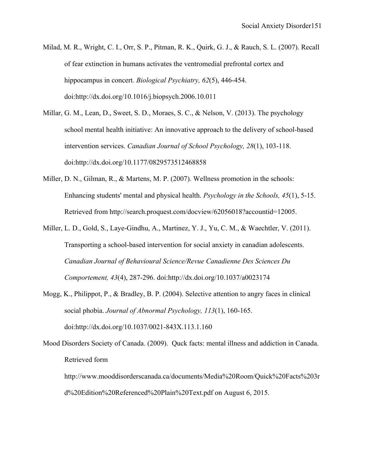- Milad, M. R., Wright, C. I., Orr, S. P., Pitman, R. K., Quirk, G. J., & Rauch, S. L. (2007). Recall of fear extinction in humans activates the ventromedial prefrontal cortex and hippocampus in concert. *Biological Psychiatry, 62*(5), 446-454. doi:http://dx.doi.org/10.1016/j.biopsych.2006.10.011
- Millar, G. M., Lean, D., Sweet, S. D., Moraes, S. C., & Nelson, V. (2013). The psychology school mental health initiative: An innovative approach to the delivery of school-based intervention services. *Canadian Journal of School Psychology, 28*(1), 103-118. doi:http://dx.doi.org/10.1177/0829573512468858
- Miller, D. N., Gilman, R., & Martens, M. P. (2007). Wellness promotion in the schools: Enhancing students' mental and physical health. *Psychology in the Schools, 45*(1), 5-15. Retrieved from http://search.proquest.com/docview/62056018?accountid=12005.
- Miller, L. D., Gold, S., Laye-Gindhu, A., Martinez, Y. J., Yu, C. M., & Waechtler, V. (2011). Transporting a school-based intervention for social anxiety in canadian adolescents. *Canadian Journal of Behavioural Science/Revue Canadienne Des Sciences Du Comportement, 43*(4), 287-296. doi:http://dx.doi.org/10.1037/a0023174
- Mogg, K., Philippot, P., & Bradley, B. P. (2004). Selective attention to angry faces in clinical social phobia. *Journal of Abnormal Psychology, 113*(1), 160-165. doi:http://dx.doi.org/10.1037/0021-843X.113.1.160
- Mood Disorders Society of Canada. (2009). Quck facts: mental illness and addiction in Canada. Retrieved form

http://www.mooddisorderscanada.ca/documents/Media%20Room/Quick%20Facts%203r d%20Edition%20Referenced%20Plain%20Text.pdf on August 6, 2015.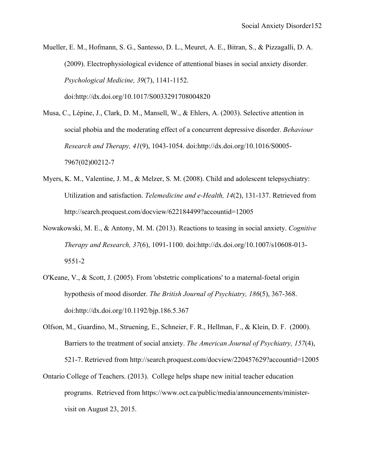Mueller, E. M., Hofmann, S. G., Santesso, D. L., Meuret, A. E., Bitran, S., & Pizzagalli, D. A. (2009). Electrophysiological evidence of attentional biases in social anxiety disorder. *Psychological Medicine, 39*(7), 1141-1152. doi:http://dx.doi.org/10.1017/S0033291708004820

Musa, C., Lépine, J., Clark, D. M., Mansell, W., & Ehlers, A. (2003). Selective attention in social phobia and the moderating effect of a concurrent depressive disorder. *Behaviour Research and Therapy, 41*(9), 1043-1054. doi:http://dx.doi.org/10.1016/S0005- 7967(02)00212-7

- Myers, K. M., Valentine, J. M., & Melzer, S. M. (2008). Child and adolescent telepsychiatry: Utilization and satisfaction. *Telemedicine and e-Health, 14*(2), 131-137. Retrieved from http://search.proquest.com/docview/622184499?accountid=12005
- Nowakowski, M. E., & Antony, M. M. (2013). Reactions to teasing in social anxiety. *Cognitive Therapy and Research, 37*(6), 1091-1100. doi:http://dx.doi.org/10.1007/s10608-013- 9551-2
- O'Keane, V., & Scott, J. (2005). From 'obstetric complications' to a maternal-foetal origin hypothesis of mood disorder. *The British Journal of Psychiatry, 186*(5), 367-368. doi:http://dx.doi.org/10.1192/bjp.186.5.367
- Olfson, M., Guardino, M., Struening, E., Schneier, F. R., Hellman, F., & Klein, D. F. (2000). Barriers to the treatment of social anxiety. *The American Journal of Psychiatry, 157*(4), 521-7. Retrieved from http://search.proquest.com/docview/220457629?accountid=12005
- Ontario College of Teachers. (2013). College helps shape new initial teacher education programs. Retrieved from https://www.oct.ca/public/media/announcements/ministervisit on August 23, 2015.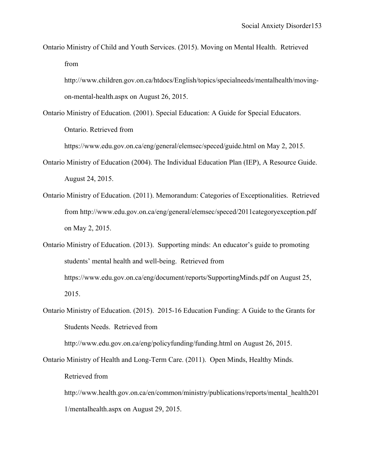Ontario Ministry of Child and Youth Services. (2015). Moving on Mental Health. Retrieved from

http://www.children.gov.on.ca/htdocs/English/topics/specialneeds/mentalhealth/movingon-mental-health.aspx on August 26, 2015.

Ontario Ministry of Education. (2001). Special Education: A Guide for Special Educators.

Ontario. Retrieved from

https://www.edu.gov.on.ca/eng/general/elemsec/speced/guide.html on May 2, 2015.

- Ontario Ministry of Education (2004). The Individual Education Plan (IEP), A Resource Guide. August 24, 2015.
- Ontario Ministry of Education. (2011). Memorandum: Categories of Exceptionalities. Retrieved from http://www.edu.gov.on.ca/eng/general/elemsec/speced/2011categoryexception.pdf on May 2, 2015.
- Ontario Ministry of Education. (2013). Supporting minds: An educator's guide to promoting students' mental health and well-being. Retrieved from https://www.edu.gov.on.ca/eng/document/reports/SupportingMinds.pdf on August 25, 2015.
- Ontario Ministry of Education. (2015). 2015-16 Education Funding: A Guide to the Grants for Students Needs. Retrieved from

http://www.edu.gov.on.ca/eng/policyfunding/funding.html on August 26, 2015.

Ontario Ministry of Health and Long-Term Care. (2011). Open Minds, Healthy Minds.

Retrieved from

http://www.health.gov.on.ca/en/common/ministry/publications/reports/mental\_health201 1/mentalhealth.aspx on August 29, 2015.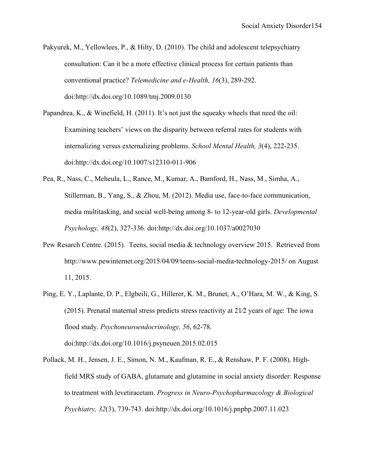- Pakyurek, M., Yellowlees, P., & Hilty, D. (2010). The child and adolescent telepsychiatry consultation: Can it be a more effective clinical process for certain patients than conventional practice? *Telemedicine and e-Health, 16*(3), 289-292. doi:http://dx.doi.org/10.1089/tmj.2009.0130
- Papandrea, K., & Winefield, H. (2011). It's not just the squeaky wheels that need the oil: Examining teachers' views on the disparity between referral rates for students with internalizing versus externalizing problems. *School Mental Health, 3*(4), 222-235. doi:http://dx.doi.org/10.1007/s12310-011-906
- Pea, R., Nass, C., Meheula, L., Rance, M., Kumar, A., Bamford, H., Nass, M., Simha, A., Stillerman, B., Yang, S., & Zhou, M. (2012). Media use, face-to-face communication, media multitasking, and social well-being among 8- to 12-year-old girls. *Developmental Psychology, 48*(2), 327-336. doi:http://dx.doi.org/10.1037/a0027030
- Pew Resarch Centre. (2015). Teens, social media & technology overview 2015. Retrieved from http://www.pewinternet.org/2015/04/09/teens-social-media-technology-2015/ on August 11, 2015.
- Ping, E. Y., Laplante, D. P., Elgbeili, G., Hillerer, K. M., Brunet, A., O'Hara, M. W., & King, S. (2015). Prenatal maternal stress predicts stress reactivity at 21⁄2 years of age: The iowa flood study. *Psychoneuroendocrinology, 56*, 62-78. doi:http://dx.doi.org/10.1016/j.psyneuen.2015.02.015
- Pollack, M. H., Jensen, J. E., Simon, N. M., Kaufman, R. E., & Renshaw, P. F. (2008). Highfield MRS study of GABA, glutamate and glutamine in social anxiety disorder: Response to treatment with levetiracetam. *Progress in Neuro-Psychopharmacology & Biological Psychiatry, 32*(3), 739-743. doi:http://dx.doi.org/10.1016/j.pnpbp.2007.11.023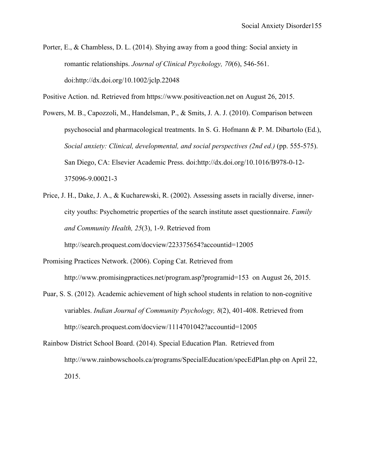Porter, E., & Chambless, D. L. (2014). Shying away from a good thing: Social anxiety in romantic relationships. *Journal of Clinical Psychology, 70*(6), 546-561. doi:http://dx.doi.org/10.1002/jclp.22048

Positive Action. nd. Retrieved from https://www.positiveaction.net on August 26, 2015.

- Powers, M. B., Capozzoli, M., Handelsman, P., & Smits, J. A. J. (2010). Comparison between psychosocial and pharmacological treatments. In S. G. Hofmann & P. M. Dibartolo (Ed.), *Social anxiety: Clinical, developmental, and social perspectives (2nd ed.)* (pp. 555-575). San Diego, CA: Elsevier Academic Press. doi:http://dx.doi.org/10.1016/B978-0-12- 375096-9.00021-3
- Price, J. H., Dake, J. A., & Kucharewski, R. (2002). Assessing assets in racially diverse, innercity youths: Psychometric properties of the search institute asset questionnaire. *Family and Community Health, 25*(3), 1-9. Retrieved from http://search.proquest.com/docview/223375654?accountid=12005
- Promising Practices Network. (2006). Coping Cat. Retrieved from http://www.promisingpractices.net/program.asp?programid=153 on August 26, 2015.
- Puar, S. S. (2012). Academic achievement of high school students in relation to non-cognitive variables. *Indian Journal of Community Psychology, 8*(2), 401-408. Retrieved from http://search.proquest.com/docview/1114701042?accountid=12005
- Rainbow District School Board. (2014). Special Education Plan. Retrieved from http://www.rainbowschools.ca/programs/SpecialEducation/specEdPlan.php on April 22, 2015.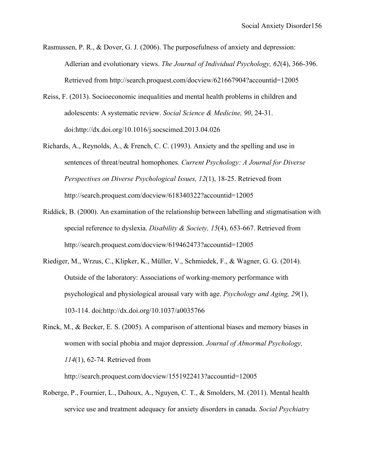- Rasmussen, P. R., & Dover, G. J. (2006). The purposefulness of anxiety and depression: Adlerian and evolutionary views. *The Journal of Individual Psychology, 62*(4), 366-396. Retrieved from http://search.proquest.com/docview/621667904?accountid=12005
- Reiss, F. (2013). Socioeconomic inequalities and mental health problems in children and adolescents: A systematic review. *Social Science & Medicine, 90*, 24-31. doi:http://dx.doi.org/10.1016/j.socscimed.2013.04.026
- Richards, A., Reynolds, A., & French, C. C. (1993). Anxiety and the spelling and use in sentences of threat/neutral homophones. *Current Psychology: A Journal for Diverse Perspectives on Diverse Psychological Issues, 12*(1), 18-25. Retrieved from http://search.proquest.com/docview/618340322?accountid=12005
- Riddick, B. (2000). An examination of the relationship between labelling and stigmatisation with special reference to dyslexia. *Disability & Society, 15*(4), 653-667. Retrieved from http://search.proquest.com/docview/619462473?accountid=12005
- Riediger, M., Wrzus, C., Klipker, K., Müller, V., Schmiedek, F., & Wagner, G. G. (2014). Outside of the laboratory: Associations of working-memory performance with psychological and physiological arousal vary with age. *Psychology and Aging, 29*(1), 103-114. doi:http://dx.doi.org/10.1037/a0035766
- Rinck, M., & Becker, E. S. (2005). A comparison of attentional biases and memory biases in women with social phobia and major depression. *Journal of Abnormal Psychology, 114*(1), 62-74. Retrieved from

http://search.proquest.com/docview/1551922413?accountid=12005

Roberge, P., Fournier, L., Duhoux, A., Nguyen, C. T., & Smolders, M. (2011). Mental health service use and treatment adequacy for anxiety disorders in canada. *Social Psychiatry*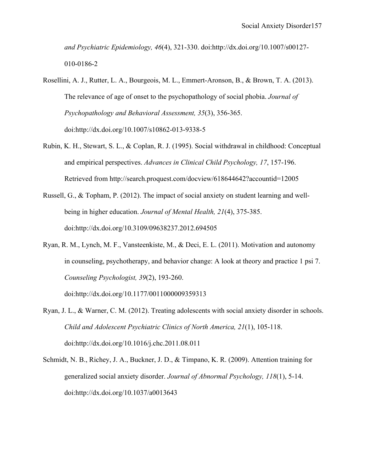*and Psychiatric Epidemiology, 46*(4), 321-330. doi:http://dx.doi.org/10.1007/s00127- 010-0186-2

- Rosellini, A. J., Rutter, L. A., Bourgeois, M. L., Emmert-Aronson, B., & Brown, T. A. (2013). The relevance of age of onset to the psychopathology of social phobia. *Journal of Psychopathology and Behavioral Assessment, 35*(3), 356-365. doi:http://dx.doi.org/10.1007/s10862-013-9338-5
- Rubin, K. H., Stewart, S. L., & Coplan, R. J. (1995). Social withdrawal in childhood: Conceptual and empirical perspectives. *Advances in Clinical Child Psychology, 17*, 157-196. Retrieved from http://search.proquest.com/docview/618644642?accountid=12005
- Russell, G., & Topham, P. (2012). The impact of social anxiety on student learning and wellbeing in higher education. *Journal of Mental Health, 21*(4), 375-385. doi:http://dx.doi.org/10.3109/09638237.2012.694505
- Ryan, R. M., Lynch, M. F., Vansteenkiste, M., & Deci, E. L. (2011). Motivation and autonomy in counseling, psychotherapy, and behavior change: A look at theory and practice 1 psi 7. *Counseling Psychologist, 39*(2), 193-260.

doi:http://dx.doi.org/10.1177/0011000009359313

- Ryan, J. L., & Warner, C. M. (2012). Treating adolescents with social anxiety disorder in schools. *Child and Adolescent Psychiatric Clinics of North America, 21*(1), 105-118. doi:http://dx.doi.org/10.1016/j.chc.2011.08.011
- Schmidt, N. B., Richey, J. A., Buckner, J. D., & Timpano, K. R. (2009). Attention training for generalized social anxiety disorder. *Journal of Abnormal Psychology, 118*(1), 5-14. doi:http://dx.doi.org/10.1037/a0013643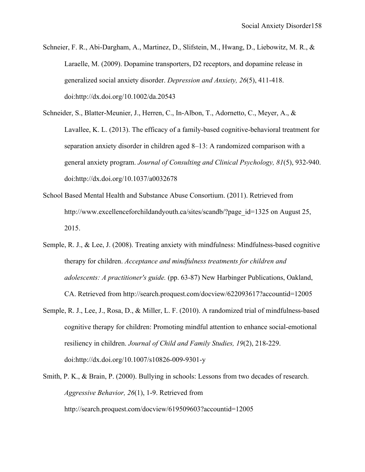Schneier, F. R., Abi-Dargham, A., Martinez, D., Slifstein, M., Hwang, D., Liebowitz, M. R., & Laraelle, M. (2009). Dopamine transporters, D2 receptors, and dopamine release in generalized social anxiety disorder. *Depression and Anxiety, 26*(5), 411-418. doi:http://dx.doi.org/10.1002/da.20543

Schneider, S., Blatter-Meunier, J., Herren, C., In-Albon, T., Adornetto, C., Meyer, A., & Lavallee, K. L. (2013). The efficacy of a family-based cognitive-behavioral treatment for separation anxiety disorder in children aged 8–13: A randomized comparison with a general anxiety program. *Journal of Consulting and Clinical Psychology, 81*(5), 932-940. doi:http://dx.doi.org/10.1037/a0032678

- School Based Mental Health and Substance Abuse Consortium. (2011). Retrieved from http://www.excellenceforchildandyouth.ca/sites/scandb/?page\_id=1325 on August 25, 2015.
- Semple, R. J., & Lee, J. (2008). Treating anxiety with mindfulness: Mindfulness-based cognitive therapy for children. *Acceptance and mindfulness treatments for children and adolescents: A practitioner's guide.* (pp. 63-87) New Harbinger Publications, Oakland, CA. Retrieved from http://search.proquest.com/docview/622093617?accountid=12005
- Semple, R. J., Lee, J., Rosa, D., & Miller, L. F. (2010). A randomized trial of mindfulness-based cognitive therapy for children: Promoting mindful attention to enhance social-emotional resiliency in children. *Journal of Child and Family Studies, 19*(2), 218-229. doi:http://dx.doi.org/10.1007/s10826-009-9301-y
- Smith, P. K., & Brain, P. (2000). Bullying in schools: Lessons from two decades of research. *Aggressive Behavior, 26*(1), 1-9. Retrieved from http://search.proquest.com/docview/619509603?accountid=12005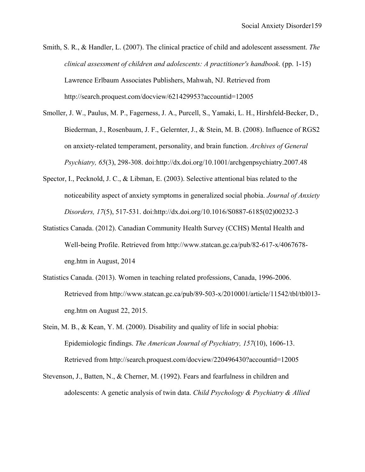- Smith, S. R., & Handler, L. (2007). The clinical practice of child and adolescent assessment. *The clinical assessment of children and adolescents: A practitioner's handbook.* (pp. 1-15) Lawrence Erlbaum Associates Publishers, Mahwah, NJ. Retrieved from http://search.proquest.com/docview/621429953?accountid=12005
- Smoller, J. W., Paulus, M. P., Fagerness, J. A., Purcell, S., Yamaki, L. H., Hirshfeld-Becker, D., Biederman, J., Rosenbaum, J. F., Gelernter, J., & Stein, M. B. (2008). Influence of RGS2 on anxiety-related temperament, personality, and brain function. *Archives of General Psychiatry, 65*(3), 298-308. doi:http://dx.doi.org/10.1001/archgenpsychiatry.2007.48
- Spector, I., Pecknold, J. C., & Libman, E. (2003). Selective attentional bias related to the noticeability aspect of anxiety symptoms in generalized social phobia. *Journal of Anxiety Disorders, 17*(5), 517-531. doi:http://dx.doi.org/10.1016/S0887-6185(02)00232-3
- Statistics Canada. (2012). Canadian Community Health Survey (CCHS) Mental Health and Well-being Profile. Retrieved from http://www.statcan.gc.ca/pub/82-617-x/4067678 eng.htm in August, 2014
- Statistics Canada. (2013). Women in teaching related professions, Canada, 1996-2006. Retrieved from http://www.statcan.gc.ca/pub/89-503-x/2010001/article/11542/tbl/tbl013 eng.htm on August 22, 2015.
- Stein, M. B., & Kean, Y. M. (2000). Disability and quality of life in social phobia: Epidemiologic findings. *The American Journal of Psychiatry, 157*(10), 1606-13. Retrieved from http://search.proquest.com/docview/220496430?accountid=12005
- Stevenson, J., Batten, N., & Cherner, M. (1992). Fears and fearfulness in children and adolescents: A genetic analysis of twin data. *Child Psychology & Psychiatry & Allied*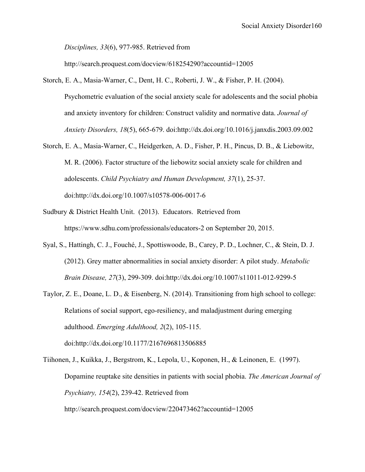*Disciplines, 33*(6), 977-985. Retrieved from

http://search.proquest.com/docview/618254290?accountid=12005

- Storch, E. A., Masia-Warner, C., Dent, H. C., Roberti, J. W., & Fisher, P. H. (2004). Psychometric evaluation of the social anxiety scale for adolescents and the social phobia and anxiety inventory for children: Construct validity and normative data. *Journal of Anxiety Disorders, 18*(5), 665-679. doi:http://dx.doi.org/10.1016/j.janxdis.2003.09.002
- Storch, E. A., Masia-Warner, C., Heidgerken, A. D., Fisher, P. H., Pincus, D. B., & Liebowitz, M. R. (2006). Factor structure of the liebowitz social anxiety scale for children and adolescents. *Child Psychiatry and Human Development, 37*(1), 25-37. doi:http://dx.doi.org/10.1007/s10578-006-0017-6
- Sudbury & District Health Unit. (2013). Educators. Retrieved from https://www.sdhu.com/professionals/educators-2 on September 20, 2015.
- Syal, S., Hattingh, C. J., Fouché, J., Spottiswoode, B., Carey, P. D., Lochner, C., & Stein, D. J. (2012). Grey matter abnormalities in social anxiety disorder: A pilot study. *Metabolic Brain Disease, 27*(3), 299-309. doi:http://dx.doi.org/10.1007/s11011-012-9299-5
- Taylor, Z. E., Doane, L. D., & Eisenberg, N. (2014). Transitioning from high school to college: Relations of social support, ego-resiliency, and maladjustment during emerging adulthood. *Emerging Adulthood, 2*(2), 105-115. doi:http://dx.doi.org/10.1177/2167696813506885
- Tiihonen, J., Kuikka, J., Bergstrom, K., Lepola, U., Koponen, H., & Leinonen, E. (1997). Dopamine reuptake site densities in patients with social phobia. *The American Journal of Psychiatry, 154*(2), 239-42. Retrieved from http://search.proquest.com/docview/220473462?accountid=12005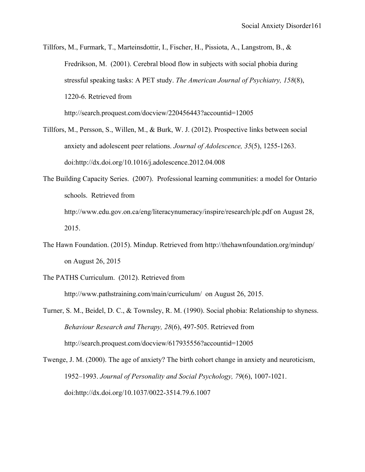Tillfors, M., Furmark, T., Marteinsdottir, I., Fischer, H., Pissiota, A., Langstrom, B., & Fredrikson, M. (2001). Cerebral blood flow in subjects with social phobia during stressful speaking tasks: A PET study. *The American Journal of Psychiatry, 158*(8), 1220-6. Retrieved from http://search.proquest.com/docview/220456443?accountid=12005

Tillfors, M., Persson, S., Willen, M., & Burk, W. J. (2012). Prospective links between social anxiety and adolescent peer relations. *Journal of Adolescence, 35*(5), 1255-1263. doi:http://dx.doi.org/10.1016/j.adolescence.2012.04.008

The Building Capacity Series. (2007). Professional learning communities: a model for Ontario schools. Retrieved from http://www.edu.gov.on.ca/eng/literacynumeracy/inspire/research/plc.pdf on August 28, 2015.

- The Hawn Foundation. (2015). Mindup. Retrieved from http://thehawnfoundation.org/mindup/ on August 26, 2015
- The PATHS Curriculum. (2012). Retrieved from

http://www.pathstraining.com/main/curriculum/ on August 26, 2015.

Turner, S. M., Beidel, D. C., & Townsley, R. M. (1990). Social phobia: Relationship to shyness. *Behaviour Research and Therapy, 28*(6), 497-505. Retrieved from http://search.proquest.com/docview/617935556?accountid=12005

Twenge, J. M. (2000). The age of anxiety? The birth cohort change in anxiety and neuroticism, 1952–1993. *Journal of Personality and Social Psychology, 79*(6), 1007-1021. doi:http://dx.doi.org/10.1037/0022-3514.79.6.1007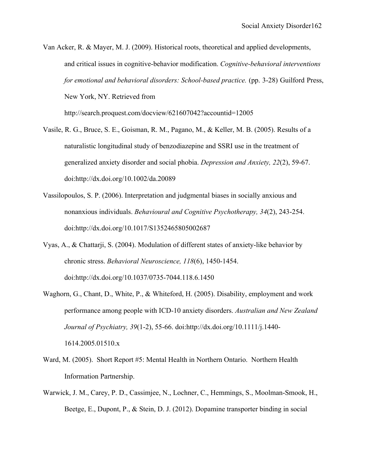- Van Acker, R. & Mayer, M. J. (2009). Historical roots, theoretical and applied developments, and critical issues in cognitive-behavior modification. *Cognitive-behavioral interventions for emotional and behavioral disorders: School-based practice.* (pp. 3-28) Guilford Press, New York, NY. Retrieved from http://search.proquest.com/docview/621607042?accountid=12005
- Vasile, R. G., Bruce, S. E., Goisman, R. M., Pagano, M., & Keller, M. B. (2005). Results of a naturalistic longitudinal study of benzodiazepine and SSRI use in the treatment of generalized anxiety disorder and social phobia. *Depression and Anxiety, 22*(2), 59-67. doi:http://dx.doi.org/10.1002/da.20089
- Vassilopoulos, S. P. (2006). Interpretation and judgmental biases in socially anxious and nonanxious individuals. *Behavioural and Cognitive Psychotherapy, 34*(2), 243-254. doi:http://dx.doi.org/10.1017/S1352465805002687
- Vyas, A., & Chattarji, S. (2004). Modulation of different states of anxiety-like behavior by chronic stress. *Behavioral Neuroscience, 118*(6), 1450-1454. doi:http://dx.doi.org/10.1037/0735-7044.118.6.1450
- Waghorn, G., Chant, D., White, P., & Whiteford, H. (2005). Disability, employment and work performance among people with ICD-10 anxiety disorders. *Australian and New Zealand Journal of Psychiatry, 39*(1-2), 55-66. doi:http://dx.doi.org/10.1111/j.1440- 1614.2005.01510.x
- Ward, M. (2005). Short Report #5: Mental Health in Northern Ontario. Northern Health Information Partnership.
- Warwick, J. M., Carey, P. D., Cassimjee, N., Lochner, C., Hemmings, S., Moolman-Smook, H., Beetge, E., Dupont, P., & Stein, D. J. (2012). Dopamine transporter binding in social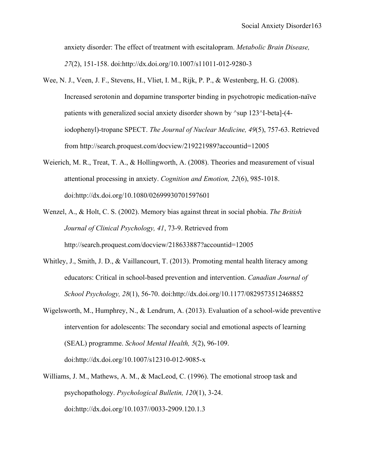anxiety disorder: The effect of treatment with escitalopram. *Metabolic Brain Disease, 27*(2), 151-158. doi:http://dx.doi.org/10.1007/s11011-012-9280-3

- Wee, N. J., Veen, J. F., Stevens, H., Vliet, I. M., Rijk, P. P., & Westenberg, H. G. (2008). Increased serotonin and dopamine transporter binding in psychotropic medication-naïve patients with generalized social anxiety disorder shown by ^sup 123^I-beta]-(4 iodophenyl)-tropane SPECT. *The Journal of Nuclear Medicine, 49*(5), 757-63. Retrieved from http://search.proquest.com/docview/219221989?accountid=12005
- Weierich, M. R., Treat, T. A., & Hollingworth, A. (2008). Theories and measurement of visual attentional processing in anxiety. *Cognition and Emotion, 22*(6), 985-1018. doi:http://dx.doi.org/10.1080/02699930701597601
- Wenzel, A., & Holt, C. S. (2002). Memory bias against threat in social phobia. *The British Journal of Clinical Psychology, 41*, 73-9. Retrieved from http://search.proquest.com/docview/218633887?accountid=12005
- Whitley, J., Smith, J. D., & Vaillancourt, T. (2013). Promoting mental health literacy among educators: Critical in school-based prevention and intervention. *Canadian Journal of School Psychology, 28*(1), 56-70. doi:http://dx.doi.org/10.1177/0829573512468852
- Wigelsworth, M., Humphrey, N., & Lendrum, A. (2013). Evaluation of a school-wide preventive intervention for adolescents: The secondary social and emotional aspects of learning (SEAL) programme. *School Mental Health, 5*(2), 96-109. doi:http://dx.doi.org/10.1007/s12310-012-9085-x
- Williams, J. M., Mathews, A. M., & MacLeod, C. (1996). The emotional stroop task and psychopathology. *Psychological Bulletin, 120*(1), 3-24. doi:http://dx.doi.org/10.1037//0033-2909.120.1.3